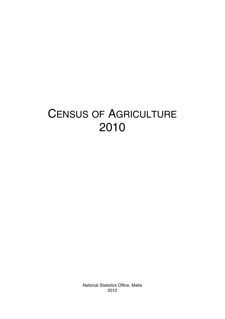# CENSUS OF AGRICULTURE 2010

National Statistics Office, Malta 2012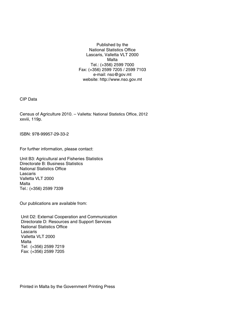Published by the National Statistics Office Lascaris, Valletta VLT 2000 Malta Tel.: (+356) 2599 7000 Fax: (+356) 2599 7205 / 2599 7103 e-mail: nso@gov.mt website: http://www.nso.gov.mt

CIP Data

Census of Agriculture 2010. – Valletta: National Statistics Office, 2012 xxviii, 119p.

ISBN: 978-99957-29-33-2

For further information, please contact:

Unit B3: Agricultural and Fisheries Statistics Directorate B: Business Statistics National Statistics Office Lascaris Valletta VLT 2000 Malta Tel.: (+356) 2599 7339

Our publications are available from:

 Unit D2: External Cooperation and Communication Directorate D: Resources and Support Services National Statistics Office Lascaris Valletta VLT 2000 Malta Tel: (+356) 2599 7219 Fax: (+356) 2599 7205

Printed in Malta by the Government Printing Press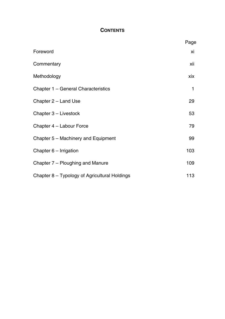### **CONTENTS**

|                                               | Page |
|-----------------------------------------------|------|
| Foreword                                      | хi   |
| Commentary                                    | xii  |
| Methodology                                   | xix  |
| Chapter 1 - General Characteristics           | 1    |
| Chapter 2 - Land Use                          | 29   |
| Chapter 3 - Livestock                         | 53   |
| Chapter 4 - Labour Force                      | 79   |
| Chapter 5 – Machinery and Equipment           | 99   |
| Chapter 6 - Irrigation                        | 103  |
| Chapter 7 – Ploughing and Manure              | 109  |
| Chapter 8 – Typology of Agricultural Holdings | 113  |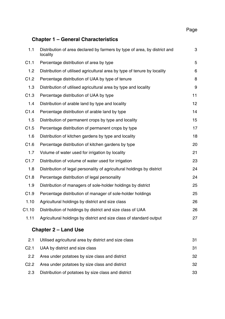**Page 2016** 2016 2017 2020 2021 2021 2022 2032 2040 205 206 207 208 209 209 200 2017 2018 2019 2019 2019 2019 20

# **Chapter 1 – General Characteristics**

| 1.1              | Distribution of area declared by farmers by type of area, by district and<br>locality | 3  |
|------------------|---------------------------------------------------------------------------------------|----|
| C1.1             | Percentage distribution of area by type                                               | 5  |
| 1.2              | Distribution of utilised agricultural area by type of tenure by locality              | 6  |
| C1.2             | Percentage distribution of UAA by type of tenure                                      | 8  |
| 1.3              | Distribution of utilised agricultural area by type and locality                       | 9  |
| C1.3             | Percentage distribution of UAA by type                                                | 11 |
| 1.4              | Distribution of arable land by type and locality                                      | 12 |
| C1.4             | Percentage distribution of arable land by type                                        | 14 |
| 1.5              | Distribution of permanent crops by type and locality                                  | 15 |
| C1.5             | Percentage distribution of permanent crops by type                                    | 17 |
| 1.6              | Distribution of kitchen gardens by type and locality                                  | 18 |
| C1.6             | Percentage distribution of kitchen gardens by type                                    | 20 |
| 1.7              | Volume of water used for irrigation by locality                                       | 21 |
| C1.7             | Distribution of volume of water used for irrigation                                   | 23 |
| 1.8              | Distribution of legal personality of agricultural holdings by district                | 24 |
| C1.8             | Percentage distribution of legal personality                                          | 24 |
| 1.9              | Distribution of managers of sole-holder holdings by district                          | 25 |
| C1.9             | Percentage distribution of manager of sole-holder holdings                            | 25 |
| 1.10             | Agricultural holdings by district and size class                                      | 26 |
| C1.10            | Distribution of holdings by district and size class of UAA                            | 26 |
| 1.11             | Agricultural holdings by district and size class of standard output                   | 27 |
|                  | <b>Chapter 2 - Land Use</b>                                                           |    |
| 2.1              | Utilised agricultural area by district and size class                                 | 31 |
| C <sub>2.1</sub> | UAA by district and size class                                                        | 31 |
| 2.2              | Area under potatoes by size class and district                                        | 32 |
| C <sub>2.2</sub> | Area under potatoes by size class and district                                        | 32 |

2.3 Distribution of potatoes by size class and district 33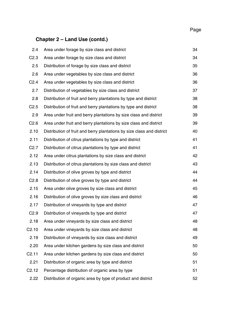#### **Page 2016** 2016 2017 2020 2021 2021 2022 2032 2040 205 206 207 208 209 209 200 2017 2018 2019 2019 2019 2019 20

# **Chapter 2 – Land Use (contd.)**

| 2.4              | Area under forage by size class and district                           | 34 |
|------------------|------------------------------------------------------------------------|----|
| C2.3             | Area under forage by size class and district                           | 34 |
| 2.5              | Distribution of forage by size class and district                      | 35 |
| 2.6              | Area under vegetables by size class and district                       | 36 |
| C2.4             | Area under vegetables by size class and district                       | 36 |
| 2.7              | Distribution of vegetables by size class and district                  | 37 |
| 2.8              | Distribution of fruit and berry plantations by type and district       | 38 |
| C2.5             | Distribution of fruit and berry plantations by type and district       | 38 |
| 2.9              | Area under fruit and berry plantations by size class and district      | 39 |
| C2.6             | Area under fruit and berry plantations by size class and district      | 39 |
| 2.10             | Distribution of fruit and berry plantations by size class and district | 40 |
| 2.11             | Distribution of citrus plantations by type and district                | 41 |
| C <sub>2.7</sub> | Distribution of citrus plantations by type and district                | 41 |
| 2.12             | Area under citrus plantations by size class and district               | 42 |
| 2.13             | Distribution of citrus plantations by size class and district          | 43 |
| 2.14             | Distribution of olive groves by type and district                      | 44 |
| C2.8             | Distribution of olive groves by type and district                      | 44 |
| 2.15             | Area under olive groves by size class and district                     | 45 |
| 2.16             | Distribution of olive groves by size class and district                | 46 |
| 2.17             | Distribution of vineyards by type and district                         | 47 |
| C2.9             | Distribution of vinevards by type and district                         | 47 |
| 2.18             | Area under vineyards by size class and district                        | 48 |
| C2.10            | Area under vineyards by size class and district                        | 48 |
| 2.19             | Distribution of vinevards by size class and district                   | 49 |
| 2.20             | Area under kitchen gardens by size class and district                  | 50 |
| C2.11            | Area under kitchen gardens by size class and district                  | 50 |
| 2.21             | Distribution of organic area by type and district                      | 51 |
| C2.12            | Percentage distribution of organic area by type                        | 51 |
| 2.22             | Distribution of organic area by type of product and district           | 52 |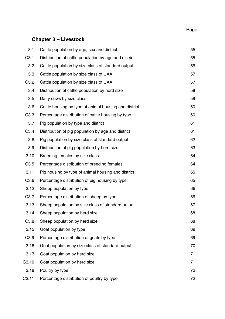# **Chapter 3 – Livestock**

| 3.1              | Cattle population by age, sex and district            | 55 |
|------------------|-------------------------------------------------------|----|
| C <sub>3.1</sub> | Distribution of cattle population by age and district | 55 |
| 3.2              | Cattle population by size class of standard output    | 56 |
| 3.3              | Cattle population by size class of UAA                | 57 |
| C3.2             | Cattle population by size class of UAA                | 57 |
| 3.4              | Distribution of cattle population by herd size        | 58 |
| 3.5              | Dairy cows by size class                              | 59 |
| 3.6              | Cattle housing by type of animal housing and district | 60 |
| C3.3             | Percentage distribution of cattle housing by type     | 60 |
| 3.7              | Pig population by type and district                   | 61 |
| C3.4             | Distribution of pig population by age and district    | 61 |
| 3.8              | Pig population by size class of standard output       | 62 |
| 3.9              | Distribution of pig population by herd size           | 63 |
| 3.10             | Breeding females by size class                        | 64 |
| C3.5             | Percentage distribution of breeding females           | 64 |
| 3.11             | Pig housing by type of animal housing and district    | 65 |
| C <sub>3.6</sub> | Percentage distribution of pig housing by type        | 65 |
| 3.12             | Sheep population by type                              | 66 |
| C3.7             | Percentage distribution of sheep by type              | 66 |
| 3.13             | Sheep population by size class of standard output     | 67 |
| 3.14             | Sheep population by herd size                         | 68 |
| C3.8             | Sheep population by herd size                         | 68 |
| 3.15             | Goat population by type                               | 69 |
| C3.9             | Percentage distribution of goats by type              | 69 |
| 3.16             | Goat population by size class of standard output      | 70 |
| 3.17             | Goat population by herd size                          | 71 |
| C3.10            | Goat population by herd size                          | 71 |
| 3.18             | Poultry by type                                       | 72 |
| C3.11            | Percentage distribution of poultry by type            | 72 |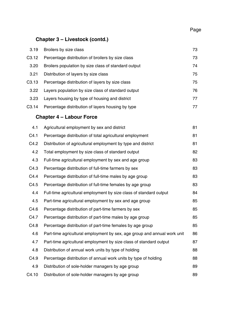#### **Page 2016** 2016 2017 2020 2021 2021 2022 2032 2040 205 206 207 208 209 209 200 2017 2018 2019 2019 2019 2019 20

# **Chapter 3 – Livestock (contd.)**

| 3.19               | Broilers by size class                                                   | 73 |
|--------------------|--------------------------------------------------------------------------|----|
| C <sub>3.12</sub>  | Percentage distribution of broilers by size class                        | 73 |
| 3.20               | Broilers population by size class of standard output                     | 74 |
| 3.21               | Distribution of layers by size class                                     | 75 |
| C3.13              | Percentage distribution of layers by size class                          | 75 |
| 3.22               | Layers population by size class of standard output                       | 76 |
| 3.23               | Layers housing by type of housing and district                           | 77 |
| C <sub>3</sub> .14 | Percentage distribution of layers housing by type                        | 77 |
|                    | <b>Chapter 4 - Labour Force</b>                                          |    |
| 4.1                | Agricultural employment by sex and district                              | 81 |
| C4.1               | Percentage distribution of total agricultural employment                 | 81 |
| C4.2               | Distribution of agricultural employment by type and district             | 81 |
| 4.2                | Total employment by size class of standard output                        | 82 |
| 4.3                | Full-time agricultural employment by sex and age group                   | 83 |
| C4.3               | Percentage distribution of full-time farmers by sex                      | 83 |
| C4.4               | Percentage distribution of full-time males by age group                  | 83 |
| C4.5               | Percentage distribution of full-time females by age group                | 83 |
| 4.4                | Full-time agricultural employment by size class of standard output       | 84 |
| 4.5                | Part-time agricultural employment by sex and age group                   | 85 |
| C4.6               | Percentage distribution of part-time farmers by sex                      | 85 |
| C4.7               | Percentage distribution of part-time males by age group                  | 85 |
| C4.8               | Percentage distribution of part-time females by age group                | 85 |
| 4.6                | Part-time agricultural employment by sex, age group and annual work unit | 86 |
| 4.7                | Part-time agricultural employment by size class of standard output       | 87 |
| 4.8                | Distribution of annual work units by type of holding                     | 88 |
| C4.9               | Percentage distribution of annual work units by type of holding          | 88 |
| 4.9                | Distribution of sole-holder managers by age group                        | 89 |
| C4.10              | Distribution of sole-holder managers by age group                        | 89 |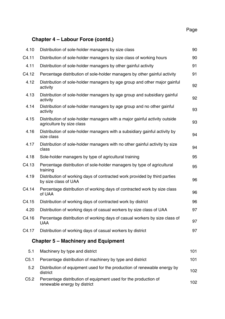# **Chapter 4 – Labour Force (contd.)**

| 4.10  | Distribution of sole-holder managers by size class                                                      | 90  |
|-------|---------------------------------------------------------------------------------------------------------|-----|
| C4.11 | Distribution of sole-holder managers by size class of working hours                                     | 90  |
| 4.11  | Distribution of sole-holder managers by other gainful activity                                          | 91  |
| C4.12 | Percentage distribution of sole-holder managers by other gainful activity                               | 91  |
| 4.12  | Distribution of sole-holder managers by age group and other major gainful<br>activity                   | 92  |
| 4.13  | Distribution of sole-holder managers by age group and subsidiary gainful<br>activity                    | 92  |
| 4.14  | Distribution of sole-holder managers by age group and no other gainful<br>activity                      | 93  |
| 4.15  | Distribution of sole-holder managers with a major gainful activity outside<br>agriculture by size class | 93  |
| 4.16  | Distribution of sole-holder managers with a subsidiary gainful activity by<br>size class                | 94  |
| 4.17  | Distribution of sole-holder managers with no other gainful activity by size<br>class                    | 94  |
| 4.18  | Sole-holder managers by type of agricultural training                                                   | 95  |
| C4.13 | Percentage distribution of sole-holder managers by type of agricultural<br>training                     | 95  |
| 4.19  | Distribution of working days of contracted work provided by third parties<br>by size class of UAA       | 96  |
| C4.14 | Percentage distribution of working days of contracted work by size class<br>of UAA                      | 96  |
| C4.15 | Distribution of working days of contracted work by district                                             | 96  |
| 4.20  | Distribution of working days of casual workers by size class of UAA                                     | 97  |
| C4.16 | Percentage distribution of working days of casual workers by size class of<br>UAA                       | 97  |
| C4.17 | Distribution of working days of casual workers by district                                              | 97  |
|       | Chapter 5 – Machinery and Equipment                                                                     |     |
| 5.1   | Machinery by type and district                                                                          | 101 |
| C5.1  | Percentage distribution of machinery by type and district                                               | 101 |
| 5.2   | Distribution of equipment used for the production of renewable energy by<br>district                    | 102 |
| C5.2  | Percentage distribution of equipment used for the production of<br>renewable energy by district         | 102 |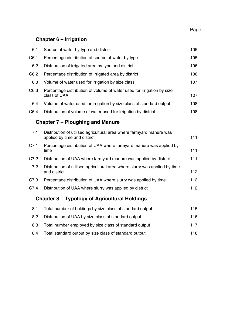#### **Page 2016** 2016 2017 2020 2021 2021 2022 2032 2040 205 206 207 208 209 209 200 2017 2018 2019 2019 2019 2019 20

# **Chapter 6 – Irrigation**

| 6.1  | Source of water by type and district                                                                 | 105 |
|------|------------------------------------------------------------------------------------------------------|-----|
|      |                                                                                                      |     |
| C6.1 | 105<br>Percentage distribution of source of water by type                                            |     |
| 6.2  | Distribution of irrigated area by type and district                                                  | 106 |
| C6.2 | Percentage distribution of irrigated area by district                                                | 106 |
| 6.3  | Volume of water used for irrigation by size class                                                    | 107 |
| C6.3 | Percentage distribution of volume of water used for irrigation by size<br>class of UAA               | 107 |
| 6.4  | Volume of water used for irrigation by size class of standard output                                 | 108 |
| C6.4 | Distribution of volume of water used for irrigation by district                                      | 108 |
|      | Chapter 7 – Ploughing and Manure                                                                     |     |
| 7.1  | Distribution of utilised agricultural area where farmyard manure was<br>applied by time and district | 111 |
| C7.1 | Percentage distribution of UAA where farmyard manure was applied by<br>time                          | 111 |
| C7.2 | Distribution of UAA where farmyard manure was applied by district                                    | 111 |
| 7.2  | Distribution of utilised agricultural area where slurry was applied by time<br>and district          | 112 |
| C7.3 | Percentage distribution of UAA where slurry was applied by time                                      | 112 |
| C7.4 | Distribution of UAA where slurry was applied by district                                             | 112 |
|      | Chapter 8 – Typology of Agricultural Holdings                                                        |     |
| 8.1  | Total number of holdings by size class of standard output                                            | 115 |

| 8.2 | Distribution of UAA by size class of standard output   | 116. |
|-----|--------------------------------------------------------|------|
| 8.3 | Total number employed by size class of standard output | 117  |
| 8.4 | Total standard output by size class of standard output | 118. |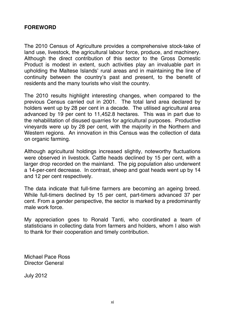## **FOREWORD**

The 2010 Census of Agriculture provides a comprehensive stock-take of land use, livestock, the agricultural labour force, produce, and machinery. Although the direct contribution of this sector to the Gross Domestic Product is modest in extent, such activities play an invaluable part in upholding the Maltese Islands' rural areas and in maintaining the line of continuity between the country's past and present, to the benefit of residents and the many tourists who visit the country.

The 2010 results highlight interesting changes, when compared to the previous Census carried out in 2001. The total land area declared by holders went up by 28 per cent in a decade. The utilised agricultural area advanced by 19 per cent to 11,452.8 hectares. This was in part due to the rehabilitation of disused quarries for agricultural purposes. Productive vineyards were up by 28 per cent, with the majority in the Northern and Western regions. An innovation in this Census was the collection of data on organic farming.

Although agricultural holdings increased slightly, noteworthy fluctuations were observed in livestock. Cattle heads declined by 15 per cent, with a larger drop recorded on the mainland. The pig population also underwent a 14-per-cent decrease. In contrast, sheep and goat heads went up by 14 and 12 per cent respectively.

The data indicate that full-time farmers are becoming an ageing breed. While full-timers declined by 15 per cent, part-timers advanced 37 per cent. From a gender perspective, the sector is marked by a predominantly male work force.

My appreciation goes to Ronald Tanti, who coordinated a team of statisticians in collecting data from farmers and holders, whom I also wish to thank for their cooperation and timely contribution.

Michael Pace Ross Director General

July 2012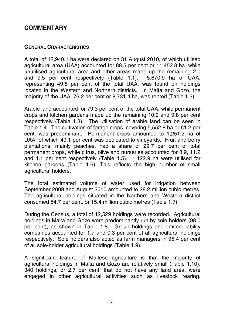# **COMMENTARY**

### **GENERAL CHARACTERISTICS**

A total of 12,940.1 ha were declared on 31 August 2010, of which utilised agricultural area (UAA) accounted for 88.5 per cent or 11,452.8 ha, while unutilised agricultural area and other areas made up the remaining 2.0 and 9.5 per cent respectively (Table 1.1). 5,670.9 ha of UAA, representing 49.5 per cent of the total UAA, was found on holdings located in the Western and Northern districts. In Malta and Gozo, the majority of the UAA, 76.2 per cent or 8,731.4 ha, was rented (Table 1.2).

Arable land accounted for 79.3 per cent of the total UAA, while permanent crops and kitchen gardens made up the remaining 10.9 and 9.8 per cent respectively (Table 1.3). The utilisation of arable land can be seen in Table 1.4. The cultivation of forage crops, covering 5,552.8 ha or 61.2 per cent, was predominant. Permanent crops amounted to 1,251.2 ha of UAA, of which 49.1 per cent was dedicated to vineyards. Fruit and berry plantations, mainly peaches, had a share of 29.7 per cent of total permanent crops, while citrus, olive and nurseries accounted for 8.9, 11.2 and 1.1 per cent respectively (Table 1.5). 1,122.9 ha were utilised for kitchen gardens (Table 1.6). This reflects the high number of small agricultural holders.

The total estimated volume of water used for irrigation between September 2009 and August 2010 amounted to 28.2 million cubic metres. The agricultural holdings situated in the Northern and Western district consumed 54.7 per cent, or 15.4 million cubic metres (Table 1.7).

During the Census, a total of 12,529 holdings were recorded. Agricultural holdings in Malta and Gozo were predominantly run by sole holders (98.0 per cent), as shown in Table 1.8. Group holdings and limited liability companies accounted for 1.7 and 0.3 per cent of all agricultural holdings respectively. Sole holders also acted as farm managers in 95.4 per cent of all sole-holder agricultural holdings (Table 1.9).

A significant feature of Maltese agriculture is that the majority of agricultural holdings in Malta and Gozo are relatively small (Table 1.10). 340 holdings, or 2.7 per cent, that do not have any land area, were engaged in other agricultural activities such as livestock rearing.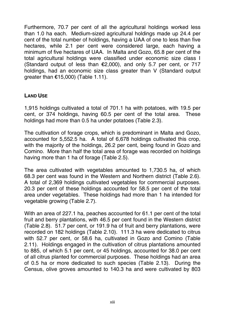Furthermore, 70.7 per cent of all the agricultural holdings worked less than 1.0 ha each. Medium-sized agricultural holdings made up 24.4 per cent of the total number of holdings, having a UAA of one to less than five hectares, while 2.1 per cent were considered large, each having a minimum of five hectares of UAA. In Malta and Gozo, 65.8 per cent of the total agricultural holdings were classified under economic size class I (Standard output of less than  $E2,000$ ), and only 5.7 per cent, or 717 holdings, had an economic size class greater than V (Standard output qreater than  $£15,000$ ) (Table 1.11).

# **LAND USE**

1,915 holdings cultivated a total of 701.1 ha with potatoes, with 19.5 per cent, or 374 holdings, having 60.5 per cent of the total area. These holdings had more than 0.5 ha under potatoes (Table 2.3).

The cultivation of forage crops, which is predominant in Malta and Gozo, accounted for 5,552.5 ha. A total of 6,678 holdings cultivated this crop, with the majority of the holdings, 26.2 per cent, being found in Gozo and Comino. More than half the total area of forage was recorded on holdings having more than 1 ha of forage (Table 2.5).

The area cultivated with vegetables amounted to 1,730.5 ha, of which 68.3 per cent was found in the Western and Northern district (Table 2.6). A total of 2,369 holdings cultivated vegetables for commercial purposes. 20.3 per cent of these holdings accounted for 58.5 per cent of the total area under vegetables. These holdings had more than 1 ha intended for vegetable growing (Table 2.7).

With an area of 227.1 ha, peaches accounted for 61.1 per cent of the total fruit and berry plantations, with 46.5 per cent found in the Western district (Table 2.8). 51.7 per cent, or 191.9 ha of fruit and berry plantations, were recorded on 182 holdings (Table 2.10). 111.3 ha were dedicated to citrus with 52.7 per cent, or 58.6 ha, cultivated in Gozo and Comino (Table 2.11). Holdings engaged in the cultivation of citrus plantations amounted to 885, of which 5.1 per cent, or 45 holdings, accounted for 38.0 per cent of all citrus planted for commercial purposes. These holdings had an area of 0.5 ha or more dedicated to such species (Table 2.13). During the Census, olive groves amounted to 140.3 ha and were cultivated by 803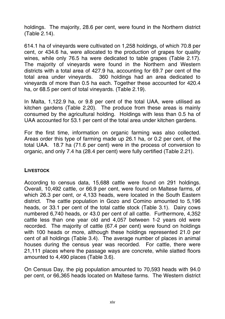holdings. The majority, 28.6 per cent, were found in the Northern district (Table 2.14).

614.1 ha of vineyards were cultivated on 1,258 holdings, of which 70.8 per cent, or 434.6 ha, were allocated to the production of grapes for quality wines, while only 76.5 ha were dedicated to table grapes (Table 2.17). The majority of vineyards were found in the Northern and Western districts with a total area of 427.9 ha, accounting for 69.7 per cent of the total area under vineyards. 360 holdings had an area dedicated to vineyards of more than 0.5 ha each. Together these accounted for 420.4 ha, or 68.5 per cent of total vineyards. (Table 2.19).

In Malta, 1,122.9 ha, or 9.8 per cent of the total UAA, were utilised as kitchen gardens (Table 2.20). The produce from these areas is mainly consumed by the agricultural holding. Holdings with less than 0.5 ha of UAA accounted for 53.1 per cent of the total area under kitchen gardens.

For the first time, information on organic farming was also collected. Areas order this type of farming made up 26.1 ha, or 0.2 per cent, of the total UAA. 18.7 ha (71.6 per cent) were in the process of conversion to organic, and only 7.4 ha (28.4 per cent) were fully certified (Table 2.21).

### **LIVESTOCK**

According to census data, 15,688 cattle were found on 291 holdings. Overall, 10,492 cattle, or 66.9 per cent, were found on Maltese farms, of which 26.3 per cent, or 4,133 heads, were located in the South Eastern district. The cattle population in Gozo and Comino amounted to 5,196 heads, or 33.1 per cent of the total cattle stock (Table 3.1). Dairy cows numbered 6,740 heads, or 43.0 per cent of all cattle. Furthermore, 4,352 cattle less than one year old and 4,057 between 1-2 years old were recorded. The majority of cattle (67.4 per cent) were found on holdings with 100 heads or more, although these holdings represented 21.0 per cent of all holdings (Table 3.4). The average number of places in animal houses during the census year was recorded. For cattle, there were 21,111 places where the passage ways are concrete, while slatted floors amounted to 4,490 places (Table 3.6).

On Census Day, the pig population amounted to 70,593 heads with 94.0 per cent, or 66,365 heads located on Maltese farms. The Western district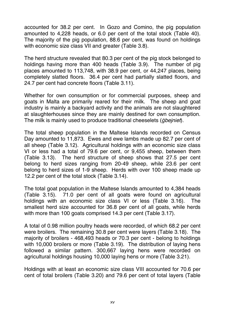accounted for 38.2 per cent. In Gozo and Comino, the pig population amounted to 4,228 heads, or 6.0 per cent of the total stock (Table 40). The majority of the pig population, 88.6 per cent, was found on holdings with economic size class VII and greater (Table 3.8).

The herd structure revealed that 80.3 per cent of the pig stock belonged to holdings having more than 400 heads (Table 3.9). The number of pig places amounted to 113,748, with 38.9 per cent, or 44,247 places, being completely slatted floors. 36.4 per cent had partially slatted floors, and 24.7 per cent had concrete floors (Table 3.11).

Whether for own consumption or for commercial purposes, sheep and goats in Malta are primarily reared for their milk. The sheep and goat industry is mainly a backyard activity and the animals are not slaughtered at slaughterhouses since they are mainly destined for own consumption. The milk is mainly used to produce traditional cheeselets (*ġbejniet*).

The total sheep population in the Maltese Islands recorded on Census Day amounted to 11,873. Ewes and ewe lambs made up 82.7 per cent of all sheep (Table 3.12). Agricultural holdings with an economic size class VI or less had a total of 79.6 per cent, or 9,455 sheep, between them (Table 3.13). The herd structure of sheep shows that 27.5 per cent belong to herd sizes ranging from 20-49 sheep, while 23.6 per cent belong to herd sizes of 1-9 sheep. Herds with over 100 sheep made up 12.2 per cent of the total stock (Table 3.14).

The total goat population in the Maltese Islands amounted to 4,384 heads (Table 3.15). 71.0 per cent of all goats were found on agricultural holdings with an economic size class VI or less (Table 3.16). The smallest herd size accounted for 36.8 per cent of all goats, while herds with more than 100 goats comprised 14.3 per cent (Table 3.17).

A total of 0.98 million poultry heads were recorded, of which 68.2 per cent were broilers. The remaining 30.8 per cent were layers (Table 3.18). The majority of broilers - 468,493 heads or 70.3 per cent - belong to holdings with 10,000 broilers or more (Table 3.19). The distribution of laying hens followed a similar pattern. 300,667 laying hens were recorded on agricultural holdings housing 10,000 laying hens or more (Table 3.21).

Holdings with at least an economic size class VIII accounted for 70.6 per cent of total broilers (Table 3.20) and 79.6 per cent of total layers (Table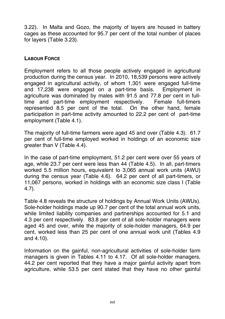3.22). In Malta and Gozo, the majority of layers are housed in battery cages as these accounted for 95.7 per cent of the total number of places for layers (Table 3.23).

### **LABOUR FORCE**

Employment refers to all those people actively engaged in agricultural production during the census year. In 2010, 18,539 persons were actively engaged in agricultural activity, of whom 1,301 were engaged full-time and 17,238 were engaged on a part-time basis. Employment in agriculture was dominated by males with 91.5 and 77.8 per cent in fulltime and part-time employment respectively. Female full-timers represented 8.5 per cent of the total. On the other hand, female participation in part-time activity amounted to 22.2 per cent of part-time employment (Table 4.1).

The majority of full-time farmers were aged 45 and over (Table 4.3). 61.7 per cent of full-time employed worked in holdings of an economic size greater than V (Table 4.4).

In the case of part-time employment, 51.2 per cent were over 55 years of age, while 23.7 per cent were less than 44 (Table 4.5). In all, part-timers worked 5.5 million hours, equivalent to 3,065 annual work units (AWU) during the census year (Table 4.6). 64.2 per cent of all part-timers, or 11,067 persons, worked in holdings with an economic size class I (Table 4.7).

Table 4.8 reveals the structure of holdings by Annual Work Units (AWUs). Sole-holder holdings made up 90.7 per cent of the total annual work units, while limited liability companies and partnerships accounted for 5.1 and 4.3 per cent respectively. 83.8 per cent of all sole-holder managers were aged 45 and over, while the majority of sole-holder managers, 64.9 per cent, worked less than 25 per cent of one annual work unit (Tables 4.9 and 4.10).

Information on the gainful, non-agricultural activities of sole-holder farm managers is given in Tables 4.11 to 4.17. Of all sole-holder managers, 44.2 per cent reported that they have a major gainful activity apart from agriculture, while 53.5 per cent stated that they have no other gainful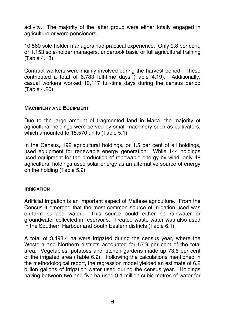activity. The majority of the latter group were either totally engaged in agriculture or were pensioners.

10,560 sole-holder managers had practical experience. Only 9.8 per cent, or 1,153 sole-holder managers, undertook basic or full agricultural training (Table 4.18).

Contract workers were mainly involved during the harvest period. These contributed a total of 6,783 full-time days (Table 4.19). Additionally, casual workers worked 10,117 full-time days during the census period (Table 4.20).

### **MACHINERY AND EQUIPMENT**

Due to the large amount of fragmented land in Malta, the majority of agricultural holdings were served by small machinery such as cultivators, which amounted to 15,570 units (Table 5.1).

In the Census, 192 agricultural holdings, or 1.5 per cent of all holdings, used equipment for renewable energy generation. While 144 holdings used equipment for the production of renewable energy by wind, only 48 agricultural holdings used solar energy as an alternative source of energy on the holding (Table 5.2).

### **IRRIGATION**

Artificial irrigation is an important aspect of Maltese agriculture. From the Census it emerged that the most common source of irrigation used was on-farm surface water. This source could either be rainwater or groundwater collected in reservoirs. Treated waste water was also used in the Southern Harbour and South Eastern districts (Table 6.1).

A total of 3,498.4 ha were irrigated during the census year, where the Western and Northern districts accounted for 57.9 per cent of the total area. Vegetables, potatoes and kitchen gardens made up 73.6 per cent of the irrigated area (Table 6.2). Following the calculations mentioned in the methodological report, the regression model yielded an estimate of 6.2 billion gallons of irrigation water used during the census year. Holdings having between two and five ha used 9.1 million cubic metres of water for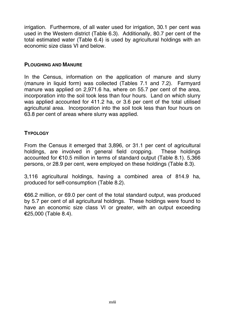irrigation. Furthermore, of all water used for irrigation, 30.1 per cent was used in the Western district (Table 6.3). Additionally, 80.7 per cent of the total estimated water (Table 6.4) is used by agricultural holdings with an economic size class VI and below.

### **PLOUGHING AND MANURE**

In the Census, information on the application of manure and slurry (manure in liquid form) was collected (Tables 7.1 and 7.2). Farmyard manure was applied on 2,971.6 ha, where on 55.7 per cent of the area, incorporation into the soil took less than four hours. Land on which slurry was applied accounted for 411.2 ha, or 3.6 per cent of the total utilised agricultural area. Incorporation into the soil took less than four hours on 63.8 per cent of areas where slurry was applied.

### **TYPOLOGY**

From the Census it emerged that 3,896, or 31.1 per cent of agricultural holdings, are involved in general field cropping. These holdings accounted for €10.5 million in terms of standard output (Table 8.1). 5,366 persons, or 28.9 per cent, were employed on these holdings (Table 8.3).

3,116 agricultural holdings, having a combined area of 814.9 ha, produced for self-consumption (Table 8.2).

€66.2 million, or 69.0 per cent of the total standard output, was produced by 5.7 per cent of all agricultural holdings. These holdings were found to have an economic size class VI or greater, with an output exceeding €25,000 (Table 8.4).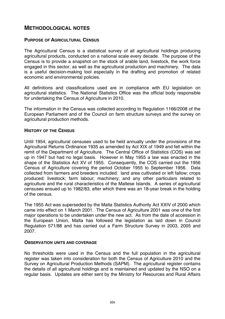# **METHODOLOGICAL NOTES**

#### **PURPOSE OF AGRICULTURAL CENSUS**

The Agricultural Census is a statistical survey of all agricultural holdings producing agricultural products, conducted on a national scale every decade. The purpose of the Census is to provide a snapshot on the stock of arable land, livestock, the work force engaged in this sector, as well as the agricultural production and machinery. The data is a useful decision-making tool especially in the drafting and promotion of related economic and environmental policies.

All definitions and classifications used are in compliance with EU legislation on agricultural statistics. The National Statistics Office was the official body responsible for undertaking the Census of Agriculture in 2010.

The information in the Census was collected according to Regulation 1166/2008 of the European Parliament and of the Council on farm structure surveys and the survey on agricultural production methods.

#### **HISTORY OF THE CENSUS**

Until 1954, agricultural censuses used to be held annually under the provisions of the Agricultural Returns Ordinance 1935 as amended by Act XIX of 1949 and fell within the remit of the Department of Agriculture. The Central Office of Statistics (COS) was set up in 1947 but had no legal basis. However in May 1955 a law was enacted in the shape of the Statistics Act XV of 1955. Consequently, the COS carried out the 1956 Census of Agriculture covering the period October 1955 to September 1956. Data collected from farmers and breeders included: land area cultivated or left fallow; crops produced; livestock; farm labour; machinery; and any other particulars related to agriculture and the rural characteristics of the Maltese Islands. A series of agricultural censuses ensued up to 1982/83, after which there was an 18-year break in the holding of the census.

The 1955 Act was superseded by the Malta Statistics Authority Act XXIV of 2000 which came into effect on 1 March 2001. The Census of Agriculture 2001 was one of the first major operations to be undertaken under the new act. As from the date of accession in the European Union, Malta has followed the legislation as laid down in Council Regulation 571/88 and has carried out a Farm Structure Survey in 2003, 2005 and 2007.

#### **OBSERVATION UNITS AND COVERAGE**

No thresholds were used in the Census and the full population in the agricultural register was taken into consideration for both the Census of Agriculture 2010 and the Survey on Agricultural Production Methods (SAPM). The agricultural register contains the details of all agricultural holdings and is maintained and updated by the NSO on a regular basis. Updates are either sent by the Ministry for Resources and Rural Affairs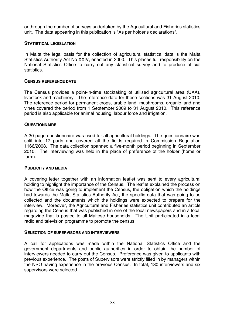or through the number of surveys undertaken by the Agricultural and Fisheries statistics unit. The data appearing in this publication is "As per holder's declarations".

#### **STATISTICAL LEGISLATION**

In Malta the legal basis for the collection of agricultural statistical data is the Malta Statistics Authority Act No XXIV, enacted in 2000. This places full responsibility on the National Statistics Office to carry out any statistical survey and to produce official statistics.

#### **CENSUS REFERENCE DATE**

The Census provides a point-in-time stocktaking of utilised agricultural area (UAA), livestock and machinery. The reference date for these sections was 31 August 2010. The reference period for permanent crops, arable land, mushrooms, organic land and vines covered the period from 1 September 2009 to 31 August 2010. This reference period is also applicable for animal housing, labour force and irrigation.

#### **QUESTIONNAIRE**

A 30-page questionnaire was used for all agricultural holdings. The questionnaire was split into 17 parts and covered all the fields required in Commission Regulation 1166/2008. The data collection spanned a five-month period beginning in September 2010. The interviewing was held in the place of preference of the holder (home or farm).

#### **PUBLICITY AND MEDIA**

A covering letter together with an information leaflet was sent to every agricultural holding to highlight the importance of the Census. The leaflet explained the process on how the Office was going to implement the Census, the obligation which the holdings had towards the Malta Statistics Authority Act, the specific data that was going to be collected and the documents which the holdings were expected to prepare for the interview. Moreover, the Agricultural and Fisheries statistics unit contributed an article regarding the Census that was published in one of the local newspapers and in a local magazine that is posted to all Maltese households. The Unit participated in a local radio and television programme to promote the census.

#### **SELECTION OF SUPERVISORS AND INTERVIEWERS**

A call for applications was made within the National Statistics Office and the government departments and public authorities in order to obtain the number of interviewers needed to carry out the Census. Preference was given to applicants with previous experience. The posts of Supervisors were strictly filled in by managers within the NSO having experience in the previous Census. In total, 130 interviewers and six supervisors were selected.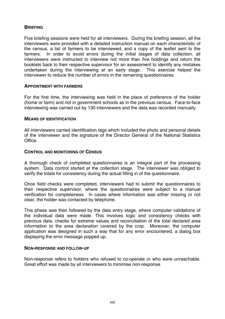#### **BRIEFING**

Five briefing sessions were held for all interviewers. During the briefing session, all the interviewers were provided with a detailed instruction manual on each characteristic of the census, a list of farmers to be interviewed, and a copy of the leaflet sent to the farmers. In order to avoid errors during the initial stages of data collection, all interviewers were instructed to interview not more than five holdings and return the booklets back to their respective supervisor for an assessment to identify any mistakes undertaken during the interviewing at an early stage. This exercise helped the interviewer to reduce the number of errors in the remaining questionnaires.

#### **APPOINTMENT WITH FARMERS**

For the first time, the interviewing was held in the place of preference of the holder (home or farm) and not in government schools as in the previous census. Face-to-face interviewing was carried out by 130 interviewers and the data was recorded manually.

#### **MEANS OF IDENTIFICATION**

All interviewers carried identification tags which included the photo and personal details of the interviewer and the signature of the Director General of the National Statistics Office.

#### **CONTROL AND MONITORING OF CENSUS**

A thorough check of completed questionnaires is an integral part of the processing system. Data control started at the collection stage. The interviewer was obliged to verify the totals for consistency during the actual filling in of the questionnaire.

Once field checks were completed, interviewers had to submit the questionnaires to their respective supervisor, where the questionnaires were subject to a manual verification for completeness. In cases where information was either missing or not clear, the holder was contacted by telephone.

This phase was then followed by the data entry stage, where computer validations of the individual data were made. This involves logic and consistency checks with previous data, checks for extreme values and reconciliation of the total declared area information to the area declaration covered by the crop. Moreover, the computer application was designed in such a way that for any error encountered, a dialog box displaying the error message popped up.

#### **NON-RESPONSE AND FOLLOW-UP**

Non-response refers to holders who refused to co-operate or who were unreachable. Great effort was made by all interviewers to minimise non-response.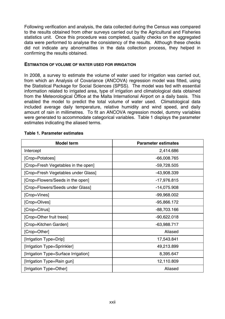Following verification and analysis, the data collected during the Census was compared to the results obtained from other surveys carried out by the Agricultural and Fisheries statistics unit. Once this procedure was completed, quality checks on the aggregated data were performed to analyse the consistency of the results. Although these checks did not indicate any abnormalities in the data collection process, they helped in confirming the results obtained.

#### **ESTIMATION OF VOLUME OF WATER USED FOR IRRIGATION**

In 2008, a survey to estimate the volume of water used for irrigation was carried out, from which an Analysis of Covariance (ANCOVA) regression model was fitted, using the Statistical Package for Social Sciences (SPSS). The model was fed with essential information related to irrigated area, type of irrigation and climatological data obtained from the Meteorological Office at the Malta International Airport on a daily basis. This enabled the model to predict the total volume of water used. Climatological data included average daily temperature, relative humidity and wind speed, and daily amount of rain in millimetres. To fit an ANCOVA regression model, dummy variables were generated to accommodate categorical variables. Table 1 displays the parameter estimates indicating the aliased terms.

| Model term                           | <b>Parameter estimates</b> |
|--------------------------------------|----------------------------|
| Intercept                            | 2,414.686                  |
| [Crop=Potatoes]                      | $-66,008.765$              |
| [Crop=Fresh Vegetables in the open]  | $-59,728.505$              |
| [Crop=Fresh Vegetables under Glass]  | -43,908.339                |
| [Crop=Flowers/Seeds in the open]     | -17,976.815                |
| [Crop=Flowers/Seeds under Glass]     | -14,075.908                |
| [Crop=Vines]                         | $-99,968.002$              |
| [Crop=Olives]                        | $-95,866.172$              |
| [Crop=Citrus]                        | -88,703.166                |
| [Crop=Other fruit trees]             | $-90,622.018$              |
| [Crop=Kitchen Garden]                | $-63,988.717$              |
| [Crop=Other]                         | Aliased                    |
| [Irrigation Type=Drip]               | 17,543.841                 |
| [Irrigation Type=Sprinkler]          | 49,213.899                 |
| [Irrigation Type=Surface Irrigation] | 8,395.647                  |
| [Irrigation Type=Rain gun]           | 12,110.809                 |
| [Irrigation Type=Other]              | Aliased                    |

#### **Table 1. Parameter estimates**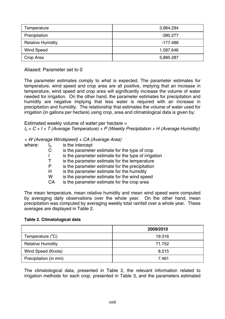| Temperature              | 3,964.294  |
|--------------------------|------------|
| Precipitation            | $-390.277$ |
| <b>Relative Humidity</b> | -177.488   |
| Wind Speed               | 1,597.646  |
| Crop Area                | 5,885.287  |

Aliased: Parameter set to 0

The parameter estimates comply to what is expected. The parameter estimates for temperature, wind speed and crop area are all positive, implying that an increase in temperature, wind speed and crop area will significantly increase the volume of water needed for irrigation. On the other hand, the parameter estimates for precipitation and humidity are negative implying that less water is required with an increase in precipitation and humidity. The relationship that estimates the volume of water used for irrigation (in gallons per hectare) using crop, area and climatological data is given by:

Estimated weekly volume of water per hectare = *Io + C + I + T (Average Temperature) + P (Weekly Precipitation + H (Average Humidity)* 

*+ W (Average Windspeed) + CA (Average Area)* 

| where: | Ι٥ | is the intercept                                     |
|--------|----|------------------------------------------------------|
|        | C  | is the parameter estimate for the type of crop       |
|        |    | is the parameter estimate for the type of irrigation |
|        | т  | is the parameter estimate for the temperature        |
|        | P  | is the parameter estimate for the precipitation      |
|        | н  | is the parameter estimate for the humidity           |
|        | w  | is the parameter estimate for the wind speed         |
|        | CA | is the parameter estimate for the crop area          |
|        |    |                                                      |

The mean temperature, mean relative humidity and mean wind speed were computed by averaging daily observations over the whole year. On the other hand, mean precipitation was computed by averaging weekly total rainfall over a whole year. These averages are displayed in Table 2.

#### **Table 2. Climatological data**

|                          | 2009/2010 |
|--------------------------|-----------|
| Temperature (°C)         | 19.316    |
| <b>Relative Humidity</b> | 71.752    |
| Wind Speed (Knots)       | 8.215     |
| Precipitation (in mm)    | 7.461     |

The climatological data, presented in Table 2, the relevant information related to irrigation methods for each crop, presented in Table 3, and the parameters estimated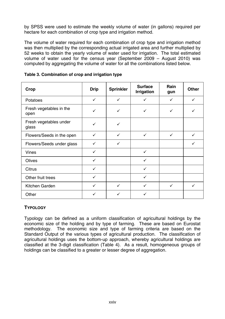by SPSS were used to estimate the weekly volume of water (in gallons) required per hectare for each combination of crop type and irrigation method.

The volume of water required for each combination of crop type and irrigation method was then multiplied by the corresponding actual irrigated area and further multiplied by 52 weeks to obtain the yearly volume of water used for irrigation. The total estimated volume of water used for the census year (September 2009 – August 2010) was computed by aggregating the volume of water for all the combinations listed below.

| Crop                            | <b>Drip</b>  | Sprinkler | <b>Surface</b><br>Irrigation | Rain<br>gun  | Other |
|---------------------------------|--------------|-----------|------------------------------|--------------|-------|
| Potatoes                        | ✓            | ✓         | ✓                            | ✓            | ✓     |
| Fresh vegetables in the<br>open | ✓            | ✓         | ✓                            | ✓            | ✓     |
| Fresh vegetables under<br>glass | ✓            | ✓         |                              |              |       |
| Flowers/Seeds in the open       | ✓            | ✓         | $\checkmark$                 | ✓            | ✓     |
| Flowers/Seeds under glass       |              |           |                              |              |       |
| Vines                           | ✓            |           | ✓                            |              |       |
| Olives                          | $\checkmark$ |           | ✓                            |              |       |
| Citrus                          | ✓            |           | ✓                            |              |       |
| Other fruit trees               | ✓            |           | ✓                            |              |       |
| Kitchen Garden                  | ✓            | ✓         | ✓                            | $\checkmark$ | ✓     |
| Other                           | ✓            |           | ✓                            |              |       |

**Table 3. Combination of crop and irrigation type** 

#### **TYPOLOGY**

Typology can be defined as a uniform classification of agricultural holdings by the economic size of the holding and by type of farming. These are based on Eurostat methodology. The economic size and type of farming criteria are based on the Standard Output of the various types of agricultural production. The classification of agricultural holdings uses the bottom-up approach, whereby agricultural holdings are classified at the 3-digit classification (Table 4). As a result, homogeneous groups of holdings can be classified to a greater or lesser degree of aggregation.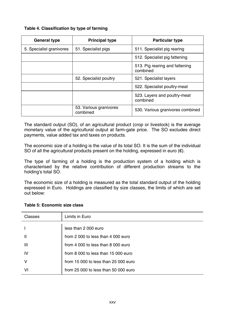| General type             | <b>Principal type</b>              | <b>Particular type</b>                     |
|--------------------------|------------------------------------|--------------------------------------------|
| 5. Specialist granivores | 51. Specialist pigs                | 511. Specialist pig rearing                |
|                          |                                    | 512. Specialist pig fattening              |
|                          |                                    | 513. Pig rearing and fattening<br>combined |
|                          | 52. Specialist poultry             | 521. Specialist layers                     |
|                          |                                    | 522. Specialist poultry-meat               |
|                          |                                    | 523. Layers and poultry-meat<br>combined   |
|                          | 53. Various granivores<br>combined | 530. Various granivores combined           |

The standard output (SO), of an agricultural product (crop or livestock) is the average monetary value of the agricultural output at farm-gate price. The SO excludes direct payments, value added tax and taxes on products.

The economic size of a holding is the value of its total SO. It is the sum of the individual SO of all the agricultural products present on the holding, expressed in euro  $(\epsilon)$ .

The type of farming of a holding is the production system of a holding which is characterised by the relative contribution of different production streams to the holding's total SO.

The economic size of a holding is measured as the total standard output of the holding expressed in Euro. Holdings are classified by size classes, the limits of which are set out below:

| Classes | Limits in Euro                       |
|---------|--------------------------------------|
|         | less than 2000 euro                  |
|         | from 2,000 to less than 4,000 euro   |
| Ш       | from 4,000 to less than 8,000 euro   |
| IV      | from 8 000 to less than 15 000 euro  |
| v       | from 15 000 to less than 25 000 euro |
| ۷ı      | from 25 000 to less than 50 000 euro |

#### **Table 5: Economic size class**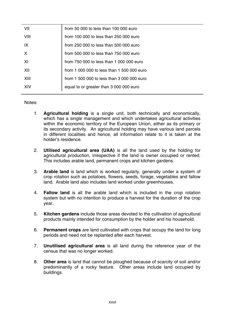| VII  | from 50 000 to less than 100 000 euro      |
|------|--------------------------------------------|
| VIII | from 100 000 to less than 250 000 euro     |
| IX   | from 250 000 to less than 500 000 euro     |
| X    | from 500 000 to less than 750 000 euro     |
| XI   | from 750 000 to less than 1 000 000 euro   |
| XII  | from 1,000,000 to less than 1,500,000 euro |
| XIII | from 1 500 000 to less than 3 000 000 euro |
| XIV  | equal to or greater than 3 000 000 euro    |

#### Notes:

- 1. **Agricultural holding** is a single unit, both technically and economically, which has a single management and which undertakes agricultural activities within the economic territory of the European Union, either as its primary or its secondary activity. An agricultural holding may have various land parcels in different localities and hence, all information relate to it is taken at the holder's residence.
- 2. **Utilised agricultural area (UAA)** is all the land used by the holding for agricultural production, irrespective if the land is owner occupied or rented. This includes arable land, permanent crops and kitchen gardens.
- 3. **Arable land** is land which is worked regularly, generally under a system of crop rotation such as potatoes, flowers, seeds, forage, vegetables and fallow land. Arable land also includes land worked under greenhouses.
- 4. **Fallow land** is all the arable land which is included in the crop rotation system but with no intention to produce a harvest for the duration of the crop year.
- 5. **Kitchen gardens** include those areas devoted to the cultivation of agricultural products mainly intended for consumption by the holder and his household.
- 6. **Permanent crops** are land cultivated with crops that occupy the land for long periods and need not be replanted after each harvest.
- 7. **Unutilised agricultural area** is all land during the reference year of the census that was no longer worked.
- 8. **Other area** is land that cannot be ploughed because of scarcity of soil and/or predominantly of a rocky feature. Other areas include land occupied by buildings.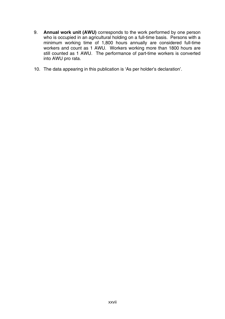- 9. **Annual work unit (AWU)** corresponds to the work performed by one person who is occupied in an agricultural holding on a full-time basis. Persons with a minimum working time of 1,800 hours annually are considered full-time workers and count as 1 AWU. Workers working more than 1800 hours are still counted as 1 AWU. The performance of part-time workers is converted into AWU pro rata.
- 10. The data appearing in this publication is 'As per holder's declaration'.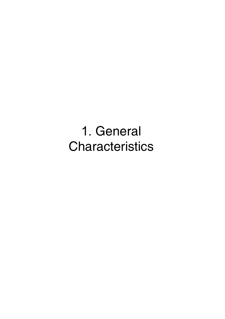1. General **Characteristics**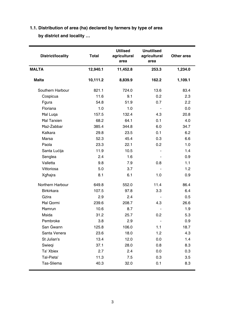# **1.1. Distribution of area (ha) declared by farmers by type of area by district and locality …**

| <b>District/locality</b> | Total    | <b>Utilised</b><br>agricultural<br>area | <b>Unutilised</b><br>agricultural<br>area | Other area |
|--------------------------|----------|-----------------------------------------|-------------------------------------------|------------|
| <b>MALTA</b>             | 12,940.1 | 11,452.8                                | 253.3                                     | 1,234.0    |
| Malta                    | 10,111.2 | 8,839.9                                 | 162.2                                     | 1,109.1    |
| Southern Harbour         | 821.1    | 724.0                                   | 13.6                                      | 83.4       |
| Cospicua                 | 11.6     | 9.1                                     | 0.2                                       | 2.3        |
| Fqura                    | 54.8     | 51.9                                    | 0.7                                       | 2.2        |
| Floriana                 | 1.0      | 1.0                                     | ä,                                        | 0.0        |
| <b>Hal Luga</b>          | 157.5    | 132.4                                   | 4.3                                       | 20.8       |
| <b>Hal Tarxien</b>       | 68.2     | 64.1                                    | 0.1                                       | 4.0        |
| Haż-Żabbar               | 385.4    | 344.8                                   | 6.0                                       | 34.7       |
| Kalkara                  | 29.8     | 23.5                                    | 0.1                                       | 6.2        |
| Marsa                    | 52.3     | 45.4                                    | 0.3                                       | 6.6        |
| Paola                    | 23.3     | 22.1                                    | 0.2                                       | 1.0        |
| Santa Lucija             | 11.9     | 10.5                                    | $\overline{a}$                            | 1.4        |
| Senglea                  | 2.4      | 1.6                                     | $\overline{\phantom{a}}$                  | 0.9        |
| Valletta                 | 9.8      | 7.9                                     | 0.8                                       | 1.1        |
| Vittoriosa               | 5.0      | 3.7                                     |                                           | 1.2        |
| Xgħajra                  | 8.1      | 6.1                                     | 1.0                                       | 0.9        |
| Northern Harbour         | 649.8    | 552.0                                   | 11.4                                      | 86.4       |
| <b>Birkirkara</b>        | 107.5    | 97.8                                    | 3.3                                       | 6.4        |
| Gżira                    | 2.9      | 2.4                                     | $\overline{a}$                            | 0.5        |
| Hal Qormi                | 239.6    | 208.7                                   | 4.3                                       | 26.6       |
| Hamrun                   | 10.6     | 8.7                                     | $\blacksquare$                            | 1.9        |
| Msida                    | 31.2     | 25.7                                    | 0.2                                       | 5.3        |
| Pembroke                 | 3.8      | 2.9                                     | $\overline{a}$                            | 0.9        |
| San Gwann                | 125.8    | 106.0                                   | 1.1                                       | 18.7       |
| Santa Venera             | 23.6     | 18.0                                    | 1.2                                       | 4.3        |
| St Julian's              | 13.4     | 12.0                                    | 0.0                                       | 1.4        |
| Swiegi                   | 37.1     | 28.0                                    | 0.8                                       | 8.3        |
| Ta' Xbiex                | 2.7      | 2.4                                     | 0.0                                       | 0.3        |
| Tal-Pieta'               | 11.3     | 7.5                                     | 0.3                                       | 3.5        |
| Tas-Sliema               | 40.3     | 32.0                                    | 0.1                                       | 8.3        |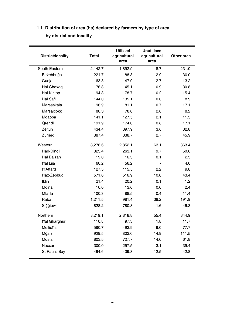# **… 1.1. Distribution of area (ha) declared by farmers by type of area by district and locality**

| <b>District/locality</b> | <b>Total</b> | <b>Utilised</b><br>agricultural<br>area | <b>Unutilised</b><br>agricultural<br>area | Other area |
|--------------------------|--------------|-----------------------------------------|-------------------------------------------|------------|
| South Eastern            | 2,142.7      | 1,892.9                                 | 18.7                                      | 231.0      |
| Birżebbuġa               | 221.7        | 188.8                                   | 2.9                                       | 30.0       |
| Gudja                    | 163.8        | 147.9                                   | 2.7                                       | 13.2       |
| Hal Ghaxaq               | 176.8        | 145.1                                   | 0.9                                       | 30.8       |
| <b>Hal Kirkop</b>        | 94.3         | 78.7                                    | 0.2                                       | 15.4       |
| <b>Hal Safi</b>          | 144.0        | 135.1                                   | 0.0                                       | 8.9        |
| Marsaskala               | 98.9         | 81.1                                    | 0.7                                       | 17.1       |
| Marsaxlokk               | 88.3         | 78.0                                    | 2.0                                       | 8.2        |
| Mqabba                   | 141.1        | 127.5                                   | 2.1                                       | 11.5       |
| Qrendi                   | 191.9        | 174.0                                   | 0.8                                       | 17.1       |
| Żejtun                   | 434.4        | 397.9                                   | 3.6                                       | 32.8       |
| Żurrieg                  | 387.4        | 338.7                                   | 2.7                                       | 45.9       |
| Western                  | 3,278.6      | 2,852.1                                 | 63.1                                      | 363.4      |
| Had-Dingli               | 323.4        | 263.1                                   | 9.7                                       | 50.6       |
| <b>Hal Balzan</b>        | 19.0         | 16.3                                    | 0.1                                       | 2.5        |
| Hal Lija                 | 60.2         | 56.2                                    |                                           | 4.0        |
| <b>H'Attard</b>          | 127.5        | 115.5                                   | 2.2                                       | 9.8        |
| Haż-Żebbug               | 571.0        | 516.9                                   | 10.8                                      | 43.4       |
| <b>Iklin</b>             | 21.4         | 20.2                                    | 0.1                                       | 1.2        |
| Mdina                    | 16.0         | 13.6                                    | 0.0                                       | 2.4        |
| <b>Mtarfa</b>            | 100.3        | 88.5                                    | 0.4                                       | 11.4       |
| Rabat                    | 1,211.5      | 981.4                                   | 38.2                                      | 191.9      |
| Siggiewi                 | 828.2        | 780.3                                   | 1.6                                       | 46.3       |
| Northern                 | 3,219.1      | 2,818.8                                 | 55.4                                      | 344.9      |
| <b>Hal Gharghur</b>      | 110.8        | 97.3                                    | 1.8                                       | 11.7       |
| Mellieħa                 | 580.7        | 493.9                                   | 9.0                                       | 77.7       |
| Mġarr                    | 929.5        | 803.0                                   | 14.9                                      | 111.5      |
| Mosta                    | 803.5        | 727.7                                   | 14.0                                      | 61.8       |
| Naxxar                   | 300.0        | 257.5                                   | 3.1                                       | 39.4       |
| St Paul's Bay            | 494.6        | 439.3                                   | 12.5                                      | 42.8       |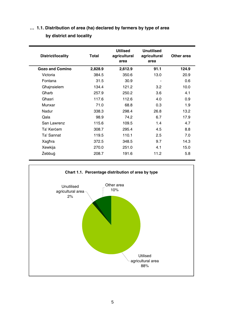# **… 1.1. Distribution of area (ha) declared by farmers by type of area by district and locality**

| Total   | <b>Utilised</b><br>agricultural<br>area | <b>Unutilised</b><br>agricultural<br>area | Other area |
|---------|-----------------------------------------|-------------------------------------------|------------|
| 2,828.9 | 2,612.9                                 | 91.1                                      | 124.9      |
| 384.5   | 350.6                                   | 13.0                                      | 20.9       |
| 31.5    | 30.9                                    |                                           | 0.6        |
| 134.4   | 121.2                                   | 3.2                                       | 10.0       |
| 257.9   | 250.2                                   | 3.6                                       | 4.1        |
| 117.6   | 112.6                                   | 4.0                                       | 0.9        |
| 71.0    | 68.8                                    | 0.3                                       | 1.9        |
| 338.3   | 298.4                                   | 26.8                                      | 13.2       |
| 98.9    | 74.2                                    | 6.7                                       | 17.9       |
| 115.6   | 109.5                                   | 1.4                                       | 4.7        |
| 308.7   | 295.4                                   | 4.5                                       | 8.8        |
| 119.5   | 110.1                                   | 2.5                                       | 7.0        |
| 372.5   | 348.5                                   | 9.7                                       | 14.3       |
| 270.0   | 251.0                                   | 4.1                                       | 15.0       |
| 208.7   | 191.6                                   | 11.2                                      | 5.8        |
|         |                                         |                                           |            |

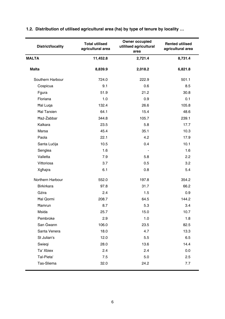| <b>District/locality</b> | <b>Total utilised</b><br>agricultural area | Owner occupied<br>utililsed agricultural<br>area | <b>Rented utilised</b><br>agricultural area |
|--------------------------|--------------------------------------------|--------------------------------------------------|---------------------------------------------|
| MALTA                    | 11,452.8                                   | 2,721.4                                          | 8,731.4                                     |
| <b>Malta</b>             | 8,839.9                                    | 2,018.2                                          | 6,821.8                                     |
| Southern Harbour         | 724.0                                      | 222.9                                            | 501.1                                       |
| Cospicua                 | 9.1                                        | 0.6                                              | 8.5                                         |
| Fgura                    | 51.9                                       | 21.2                                             | 30.8                                        |
| Floriana                 | 1.0                                        | 0.9                                              | 0.1                                         |
| <b>Hal Luga</b>          | 132.4                                      | 26.6                                             | 105.8                                       |
| <b>Hal Tarxien</b>       | 64.1                                       | 15.4                                             | 48.6                                        |
| Haż-Żabbar               | 344.8                                      | 105.7                                            | 239.1                                       |
| Kalkara                  | 23.5                                       | 5.8                                              | 17.7                                        |
| Marsa                    | 45.4                                       | 35.1                                             | 10.3                                        |
| Paola                    | 22.1                                       | 4.2                                              | 17.9                                        |
| Santa Lucija             | 10.5                                       | 0.4                                              | 10.1                                        |
| Senglea                  | 1.6                                        | ÷.                                               | 1.6                                         |
| Valletta                 | 7.9                                        | 5.8                                              | 2.2                                         |
| Vittoriosa               | 3.7                                        | 0.5                                              | 3.2                                         |
| Xgħajra                  | 6.1                                        | 0.8                                              | 5.4                                         |
| Northern Harbour         | 552.0                                      | 197.8                                            | 354.2                                       |
| <b>Birkirkara</b>        | 97.8                                       | 31.7                                             | 66.2                                        |
| Gżira                    | 2.4                                        | 1.5                                              | 0.9                                         |
| Hal Qormi                | 208.7                                      | 64.5                                             | 144.2                                       |
| Hamrun                   | 8.7                                        | 5.3                                              | 3.4                                         |
| Msida                    | 25.7                                       | 15.0                                             | 10.7                                        |
| Pembroke                 | 2.9                                        | 1.0                                              | 1.8                                         |
| San Gwann                | 106.0                                      | 23.5                                             | 82.5                                        |
| Santa Venera             | 18.0                                       | 4.7                                              | 13.3                                        |
| St Julian's              | 12.0                                       | 5.5                                              | 6.5                                         |
| Swiegi                   | 28.0                                       | 13.6                                             | 14.4                                        |
| Ta' Xbiex                | 2.4                                        | 2.4                                              | 0.0                                         |
| Tal-Pieta'               | 7.5                                        | 5.0                                              | 2.5                                         |
| Tas-Sliema               | 32.0                                       | 24.2                                             | 7.7                                         |

### **1.2. Distribution of utilised agricultural area (ha) by type of tenure by locality …**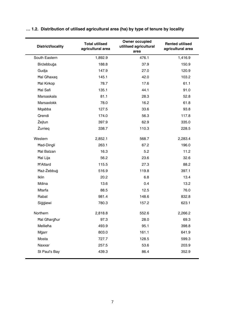| <b>District/locality</b> | <b>Total utilised</b><br>agricultural area | Owner occupied<br>utililsed agricultural<br>area | <b>Rented utilised</b><br>agricultural area |
|--------------------------|--------------------------------------------|--------------------------------------------------|---------------------------------------------|
| South Eastern            | 1,892.9                                    | 476.1                                            | 1,416.9                                     |
| Birżebbuġa               | 188.8                                      | 37.9                                             | 150.9                                       |
| Gudja                    | 147.9                                      | 27.0                                             | 120.9                                       |
| <b>Hal Ghaxaq</b>        | 145.1                                      | 42.0                                             | 103.2                                       |
| <b>Hal Kirkop</b>        | 78.7                                       | 17.6                                             | 61.1                                        |
| <b>Hal Safi</b>          | 135.1                                      | 44.1                                             | 91.0                                        |
| Marsaskala               | 81.1                                       | 28.3                                             | 52.8                                        |
| Marsaxlokk               | 78.0                                       | 16.2                                             | 61.8                                        |
| Mqabba                   | 127.5                                      | 33.6                                             | 93.8                                        |
| Qrendi                   | 174.0                                      | 56.3                                             | 117.8                                       |
| Żejtun                   | 397.9                                      | 62.9                                             | 335.0                                       |
| Żurrieg                  | 338.7                                      | 110.3                                            | 228.5                                       |
| Western                  | 2,852.1                                    | 568.7                                            | 2,283.4                                     |
| Had-Dingli               | 263.1                                      | 67.2                                             | 196.0                                       |
| <b>Hal Balzan</b>        | 16.3                                       | 5.2                                              | 11.2                                        |
| Hal Lija                 | 56.2                                       | 23.6                                             | 32.6                                        |
| <b>H'Attard</b>          | 115.5                                      | 27.3                                             | 88.2                                        |
| Haż-Żebbug               | 516.9                                      | 119.8                                            | 397.1                                       |
| <b>Iklin</b>             | 20.2                                       | 6.8                                              | 13.4                                        |
| Mdina                    | 13.6                                       | 0.4                                              | 13.2                                        |
| Mtarfa                   | 88.5                                       | 12.5                                             | 76.0                                        |
| Rabat                    | 981.4                                      | 148.6                                            | 832.8                                       |
| Siģģiewi                 | 780.3                                      | 157.2                                            | 623.1                                       |
| Northern                 | 2,818.8                                    | 552.6                                            | 2,266.2                                     |
| <b>Hal Gharghur</b>      | 97.3                                       | 28.0                                             | 69.3                                        |
| Mellieħa                 | 493.9                                      | 95.1                                             | 398.8                                       |
| Mġarr                    | 803.0                                      | 161.1                                            | 641.9                                       |
| Mosta                    | 727.7                                      | 128.5                                            | 599.3                                       |
| Naxxar                   | 257.5                                      | 53.6                                             | 203.9                                       |
| St Paul's Bay            | 439.3                                      | 86.4                                             | 352.9                                       |

### **… 1.2. Distribution of utilised agricultural area (ha) by type of tenure by locality**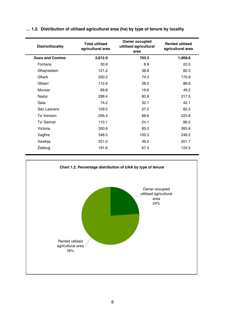| District/locality      | <b>Total utilised</b><br>agricultural area | Owner occupied<br>utililsed agricultural<br>area | <b>Rented utilised</b><br>agricultural area |
|------------------------|--------------------------------------------|--------------------------------------------------|---------------------------------------------|
| <b>Gozo and Comino</b> | 2,612.9                                    | 703.3                                            | 1,909.6                                     |
| Fontana                | 30.9                                       | 8.9                                              | 22.0                                        |
| Għajnsielem            | 121.2                                      | 38.8                                             | 82.3                                        |
| Gharb                  | 250.2                                      | 74.3                                             | 175.9                                       |
| Għasri                 | 112.6                                      | 26.0                                             | 86.6                                        |
| Munxar                 | 68.8                                       | 19.6                                             | 49.2                                        |
| Nadur                  | 298.4                                      | 80.9                                             | 217.5                                       |
| Qala                   | 74.2                                       | 32.1                                             | 42.1                                        |
| San Lawrenz            | 109.5                                      | 27.2                                             | 82.3                                        |
| Ta' Kercem             | 295.4                                      | 69.6                                             | 225.8                                       |
| Ta' Sannat             | 110.1                                      | 24.1                                             | 86.0                                        |
| Victoria               | 350.6                                      | 85.0                                             | 265.6                                       |
| Xagħra                 | 348.5                                      | 100.3                                            | 248.2                                       |
| Xewkija                | 251.0                                      | 49.2                                             | 201.7                                       |
| Żebbuġ                 | 191.6                                      | 67.3                                             | 124.3                                       |

#### **… 1.2. Distribution of utilised agricultural area (ha) by type of tenure by locality**

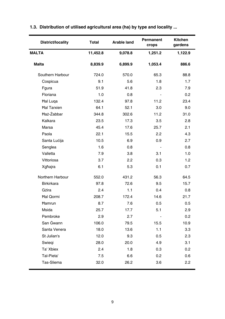| District/locality  | <b>Total</b> | <b>Arable land</b> | Permanent<br>crops       | <b>Kitchen</b><br>gardens |
|--------------------|--------------|--------------------|--------------------------|---------------------------|
| <b>MALTA</b>       | 11,452.8     | 9,078.8            | 1,251.2                  | 1,122.9                   |
| Malta              | 8,839.9      | 6,899.9            | 1,053.4                  | 886.6                     |
| Southern Harbour   | 724.0        | 570.0              | 65.3                     | 88.8                      |
| Cospicua           | 9.1          | 5.6                | 1.8                      | 1.7                       |
| Fgura              | 51.9         | 41.8               | 2.3                      | 7.9                       |
| Floriana           | 1.0          | 0.8                | $\overline{a}$           | 0.2                       |
| <b>Hal Luga</b>    | 132.4        | 97.8               | 11.2                     | 23.4                      |
| <b>Hal Tarxien</b> | 64.1         | 52.1               | 3.0                      | 9.0                       |
| Haż-Żabbar         | 344.8        | 302.6              | 11.2                     | 31.0                      |
| Kalkara            | 23.5         | 17.3               | 3.5                      | 2.8                       |
| Marsa              | 45.4         | 17.6               | 25.7                     | 2.1                       |
| Paola              | 22.1         | 15.5               | 2.2                      | 4.3                       |
| Santa Lucija       | 10.5         | 6.9                | 0.9                      | 2.7                       |
| Senglea            | 1.6          | 0.8                | $\overline{\phantom{a}}$ | 0.8                       |
| Valletta           | 7.9          | 3.8                | 3.1                      | 1.0                       |
| Vittoriosa         | 3.7          | 2.2                | 0.3                      | 1.2                       |
| Xgħajra            | 6.1          | 5.3                | 0.1                      | 0.7                       |
| Northern Harbour   | 552.0        | 431.2              | 56.3                     | 64.5                      |
| <b>Birkirkara</b>  | 97.8         | 72.6               | 9.5                      | 15.7                      |
| Gżira              | 2.4          | 1.1                | 0.4                      | 0.8                       |
| Hal Qormi          | 208.7        | 172.4              | 14.6                     | 21.7                      |
| Hamrun             | 8.7          | 7.6                | 0.5                      | 0.5                       |
| Msida              | 25.7         | 17.7               | 5.1                      | 2.9                       |
| Pembroke           | 2.9          | 2.7                | $\overline{a}$           | 0.2                       |
| San Gwann          | 106.0        | 79.5               | 15.5                     | 10.9                      |
| Santa Venera       | 18.0         | 13.6               | 1.1                      | 3.3                       |
| St Julian's        | 12.0         | 9.3                | 0.5                      | 2.3                       |
| Swiegi             | 28.0         | 20.0               | 4.9                      | 3.1                       |
| Ta' Xbiex          | 2.4          | 1.8                | 0.3                      | 0.2                       |
| Tal-Pieta'         | 7.5          | 6.6                | 0.2                      | 0.6                       |
| Tas-Sliema         | 32.0         | 26.2               | 3.6                      | 2.2                       |

# **1.3. Distribution of utilised agricultural area (ha) by type and locality ...**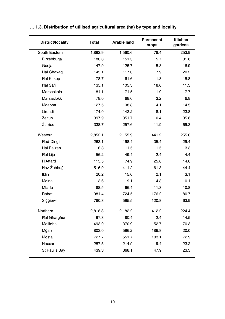| <b>District/locality</b> | Total   | <b>Arable land</b> | Permanent<br>crops | Kitchen<br>gardens |
|--------------------------|---------|--------------------|--------------------|--------------------|
| South Eastern            | 1,892.9 | 1,560.6            | 78.4               | 253.9              |
| Birżebbuġa               | 188.8   | 151.3              | 5.7                | 31.8               |
| Gudja                    | 147.9   | 125.7              | 5.3                | 16.9               |
| <b>Hal Ghaxaq</b>        | 145.1   | 117.0              | 7.9                | 20.2               |
| <b>Hal Kirkop</b>        | 78.7    | 61.6               | 1.3                | 15.8               |
| <b>Hal Safi</b>          | 135.1   | 105.3              | 18.6               | 11.3               |
| Marsaskala               | 81.1    | 71.5               | 1.9                | 7.7                |
| Marsaxlokk               | 78.0    | 68.0               | 3.2                | 6.8                |
| Mqabba                   | 127.5   | 108.8              | 4.1                | 14.5               |
| Qrendi                   | 174.0   | 142.2              | 8.1                | 23.8               |
| Żejtun                   | 397.9   | 351.7              | 10.4               | 35.8               |
| Żurrieg                  | 338.7   | 257.6              | 11.9               | 69.3               |
| Western                  | 2,852.1 | 2,155.9            | 441.2              | 255.0              |
| Had-Dingli               | 263.1   | 198.4              | 35.4               | 29.4               |
| <b>Hal Balzan</b>        | 16.3    | 11.5               | 1.5                | 3.3                |
| Hal Lija                 | 56.2    | 49.4               | 2.4                | 4.4                |
| <b>H'Attard</b>          | 115.5   | 74.9               | 25.8               | 14.8               |
| Haż-Żebbuġ               | 516.9   | 411.2              | 61.3               | 44.4               |
| Iklin                    | 20.2    | 15.0               | 2.1                | 3.1                |
| Mdina                    | 13.6    | 9.1                | 4.3                | 0.1                |
| Mtarfa                   | 88.5    | 66.4               | 11.3               | 10.8               |
| Rabat                    | 981.4   | 724.5              | 176.2              | 80.7               |
| Siggiewi                 | 780.3   | 595.5              | 120.8              | 63.9               |
| Northern                 | 2,818.8 | 2,182.2            | 412.2              | 224.4              |
| <b>Hal Gharghur</b>      | 97.3    | 80.4               | 2.4                | 14.5               |
| Mellieha                 | 493.9   | 370.9              | 52.7               | 70.3               |
| Mgarr                    | 803.0   | 596.2              | 186.8              | 20.0               |
| Mosta                    | 727.7   | 551.7              | 103.1              | 72.9               |
| Naxxar                   | 257.5   | 214.9              | 19.4               | 23.2               |
| St Paul's Bay            | 439.3   | 368.1              | 47.9               | 23.3               |

# **… 1.3. Distribution of utilised agricultural area (ha) by type and locality**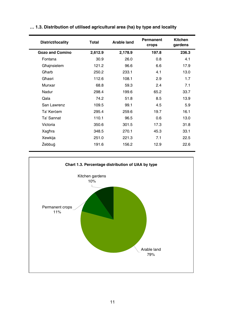| District/locality      | Total   | <b>Arable land</b> | Permanent<br>crops | <b>Kitchen</b><br>gardens |
|------------------------|---------|--------------------|--------------------|---------------------------|
| <b>Gozo and Comino</b> | 2,612.9 | 2,178.9            | 197.8              | 236.3                     |
| Fontana                | 30.9    | 26.0               | 0.8                | 4.1                       |
| Għajnsielem            | 121.2   | 96.6               | 6.6                | 17.9                      |
| Gharb                  | 250.2   | 233.1              | 4.1                | 13.0                      |
| Għasri                 | 112.6   | 108.1              | 2.9                | 1.7                       |
| Munxar                 | 68.8    | 59.3               | 2.4                | 7.1                       |
| Nadur                  | 298.4   | 199.6              | 65.2               | 33.7                      |
| Qala                   | 74.2    | 51.8               | 8.5                | 13.9                      |
| San Lawrenz            | 109.5   | 99.1               | 4.5                | 5.9                       |
| Ta' Kercem             | 295.4   | 259.6              | 19.7               | 16.1                      |
| Ta' Sannat             | 110.1   | 96.5               | 0.6                | 13.0                      |
| Victoria               | 350.6   | 301.5              | 17.3               | 31.8                      |
| Xagħra                 | 348.5   | 270.1              | 45.3               | 33.1                      |
| Xewkija                | 251.0   | 221.3              | 7.1                | 22.5                      |
| Żebbuġ                 | 191.6   | 156.2              | 12.9               | 22.6                      |
|                        |         |                    |                    |                           |

### **… 1.3. Distribution of utilised agricultural area (ha) by type and locality**

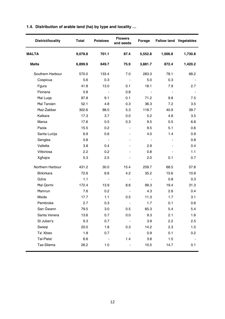|  | 1.4. Distribution of arable land (ha) by type and locality |  |  |  |  |  |  |  |  |
|--|------------------------------------------------------------|--|--|--|--|--|--|--|--|
|--|------------------------------------------------------------|--|--|--|--|--|--|--|--|

| <b>District/locality</b> | Total   | <b>Potatoes</b>          | <b>Flowers</b><br>and seeds | Forage         | Fallow land Vegetables |         |
|--------------------------|---------|--------------------------|-----------------------------|----------------|------------------------|---------|
| <b>MALTA</b>             | 9,078.8 | 701.1                    | 87.4                        | 5,552.8        | 1,006.8                | 1,730.8 |
| Malta                    | 6,899.9 | 649.7                    | 75.9                        | 3,881.7        | 872.4                  | 1,420.2 |
| Southern Harbour         | 570.0   | 133.4                    | 7.0                         | 283.3          | 78.1                   | 68.2    |
| Cospicua                 | 5.6     | 0.3                      | $\sim$                      | 5.0            | 0.3                    |         |
| Fgura                    | 41.8    | 13.0                     | 0.1                         | 18.1           | 7.9                    | 2.7     |
| Floriana                 | 0.8     | $\sim$                   | 0.8                         | $\sim$         | $\mathbf{r}$           |         |
| <b>Hal Luga</b>          | 97.8    | 9.1                      | 0.1                         | 71.2           | 9.8                    | 7.5     |
| <b>Hal Tarxien</b>       | 52.1    | 4.8                      | 0.3                         | 36.3           | 7.2                    | 3.5     |
| <b>Haż-Żabbar</b>        | 302.6   | 98.0                     | 5.3                         | 118.7          | 40.9                   | 39.7    |
| Kalkara                  | 17.3    | 3.7                      | 0.0                         | 5.2            | 4.8                    | 3.5     |
| Marsa                    | 17.6    | 0.5                      | 0.3                         | 9.5            | 0.5                    | 6.8     |
| Paola                    | 15.5    | 0.2                      | ٠                           | 9.5            | 5.1                    | 0.6     |
| Santa Lucija             | 6.9     | 0.6                      | ÷.                          | 4.0            | 1.4                    | 0.9     |
| Senglea                  | 0.8     | $\sim$                   | $\overline{a}$              | $\sim$         | $\blacksquare$         | 0.8     |
| Valletta                 | 3.8     | 0.4                      | ÷,                          | 2.9            |                        | 0.4     |
| Vittoriosa               | 2.2     | 0.2                      | ä,                          | 0.8            |                        | 1.1     |
| Xgħajra                  | 5.3     | 2.5                      |                             | 2.0            | 0.1                    | 0.7     |
| Northern Harbour         | 431.2   | 30.0                     | 15.4                        | 259.7          | 68.5                   | 57.8    |
| Birkirkara               | 72.6    | 6.6                      | 4.2                         | 35.2           | 15.6                   | 10.9    |
| Gżira                    | 1.1     | $\overline{\phantom{a}}$ | $\blacksquare$              | $\blacksquare$ | 0.8                    | 0.3     |
| Hal Qormi                | 172.4   | 13.9                     | 8.6                         | 99.3           | 19.4                   | 31.3    |
| Hamrun                   | 7.6     | 0.2                      | $\mathbf{r}$                | 4.3            | 2.6                    | 0.4     |
| Msida                    | 17.7    | 1.1                      | 0.5                         | 11.3           | 1.7                    | 3.1     |
| Pembroke                 | 2.7     | 0.3                      | $\blacksquare$              | 1.7            | 0.1                    | 0.6     |
| San Gwann                | 79.5    | 3.0                      | 0.5                         | 65.3           | 5.4                    | 5.4     |
| Santa Venera             | 13.6    | 0.7                      | 0.0                         | 9.3            | 2.1                    | 1.6     |
| St Julian's              | 9.3     | 0.7                      | $\mathbf{r}$                | 3.9            | 2.2                    | 2.5     |
| Swiegi                   | 20.0    | 1.8                      | 0.3                         | 14.2           | 2.3                    | 1.5     |
| Ta' Xbiex                | 1.8     | 0.7                      | $\blacksquare$              | 0.9            | 0.1                    | 0.2     |
| Tal-Pieta'               | 6.6     | ÷.                       | 1.4                         | 3.8            | 1.5                    |         |
| Tas-Sliema               | 26.2    | 1.0                      | ÷,                          | 10.5           | 14.7                   | 0.1     |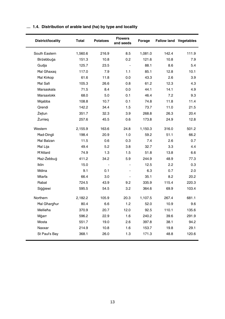| District/locality   | Total   | <b>Potatoes</b> | <b>Flowers</b><br>and seeds | Forage  |       | <b>Fallow land Vegetables</b> |
|---------------------|---------|-----------------|-----------------------------|---------|-------|-------------------------------|
| South Eastern       | 1,560.6 | 216.9           | 8.5                         | 1,081.0 | 142.4 | 111.9                         |
| Birżebbuġa          | 151.3   | 10.8            | 0.2                         | 121.6   | 10.8  | 7.9                           |
| Gudja               | 125.7   | 23.5            | $\sim$                      | 88.1    | 8.6   | 5.4                           |
| <b>Hal Ghaxaq</b>   | 117.0   | 7.9             | 1.1                         | 85.1    | 12.8  | 10.1                          |
| <b>Hal Kirkop</b>   | 61.6    | 11.8            | 0.0                         | 43.3    | 2.6   | 3.9                           |
| <b>Hal Safi</b>     | 105.3   | 26.6            | 0.8                         | 61.2    | 12.3  | 4.3                           |
| Marsaskala          | 71.5    | 8.4             | 0.0                         | 44.1    | 14.1  | 4.9                           |
| Marsaxlokk          | 68.0    | 5.0             | 0.1                         | 46.4    | 7.2   | 9.3                           |
| Mgabba              | 108.8   | 10.7            | 0.1                         | 74.8    | 11.8  | 11.4                          |
| Qrendi              | 142.2   | 34.4            | 1.5                         | 73.7    | 11.0  | 21.5                          |
| Żejtun              | 351.7   | 32.3            | 3.9                         | 268.8   | 26.3  | 20.4                          |
| Żurrieg             | 257.6   | 45.5            | 0.6                         | 173.8   | 24.9  | 12.8                          |
| Western             | 2,155.9 | 163.6           | 24.8                        | 1,150.3 | 316.0 | 501.2                         |
| <b>Had-Dingli</b>   | 198.4   | 20.9            | 1.0                         | 59.2    | 51.1  | 66.2                          |
| <b>Hal Balzan</b>   | 11.5    | 0.6             | 0.3                         | 7.4     | 2.6   | 0.7                           |
| Hal Lija            | 49.4    | 5.2             | 3.8                         | 32.7    | 3.3   | 4.4                           |
| <b>H'Attard</b>     | 74.9    | 1.3             | 1.5                         | 51.8    | 13.8  | 6.6                           |
| Haż-Żebbug          | 411.2   | 34.2            | 5.9                         | 244.9   | 48.9  | 77.3                          |
| <b>Iklin</b>        | 15.0    |                 | $\overline{a}$              | 12.5    | 2.2   | 0.3                           |
| Mdina               | 9.1     | 0.1             | ä,                          | 6.3     | 0.7   | 2.0                           |
| <b>Mtarfa</b>       | 66.4    | 3.0             | ä,                          | 35.1    | 8.2   | 20.2                          |
| Rabat               | 724.5   | 43.9            | 9.2                         | 335.9   | 115.4 | 220.3                         |
| Siggiewi            | 595.5   | 54.5            | 3.2                         | 364.6   | 69.9  | 103.4                         |
| Northern            | 2,182.2 | 105.9           | 20.3                        | 1,107.5 | 267.4 | 681.1                         |
| <b>Hal Gharghur</b> | 80.4    | 6.6             | 1.2                         | 52.0    | 10.9  | 9.6                           |
| Mellieħa            | 370.9   | 20.7            | 12.0                        | 92.5    | 110.1 | 135.6                         |
| Mġarr               | 596.2   | 22.9            | 1.6                         | 240.2   | 39.6  | 291.9                         |
| Mosta               | 551.7   | 19.0            | 2.6                         | 397.8   | 38.1  | 94.2                          |
| Naxxar              | 214.9   | 10.8            | 1.6                         | 153.7   | 19.8  | 29.1                          |
| St Paul's Bay       | 368.1   | 26.0            | 1.3                         | 171.3   | 48.8  | 120.6                         |

# **… 1.4. Distribution of arable land (ha) by type and locality**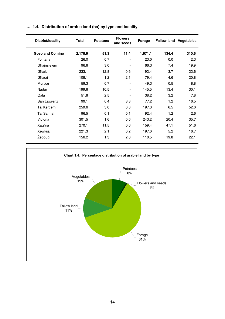| District/locality      | Total   | <b>Potatoes</b> | <b>Flowers</b><br>and seeds | Forage  | <b>Fallow land Vegetables</b> |       |
|------------------------|---------|-----------------|-----------------------------|---------|-------------------------------|-------|
| <b>Gozo and Comino</b> | 2,178.9 | 51.3            | 11.4                        | 1,671.1 | 134.4                         | 310.6 |
| Fontana                | 26.0    | 0.7             | ۰                           | 23.0    | 0.0                           | 2.3   |
| Għajnsielem            | 96.6    | 3.0             | ۰                           | 66.3    | 7.4                           | 19.9  |
| Għarb                  | 233.1   | 12.8            | 0.6                         | 192.4   | 3.7                           | 23.6  |
| Għasri                 | 108.1   | 1.2             | 2.1                         | 79.4    | 4.6                           | 20.8  |
| Munxar                 | 59.3    | 0.7             | ۰                           | 49.3    | 0.5                           | 8.8   |
| Nadur                  | 199.6   | 10.5            | -                           | 145.5   | 13.4                          | 30.1  |
| Qala                   | 51.8    | 2.5             | ۰                           | 38.2    | 3.2                           | 7.8   |
| San Lawrenz            | 99.1    | 0.4             | 3.8                         | 77.2    | 1.2                           | 16.5  |
| Ta' Kercem             | 259.6   | 3.0             | 0.8                         | 197.3   | 6.5                           | 52.0  |
| Ta' Sannat             | 96.5    | 0.1             | 0.1                         | 92.4    | 1.2                           | 2.6   |
| Victoria               | 301.5   | 1.6             | 0.6                         | 243.2   | 20.4                          | 35.7  |
| Xagħra                 | 270.1   | 11.5            | 0.6                         | 159.4   | 47.1                          | 51.6  |
| Xewkija                | 221.3   | 2.1             | 0.2                         | 197.0   | 5.2                           | 16.7  |
| Żebbuġ                 | 156.2   | 1.3             | 2.6                         | 110.5   | 19.8                          | 22.1  |

#### **… 1.4. Distribution of arable land (ha) by type and locality**

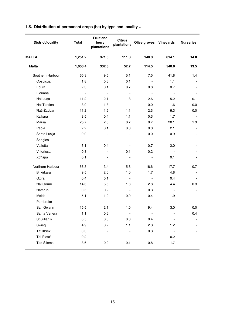|  |  |  |  |  | 1.5. Distribution of permanent crops (ha) by type and locality |
|--|--|--|--|--|----------------------------------------------------------------|
|--|--|--|--|--|----------------------------------------------------------------|

| District/locality  | Total          | <b>Fruit and</b><br>berry<br>plantations | Citrus<br>plantations    | Olive groves Vineyards   |                          | <b>Nurseries</b>         |
|--------------------|----------------|------------------------------------------|--------------------------|--------------------------|--------------------------|--------------------------|
| <b>MALTA</b>       | 1,251.2        | 371.5                                    | 111.3                    | 140.3                    | 614.1                    | 14.0                     |
| Malta              | 1,053.4        | 332.8                                    | 52.7                     | 114.5                    | 540.0                    | 13.5                     |
| Southern Harbour   | 65.3           | 9.5                                      | 5.1                      | 7.5                      | 41.8                     | 1.4                      |
| Cospicua           | 1.8            | 0.6                                      | 0.1                      | $\overline{\phantom{a}}$ | 1.1                      | $\blacksquare$           |
| Fgura              | 2.3            | 0.1                                      | 0.7                      | 0.8                      | 0.7                      |                          |
| Floriana           | $\blacksquare$ | $\blacksquare$                           | $\blacksquare$           | $\sim$ $-$               | $\overline{\phantom{a}}$ |                          |
| <b>Hal Luga</b>    | 11.2           | 2.1                                      | 1.3                      | 2.6                      | 5.2                      | 0.1                      |
| <b>Hal Tarxien</b> | 3.0            | 1.3                                      | $\mathbf{r}$             | 0.0                      | 1.6                      | 0.0                      |
| Haż-Żabbar         | 11.2           | 1.6                                      | 1.1                      | 2.3                      | 6.3                      | $0.0\,$                  |
| Kalkara            | 3.5            | 0.4                                      | 1.1                      | 0.3                      | 1.7                      | $\sim$                   |
| Marsa              | 25.7           | 2.8                                      | 0.7                      | 0.7                      | 20.1                     | 1.3                      |
| Paola              | 2.2            | 0.1                                      | 0.0                      | 0.0                      | 2.1                      | $\mathbf{r}$             |
| Santa Lucija       | 0.9            | $\overline{a}$                           | $\overline{\phantom{0}}$ | 0.0                      | 0.9                      | $\blacksquare$           |
| Senglea            | $\sim$         | L.                                       | ÷.                       | $\sim$                   | $\sim$                   | $\overline{a}$           |
| Valletta           | 3.1            | 0.4                                      | ÷.                       | 0.7                      | 2.0                      | $\overline{a}$           |
| Vittoriosa         | 0.3            |                                          | 0.1                      | 0.2                      | $\sim$                   |                          |
| Xgħajra            | 0.1            |                                          | $\overline{\phantom{a}}$ | $\blacksquare$           | 0.1                      |                          |
| Northern Harbour   | 56.3           | 13.4                                     | 5.8                      | 18.6                     | 17.7                     | 0.7                      |
| <b>Birkirkara</b>  | 9.5            | 2.0                                      | 1.0                      | 1.7                      | 4.8                      | $\blacksquare$           |
| Gżira              | 0.4            | 0.1                                      | ä,                       | $\sim$                   | 0.4                      | $\overline{a}$           |
| Hal Qormi          | 14.6           | 5.5                                      | 1.6                      | 2.8                      | 4.4                      | 0.3                      |
| Hamrun             | 0.5            | 0.2                                      | $\blacksquare$           | 0.3                      | $\blacksquare$           | $\blacksquare$           |
| Msida              | 5.1            | 1.9                                      | 0.9                      | 0.4                      | 1.9                      |                          |
| Pembroke           | $\mathbf{r}$   | $\sim$                                   | $\mathbf{r}$             | $\sim$                   | $\sim$                   |                          |
| San Gwann          | 15.5           | 2.1                                      | 1.0                      | 9.4                      | 3.0                      | 0.0                      |
| Santa Venera       | 1.1            | 0.6                                      | $\blacksquare$           | $\sim$                   | $\blacksquare$           | 0.4                      |
| St Julian's        | 0.5            | 0.0                                      | 0.0                      | 0.4                      | $\blacksquare$           | $\blacksquare$           |
| Swiegi             | 4.9            | 0.2                                      | 1.1                      | 2.3                      | 1.2                      | $\overline{\phantom{a}}$ |
| Ta' Xbiex          | 0.3            | $\overline{a}$                           | $\overline{\phantom{0}}$ | 0.3                      | $\mathbf{r}$             |                          |
| Tal-Pieta'         | 0.2            | $\blacksquare$                           | $\overline{\phantom{a}}$ | $\sim$                   | 0.2                      |                          |
| Tas-Sliema         | 3.6            | 0.9                                      | 0.1                      | 0.8                      | 1.7                      | $\blacksquare$           |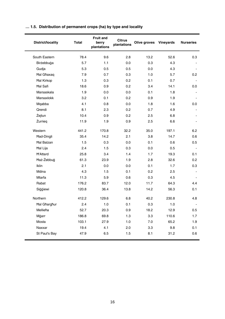|  |  |  |  | 1.5. Distribution of permanent crops (ha) by type and locality |
|--|--|--|--|----------------------------------------------------------------|
|--|--|--|--|----------------------------------------------------------------|

| District/locality   | Total | <b>Fruit and</b><br>berry<br>plantations | Citrus<br>plantations | Olive groves | Vineyards | <b>Nurseries</b> |
|---------------------|-------|------------------------------------------|-----------------------|--------------|-----------|------------------|
| South Eastern       | 78.4  | 9.6                                      | 2.8                   | 13.2         | 52.6      | 0.3              |
| Birżebbuġa          | 5.7   | 1.1                                      | 0.0                   | 0.3          | 4.3       |                  |
| Gudja               | 5.3   | 0.5                                      | 0.5                   | 0.0          | 4.3       | $\blacksquare$   |
| <b>Hal Ghaxaq</b>   | 7.9   | 0.7                                      | 0.3                   | 1.0          | 5.7       | 0.2              |
| <b>Hal Kirkop</b>   | 1.3   | 0.3                                      | 0.2                   | 0.1          | 0.7       |                  |
| <b>Hal Safi</b>     | 18.6  | 0.9                                      | 0.2                   | 3.4          | 14.1      | 0.0              |
| Marsaskala          | 1.9   | 0.0                                      | 0.0                   | 0.1          | 1.8       |                  |
| Marsaxlokk          | 3.2   | 0.1                                      | 0.2                   | 0.9          | 1.9       |                  |
| Mgabba              | 4.1   | 0.8                                      | 0.0                   | 1.8          | 1.6       | 0.0              |
| Qrendi              | 8.1   | 2.3                                      | 0.2                   | 0.7          | 4.9       |                  |
| Żejtun              | 10.4  | 0.9                                      | 0.2                   | 2.5          | 6.8       |                  |
| Żurrieg             | 11.9  | 1.9                                      | 0.9                   | 2.5          | 6.6       |                  |
| Western             | 441.2 | 170.8                                    | 32.2                  | 35.0         | 197.1     | 6.2              |
| Had-Dingli          | 35.4  | 14.2                                     | 2.1                   | 3.8          | 14.7      | 0.6              |
| <b>Hal Balzan</b>   | 1.5   | 0.3                                      | 0.0                   | 0.1          | 0.6       | 0.5              |
| Hal Lija            | 2.4   | 1.5                                      | 0.3                   | 0.0          | 0.5       |                  |
| <b>H'Attard</b>     | 25.8  | 3.4                                      | 1.4                   | 1.7          | 19.3      | 0.1              |
| Haż-Żebbuġ          | 61.3  | 23.9                                     | 1.9                   | 2.8          | 32.6      | 0.2              |
| <b>Iklin</b>        | 2.1   | 0.0                                      | 0.0                   | 0.1          | 1.7       | 0.3              |
| Mdina               | 4.3   | 1.5                                      | 0.1                   | 0.2          | 2.5       | $\overline{a}$   |
| Mtarfa              | 11.3  | 5.9                                      | 0.6                   | 0.3          | 4.5       |                  |
| Rabat               | 176.2 | 83.7                                     | 12.0                  | 11.7         | 64.3      | 4.4              |
| Siggiewi            | 120.8 | 36.4                                     | 13.8                  | 14.2         | 56.3      | 0.1              |
| Northern            | 412.2 | 129.6                                    | 6.8                   | 40.2         | 230.8     | 4.8              |
| <b>Hal Gharghur</b> | 2.4   | 1.0                                      | 0.1                   | 0.3          | 1.0       | $\blacksquare$   |
| Mellieħa            | 52.7  | 20.3                                     | 0.9                   | 18.2         | 12.9      | 0.5              |
| Mġarr               | 186.8 | 69.8                                     | 1.3                   | 3.3          | 110.6     | 1.7              |
| Mosta               | 103.1 | 27.9                                     | 1.0                   | 7.0          | 65.2      | 1.9              |
| Naxxar              | 19.4  | 4.1                                      | 2.0                   | 3.3          | 9.8       | 0.1              |
| St Paul's Bay       | 47.9  | 6.5                                      | 1.5                   | 8.1          | 31.2      | 0.6              |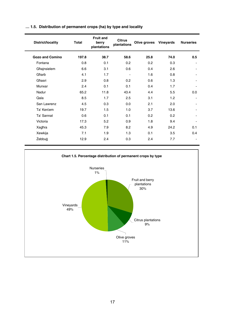| District/locality      | Total | Fruit and<br>berry<br>plantations | <b>Citrus</b><br>plantations | Olive groves | Vineyards | <b>Nurseries</b>         |
|------------------------|-------|-----------------------------------|------------------------------|--------------|-----------|--------------------------|
| <b>Gozo and Comino</b> | 197.8 | 38.7                              | 58.6                         | 25.8         | 74.0      | 0.5                      |
| Fontana                | 0.8   | 0.1                               | 0.2                          | 0.2          | 0.3       | $\overline{\phantom{a}}$ |
| Għajnsielem            | 6.6   | 3.1                               | 0.6                          | 0.4          | 2.6       | $\blacksquare$           |
| Għarb                  | 4.1   | 1.7                               | $\blacksquare$               | 1.6          | 0.8       | ٠                        |
| Għasri                 | 2.9   | 0.8                               | 0.2                          | 0.6          | 1.3       | $\blacksquare$           |
| Munxar                 | 2.4   | 0.1                               | 0.1                          | 0.4          | 1.7       |                          |
| Nadur                  | 65.2  | 11.8                              | 43.4                         | 4.4          | 5.5       | 0.0                      |
| Qala                   | 8.5   | 1.7                               | 2.5                          | 3.1          | 1.2       | $\blacksquare$           |
| San Lawrenz            | 4.5   | 0.3                               | 0.0                          | 2.1          | 2.0       | $\blacksquare$           |
| Ta' Kercem             | 19.7  | 1.5                               | 1.0                          | 3.7          | 13.6      | ۰                        |
| Ta' Sannat             | 0.6   | 0.1                               | 0.1                          | 0.2          | 0.2       | ٠                        |
| Victoria               | 17.3  | 5.2                               | 0.9                          | 1.8          | 9.4       | $\blacksquare$           |
| Xagħra                 | 45.3  | 7.9                               | 8.2                          | 4.9          | 24.2      | 0.1                      |
| Xewkija                | 7.1   | 1.9                               | 1.3                          | 0.1          | 3.5       | 0.4                      |
| Żebbuġ                 | 12.9  | 2.4                               | 0.3                          | 2.4          | 7.7       | ٠                        |

#### **… 1.5. Distribution of permanent crops (ha) by type and locality**

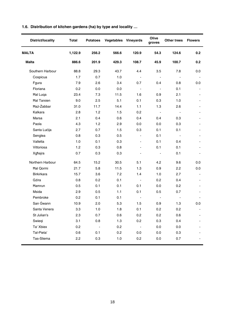|  | 1.6. Distribution of kitchen gardens (ha) by type and locality |  |  |  |  |  |  |
|--|----------------------------------------------------------------|--|--|--|--|--|--|
|--|----------------------------------------------------------------|--|--|--|--|--|--|

| <b>District/locality</b> | Total   | <b>Potatoes</b> | Vegetables Vineyards |                          | Olive<br>groves          | Other trees              | <b>Flowers</b>           |
|--------------------------|---------|-----------------|----------------------|--------------------------|--------------------------|--------------------------|--------------------------|
| <b>MALTA</b>             | 1,122.9 | 256.2           | 566.6                | 120.9                    | 54.3                     | 124.6                    | 0.2                      |
| <b>Malta</b>             | 886.6   | 201.9           | 429.3                | 108.7                    | 45.9                     | 100.7                    | 0.2                      |
| Southern Harbour         | 88.8    | 29.3            | 43.7                 | 4.4                      | 3.5                      | 7.8                      | 0.0                      |
| Cospicua                 | 1.7     | 0.7             | 1.0                  | $\overline{\phantom{a}}$ | $\overline{a}$           | $\sim$                   |                          |
| Fgura                    | 7.9     | 2.6             | 3.4                  | 0.7                      | 0.4                      | 0.8                      | 0.0                      |
| Floriana                 | 0.2     | 0.0             | 0.0                  | $\overline{\phantom{a}}$ | $\overline{\phantom{a}}$ | 0.1                      |                          |
| Hal Luga                 | 23.4    | 7.3             | 11.5                 | 1.6                      | 0.9                      | 2.1                      |                          |
| <b>Hal Tarxien</b>       | 9.0     | 2.5             | 5.1                  | 0.1                      | 0.3                      | 1.0                      |                          |
| Haż-Żabbar               | 31.0    | 11.7            | 14.4                 | 1.1                      | 1.3                      | 2.6                      |                          |
| Kalkara                  | 2.8     | 1.2             | 1.5                  | 0.2                      | $\overline{a}$           | $\mathbf{r}$             | $\overline{a}$           |
| Marsa                    | 2.1     | 0.4             | 0.6                  | 0.4                      | 0.4                      | 0.3                      | $\overline{\phantom{a}}$ |
| Paola                    | 4.3     | 1.2             | 2.9                  | 0.0                      | 0.0                      | 0.3                      | $\overline{\phantom{a}}$ |
| Santa Lucija             | 2.7     | 0.7             | 1.5                  | 0.3                      | 0.1                      | 0.1                      | $\overline{a}$           |
| Senglea                  | 0.8     | 0.3             | 0.5                  | $\overline{\phantom{0}}$ | 0.1                      | $\overline{\phantom{a}}$ |                          |
| Valletta                 | 1.0     | 0.1             | 0.3                  | $\overline{\phantom{0}}$ | 0.1                      | 0.4                      | $\blacksquare$           |
| Vittoriosa               | 1.2     | 0.3             | 0.8                  | ÷.                       | 0.1                      | 0.1                      | ٠                        |
| Xgħajra                  | 0.7     | 0.3             | 0.3                  | $\overline{\phantom{a}}$ | $\centerdot$             | 0.1                      |                          |
| Northern Harbour         | 64.5    | 15.2            | 30.5                 | 5.1                      | 4.2                      | 9.6                      | 0.0                      |
| <b>Hal Qormi</b>         | 21.7    | 5.8             | 11.5                 | 1.3                      | 0.9                      | 2.2                      | 0.0                      |
| <b>Birkirkara</b>        | 15.7    | 3.6             | 7.2                  | 1.4                      | 1.0                      | 2.7                      | $\overline{\phantom{a}}$ |
| Gżira                    | 0.8     | 0.2             | 0.1                  | $\overline{a}$           | 0.2                      | 0.4                      | $\overline{a}$           |
| Hamrun                   | 0.5     | 0.1             | 0.1                  | 0.1                      | 0.0                      | 0.2                      |                          |
| Msida                    | 2.9     | 0.5             | 1.1                  | 0.1                      | 0.5                      | 0.7                      |                          |
| Pembroke                 | 0.2     | 0.1             | 0.1                  | $\overline{\phantom{a}}$ | $\overline{\phantom{a}}$ | $\sim$                   | ٠                        |
| San Ġwann                | 10.9    | 2.0             | 5.3                  | 1.5                      | 0.9                      | 1.3                      | 0.0                      |
| Santa Venera             | 3.3     | 1.0             | 1.8                  | 0.1                      | 0.2                      | 0.2                      | ÷.                       |
| St Julian's              | 2.3     | 0.7             | 0.6                  | 0.2                      | 0.2                      | 0.6                      |                          |
| Swiegi                   | 3.1     | 0.8             | 1.3                  | 0.2                      | 0.3                      | 0.4                      |                          |
| Ta' Xbiex                | 0.2     | $\sim$          | 0.2                  | $\blacksquare$           | 0.0                      | 0.0                      |                          |
| Tal-Pieta'               | 0.6     | 0.1             | 0.2                  | 0.0                      | 0.0                      | 0.3                      |                          |
| Tas-Sliema               | 2.2     | 0.3             | 1.0                  | 0.2                      | 0.0                      | 0.7                      |                          |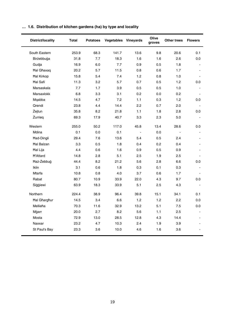| District/locality   | Total | <b>Potatoes</b> |       | Vegetables Vineyards     |      | Other trees    | <b>Flowers</b>           |
|---------------------|-------|-----------------|-------|--------------------------|------|----------------|--------------------------|
| South Eastern       | 253.9 | 68.3            | 141.7 | 13.6                     | 9.8  | 20.6           | 0.1                      |
| Birżebbuġa          | 31.8  | 7.7             | 18.3  | 1.6                      | 1.6  | 2.6            | 0.0                      |
| Gudja               | 16.9  | 6.0             | 7.7   | 0.9                      | 0.5  | 1.8            |                          |
| <b>Hal Ghaxaq</b>   | 20.2  | 5.7             | 11.5  | 0.8                      | 0.6  | 1.7            | $\overline{a}$           |
| <b>Hal Kirkop</b>   | 15.8  | 5.4             | 7.4   | 1.2                      | 0.8  | 1.0            |                          |
| Hal Safi            | 11.3  | 3.2             | 5.7   | 0.7                      | 0.5  | 1.2            | 0.0                      |
| Marsaskala          | 7.7   | 1.7             | 3.9   | 0.5                      | 0.5  | 1.0            |                          |
| Marsaxlokk          | 6.8   | 3.3             | 3.1   | 0.2                      | 0.0  | 0.2            |                          |
| Mgabba              | 14.5  | 4.7             | 7.2   | 1.1                      | 0.3  | 1.2            | 0.0                      |
| Qrendi              | 23.8  | 4.4             | 14.4  | 2.2                      | 0.7  | 2.0            | $\overline{\phantom{a}}$ |
| Żejtun              | 35.8  | 8.2             | 21.8  | 1.1                      | 1.8  | 2.8            | 0.0                      |
| Żurrieg             | 69.3  | 17.9            | 40.7  | 3.3                      | 2.3  | 5.0            |                          |
| Western             | 255.0 | 50.2            | 117.0 | 45.8                     | 13.4 | 28.6           | 0.0                      |
| Mdina               | 0.1   | 0.0             | 0.1   | $\overline{\phantom{a}}$ | 0.0  | $\overline{a}$ |                          |
| Had-Dingli          | 29.4  | 7.6             | 13.6  | 5.4                      | 0.5  | 2.4            |                          |
| <b>Hal Balzan</b>   | 3.3   | 0.5             | 1.8   | 0.4                      | 0.2  | 0.4            |                          |
| Hal Lija            | 4.4   | 0.6             | 1.6   | 0.9                      | 0.5  | 0.9            |                          |
| <b>H'Attard</b>     | 14.8  | 2.8             | 5.1   | 2.5                      | 1.9  | 2.5            |                          |
| Haż-Żebbuġ          | 44.4  | 8.2             | 21.2  | 5.6                      | 2.8  | 6.6            | 0.0                      |
| <b>Iklin</b>        | 3.1   | 0.6             | 1.8   | 0.3                      | 0.1  | 0.3            |                          |
| Mtarfa              | 10.8  | 0.8             | 4.0   | 3.7                      | 0.6  | 1.7            |                          |
| Rabat               | 80.7  | 10.9            | 33.9  | 22.0                     | 4.3  | 9.7            | 0.0                      |
| Siggiewi            | 63.9  | 18.3            | 33.9  | 5.1                      | 2.5  | 4.3            |                          |
| Northern            | 224.4 | 38.9            | 96.4  | 39.8                     | 15.1 | 34.1           | 0.1                      |
| <b>Hal Gharghur</b> | 14.5  | 3.4             | 6.6   | 1.2                      | 1.2  | 2.2            | $0.0\,$                  |
| Mellieħa            | 70.3  | 11.6            | 32.9  | 13.2                     | 5.1  | 7.5            | 0.0                      |
| Mġarr               | 20.0  | 2.7             | 8.2   | 5.6                      | 1.1  | 2.5            | $\overline{\phantom{a}}$ |
| Mosta               | 72.9  | 13.0            | 28.5  | 12.8                     | 4.3  | 14.4           | $\blacksquare$           |
| Naxxar              | 23.2  | 4.7             | 10.3  | 2.4                      | 1.9  | 3.9            |                          |
| St Paul's Bay       | 23.3  | 3.6             | 10.0  | 4.6                      | 1.6  | 3.6            |                          |

## **… 1.6. Distribution of kitchen gardens (ha) by type and locality**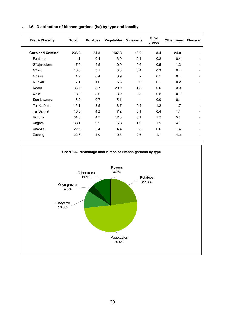| District/locality      | Total | Potatoes | Vegetables Vineyards |                          | Olive<br>groves | Other trees | <b>Flowers</b> |
|------------------------|-------|----------|----------------------|--------------------------|-----------------|-------------|----------------|
| <b>Gozo and Comino</b> | 236.3 | 54.3     | 137.3                | 12.2                     | 8.4             | 24.0        | ۰              |
| Fontana                | 4.1   | 0.4      | 3.0                  | 0.1                      | 0.2             | 0.4         |                |
| Għajnsielem            | 17.9  | 5.5      | 10.0                 | 0.6                      | 0.5             | 1.3         | ٠              |
| Gharb                  | 13.0  | 3.1      | 8.8                  | 0.4                      | 0.3             | 0.4         | ٠              |
| Għasri                 | 1.7   | 0.4      | 0.9                  | ٠                        | 0.1             | 0.4         | ۰              |
| Munxar                 | 7.1   | 1.0      | 5.8                  | 0.0                      | 0.1             | 0.2         | ٠              |
| Nadur                  | 33.7  | 8.7      | 20.0                 | 1.3                      | 0.6             | 3.0         | ٠              |
| Qala                   | 13.9  | 3.6      | 8.9                  | 0.5                      | 0.2             | 0.7         | ٠              |
| San Lawrenz            | 5.9   | 0.7      | 5.1                  | $\overline{\phantom{0}}$ | 0.0             | 0.1         | ٠              |
| Ta' Kercem             | 16.1  | 3.5      | 8.7                  | 0.9                      | 1.2             | 1.7         | ٠              |
| Ta' Sannat             | 13.0  | 4.2      | 7.2                  | 0.1                      | 0.4             | 1.1         | ٠              |
| Victoria               | 31.8  | 4.7      | 17.3                 | 3.1                      | 1.7             | 5.1         | ٠              |
| Xagħra                 | 33.1  | 9.2      | 16.3                 | 1.9                      | 1.5             | 4.1         | ٠              |
| Xewkija                | 22.5  | 5.4      | 14.4                 | 0.8                      | 0.6             | 1.4         | ۰              |
| Żebbuġ                 | 22.6  | 4.0      | 10.8                 | 2.6                      | 1.1             | 4.2         | ٠              |

#### **… 1.6. Distribution of kitchen gardens (ha) by type and locality**

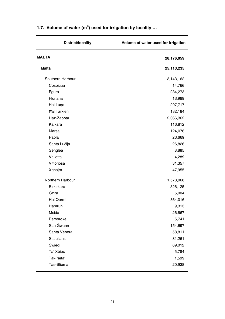| <b>District/locality</b> | Volume of water used for irrigation |
|--------------------------|-------------------------------------|
| <b>MALTA</b>             | 28,176,059                          |
| <b>Malta</b>             | 25,113,235                          |
| Southern Harbour         | 3,143,162                           |
| Cospicua                 | 14,766                              |
| Fgura                    | 234,273                             |
| Floriana                 | 13,989                              |
| <b>Hal Luga</b>          | 297,717                             |
| <b>Hal Tarxien</b>       | 132,184                             |
| Haż-Żabbar               | 2,066,362                           |
| Kalkara                  | 116,812                             |
| Marsa                    | 124,076                             |
| Paola                    | 23,669                              |
| Santa Lucija             | 26,826                              |
| Senglea                  | 8,885                               |
| Valletta                 | 4,289                               |
| Vittoriosa               | 31,357                              |
| Xgħajra                  | 47,955                              |
| Northern Harbour         | 1,578,968                           |
| <b>Birkirkara</b>        | 326,125                             |
| Gżira                    | 5,004                               |
| <b>Hal Qormi</b>         | 864,016                             |
| Hamrun                   | 9,313                               |
| Msida                    | 26,667                              |
| Pembroke                 | 5,741                               |
| San Gwann                | 154,697                             |
| Santa Venera             | 58,811                              |
| St Julian's              | 31,261                              |
| Swiegi                   | 69,012                              |
| Ta' Xbiex                | 5,784                               |
| Tal-Pieta'               | 1,599                               |
| Tas-Sliema               | 20,938                              |
|                          |                                     |

### **1.7. Volume of water (m<sup>3</sup> ) used for irrigation by locality …**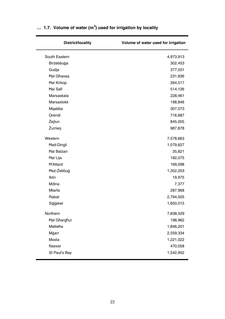| Volume of water used for irrigation |
|-------------------------------------|
| 4,973,913                           |
| 302,453                             |
| 377,031                             |
| 231,836                             |
| 264,517                             |
| 514,126                             |
| 228,461                             |
| 198,846                             |
| 307,073                             |
| 716,687                             |
| 845,005                             |
| 987,878                             |
| 7,578,663                           |
| 1,079,627                           |
| 35,821                              |
| 182,075                             |
| 169,098                             |
| 1,352,203                           |
| 19,975                              |
| 7,377                               |
| 287,968                             |
| 2,794,505                           |
| 1,650,015                           |
| 7,838,529                           |
| 198,962                             |
| 1,846,201                           |
| 2,559,334                           |
| 1,221,022                           |
| 470,058                             |
| 1,542,952                           |
|                                     |

#### **… 1.7. Volume of water (m<sup>3</sup> ) used for irrigation by locality**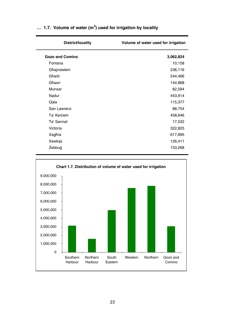| District/locality      | Volume of water used for irrigation |
|------------------------|-------------------------------------|
| <b>Gozo and Comino</b> | 3,062,824                           |
| Fontana                | 10,158                              |
| Għajnsielem            | 236,116                             |
| Għarb                  | 244,466                             |
| Għasri                 | 144,868                             |
| Munxar                 | 82,594                              |
| Nadur                  | 443,914                             |
| Qala                   | 115,377                             |
| San Lawrenz            | 88,754                              |
| Ta' Kercem             | 458,646                             |
| Ta' Sannat             | 17,532                              |
| Victoria               | 322,825                             |
| Xaghra                 | 617,895                             |
| Xewkija                | 126,411                             |
| Żebbuġ                 | 153,268                             |
|                        |                                     |

#### **… 1.7. Volume of water (m<sup>3</sup> ) used for irrigation by locality**

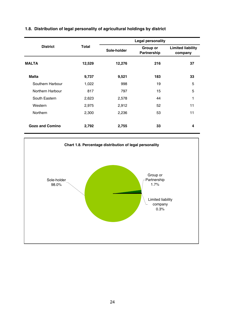|                  |        | Legal personality |                         |                                     |  |  |  |  |
|------------------|--------|-------------------|-------------------------|-------------------------------------|--|--|--|--|
| <b>District</b>  | Total  | Sole-holder       | Group or<br>Partnership | <b>Limited liability</b><br>company |  |  |  |  |
| <b>MALTA</b>     | 12,529 | 12,276            | 216                     | 37                                  |  |  |  |  |
| Malta            | 9,737  | 9,521             | 183                     | 33                                  |  |  |  |  |
| Southern Harbour | 1,022  | 998               | 19                      | 5                                   |  |  |  |  |
| Northern Harbour | 817    | 797               | 15                      | 5                                   |  |  |  |  |
| South Eastern    | 2,623  | 2,578             | 44                      | 1                                   |  |  |  |  |
| Western          | 2,975  | 2,912             | 52                      | 11                                  |  |  |  |  |
| Northern         | 2,300  | 2,236             | 53                      | 11                                  |  |  |  |  |
| Gozo and Comino  | 2,792  | 2,755             | 33                      | 4                                   |  |  |  |  |

#### **1.8. Distribution of legal personality of agricultural holdings by district**

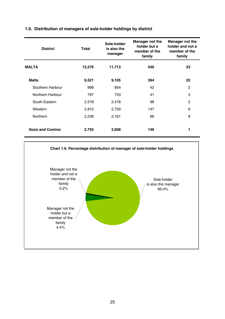## **1.9. Distribution of managers of sole-holder holdings by district**

| <b>District</b>  | Total  | Sole-holder<br>is also the<br>manager | Manager not the<br>holder but a<br>member of the<br>family | Manager not the<br>holder and not a<br>member of the<br>family |
|------------------|--------|---------------------------------------|------------------------------------------------------------|----------------------------------------------------------------|
| <b>MALTA</b>     | 12,276 | 11,713                                | 540                                                        | 23                                                             |
| Malta            | 9,521  | 9,105                                 | 394                                                        | 22                                                             |
| Southern Harbour | 998    | 954                                   | 42                                                         | 2                                                              |
| Northern Harbour | 797    | 753                                   | 41                                                         | 3                                                              |
| South Eastern    | 2,578  | 2,478                                 | 98                                                         | 2                                                              |
| Western          | 2,912  | 2,759                                 | 147                                                        | 6                                                              |
| Northern         | 2,236  | 2,161                                 | 66                                                         | 9                                                              |
| Gozo and Comino  | 2,755  | 2,608                                 | 146                                                        | 1                                                              |

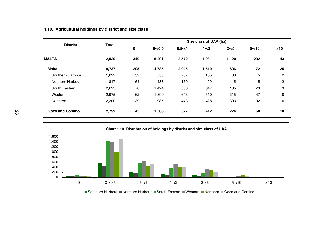| <b>District</b>  | Total  | Size class of UAA (ha) |           |           |         |         |          |                |
|------------------|--------|------------------------|-----------|-----------|---------|---------|----------|----------------|
|                  |        | 0                      | $0 - 0.5$ | $0.5 - 1$ | $1 - 2$ | $2 - 5$ | $5 - 10$ | $\geq 10$      |
| <b>MALTA</b>     | 12,529 | 340                    | 6,291     | 2,572     | 1,931   | 1,120   | 232      | 43             |
| <b>Malta</b>     | 9,737  | 295                    | 4,785     | 2,045     | 1,519   | 896     | 172      | 25             |
| Southern Harbour | 1,022  | 52                     | 553       | 207       | 135     | 68      | 5        | $\overline{2}$ |
| Northern Harbour | 817    | 64                     | 433       | 169       | 99      | 45      | 5        | $\overline{2}$ |
| South Eastern    | 2,623  | 78                     | 1,424     | 583       | 347     | 165     | 23       | 3              |
| Western          | 2,975  | 62                     | 1,390     | 643       | 510     | 315     | 47       | 8              |
| Northern         | 2.300  | 39                     | 985       | 443       | 428     | 303     | 92       | 10             |
| Gozo and Comino  | 2,792  | 45                     | 1,506     | 527       | 412     | 224     | 60       | 18             |

### **1.10. Agricultural holdings by district and size class**

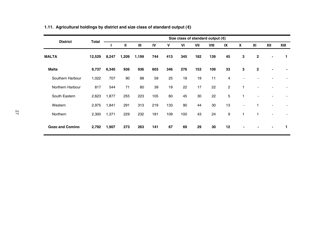| <b>District</b>        |        |       |       |       |     |     |     |     | Size class of standard output $(\epsilon)$ |                |                |                |                |      |
|------------------------|--------|-------|-------|-------|-----|-----|-----|-----|--------------------------------------------|----------------|----------------|----------------|----------------|------|
|                        | Total  |       | Ш     | Ш     | IV  | ٧   | VI  | VII | VIII                                       | IX             | X              | XI             | XII            | XIII |
| <b>MALTA</b>           | 12,529 | 8,247 | 1,209 | 1,199 | 744 | 413 | 345 | 182 | 139                                        | 45             | 3              | $\overline{2}$ | $\blacksquare$ | 1    |
| Malta                  | 9,737  | 6,340 | 936   | 936   | 603 | 346 | 276 | 153 | 109                                        | 33             | 3              | $\mathbf{2}$   | $\blacksquare$ |      |
| Southern Harbour       | 1,022  | 707   | 90    | 88    | 59  | 25  | 19  | 19  | 11                                         | 4              |                |                |                |      |
| Northern Harbour       | 817    | 544   | 71    | 80    | 39  | 19  | 22  | 17  | 22                                         | $\overline{c}$ | 1              |                |                |      |
| South Eastern          | 2,623  | 1,877 | 255   | 223   | 105 | 60  | 45  | 30  | 22                                         | 5              | 1              |                | ÷              |      |
| Western                | 2,975  | 1,841 | 291   | 313   | 219 | 133 | 90  | 44  | 30                                         | 13             | $\blacksquare$ |                | ٠              |      |
| Northern               | 2,300  | 1,371 | 229   | 232   | 181 | 109 | 100 | 43  | 24                                         | 9              | 1              |                | $\sim$         |      |
| <b>Gozo and Comino</b> | 2,792  | 1,907 | 273   | 263   | 141 | 67  | 69  | 29  | 30                                         | 12             |                |                | $\blacksquare$ | 1    |

## **1.11. Agricultural holdings by district and size class of standard output (€)**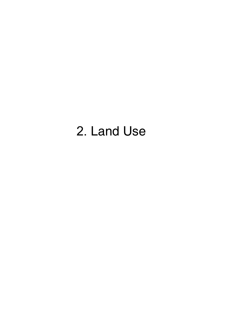# 2. Land Use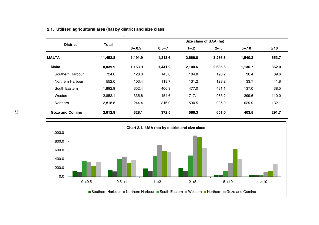| <b>District</b>  | Total    |           |           |         |                                                                                                                                                                                                     |           |       |
|------------------|----------|-----------|-----------|---------|-----------------------------------------------------------------------------------------------------------------------------------------------------------------------------------------------------|-----------|-------|
|                  |          | $0 - 0.5$ | $0.5 - 1$ | $1 - 2$ | Size class of UAA (ha)<br>$5 - 10$<br>$2 - 5$<br>3.286.6<br>1.540.2<br>1,136.7<br>2,635.6<br>36.4<br>190.2<br>123.2<br>33.7<br>481.1<br>137.0<br>935.2<br>299.6<br>905.9<br>629.9<br>651.0<br>403.5 | $\geq 10$ |       |
| <b>MALTA</b>     | 11.452.8 | 1.491.9   | 1.813.6   | 2.666.8 |                                                                                                                                                                                                     |           | 653.7 |
| Malta            | 8,839.9  | 1,163.9   | 1.441.2   | 2,100.6 |                                                                                                                                                                                                     |           | 362.0 |
| Southern Harbour | 724.0    | 128.0     | 145.0     | 184.8   |                                                                                                                                                                                                     |           | 39.6  |
| Northern Harbour | 552.0    | 103.4     | 118.7     | 131.2   |                                                                                                                                                                                                     |           | 41.8  |
| South Eastern    | 1,892.9  | 352.4     | 406.9     | 477.0   |                                                                                                                                                                                                     |           | 38.5  |
| Western          | 2,852.1  | 335.6     | 454.6     | 717.1   |                                                                                                                                                                                                     |           | 110.0 |
| Northern         | 2.818.8  | 244.4     | 316.0     | 590.5   |                                                                                                                                                                                                     |           | 132.1 |
| Gozo and Comino  | 2.612.9  | 328.1     | 372.5     | 566.3   |                                                                                                                                                                                                     |           | 291.7 |



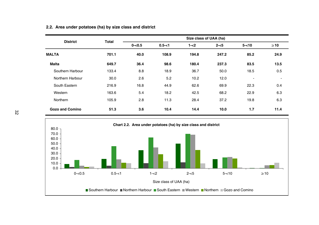| <b>District</b>        | Total |           | Size class of UAA (ha) |         |         |          |                |
|------------------------|-------|-----------|------------------------|---------|---------|----------|----------------|
|                        |       | $0 - 0.5$ | $0.5 - 1$              | $1 - 2$ | $2 - 5$ | $5 - 10$ | $\geq 10$      |
| <b>MALTA</b>           | 701.1 | 40.0      | 108.9                  | 194.8   | 247.2   | 85.2     | 24.9           |
| <b>Malta</b>           | 649.7 | 36.4      | 98.6                   | 180.4   | 237.3   | 83.5     | 13.5           |
| Southern Harbour       | 133.4 | 8.8       | 18.9                   | 36.7    | 50.0    | 18.5     | 0.5            |
| Northern Harbour       | 30.0  | 2.6       | 5.2                    | 10.2    | 12.0    | ٠        | $\blacksquare$ |
| South Eastern          | 216.9 | 16.8      | 44.9                   | 62.6    | 69.9    | 22.3     | 0.4            |
| Western                | 163.6 | 5.4       | 18.2                   | 42.5    | 68.2    | 22.9     | 6.3            |
| Northern               | 105.9 | 2.8       | 11.3                   | 28.4    | 37.2    | 19.8     | 6.3            |
| <b>Gozo and Comino</b> | 51.3  | 3.6       | 10.4                   | 14.4    | 10.0    | 1.7      | 11.4           |

#### **2.2. Area under potatoes (ha) by size class and district**

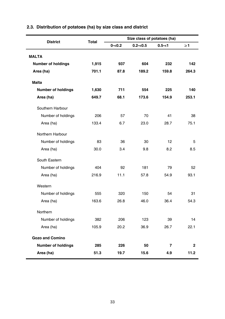| <b>District</b>           | Total |           | Size class of potatoes (ha) |           |              |
|---------------------------|-------|-----------|-----------------------------|-----------|--------------|
|                           |       | $0 - 0.2$ | $0.2 - 0.5$                 | $0.5 - 1$ | $\geq$ 1     |
| <b>MALTA</b>              |       |           |                             |           |              |
| <b>Number of holdings</b> | 1,915 | 937       | 604                         | 232       | 142          |
| Area (ha)                 | 701.1 | 87.8      | 189.2                       | 159.8     | 264.3        |
|                           |       |           |                             |           |              |
| Malta                     |       |           |                             |           |              |
| <b>Number of holdings</b> | 1,630 | 711       | 554                         | 225       | 140          |
| Area (ha)                 | 649.7 | 68.1      | 173.6                       | 154.9     | 253.1        |
| Southern Harbour          |       |           |                             |           |              |
| Number of holdings        | 206   | 57        | 70                          | 41        | 38           |
| Area (ha)                 | 133.4 | 6.7       | 23.0                        | 28.7      | 75.1         |
| Northern Harbour          |       |           |                             |           |              |
| Number of holdings        | 83    | 36        | 30                          | 12        | 5            |
| Area (ha)                 | 30.0  | 3.4       | 9.8                         | 8.2       | 8.5          |
| South Eastern             |       |           |                             |           |              |
| Number of holdings        | 404   | 92        | 181                         | 79        | 52           |
| Area (ha)                 | 216.9 | 11.1      | 57.8                        | 54.9      | 93.1         |
| Western                   |       |           |                             |           |              |
| Number of holdings        | 555   | 320       | 150                         | 54        | 31           |
| Area (ha)                 | 163.6 | 26.8      | 46.0                        | 36.4      | 54.3         |
| Northern                  |       |           |                             |           |              |
| Number of holdings        | 382   | 206       | 123                         | 39        | 14           |
| Area (ha)                 | 105.9 | 20.2      | 36.9                        | 26.7      | 22.1         |
| <b>Gozo and Comino</b>    |       |           |                             |           |              |
| <b>Number of holdings</b> | 285   | 226       | 50                          | 7         | $\mathbf{2}$ |
| Area (ha)                 | 51.3  | 19.7      | 15.6                        | 4.9       | 11.2         |

# **2.3. Distribution of potatoes (ha) by size class and district**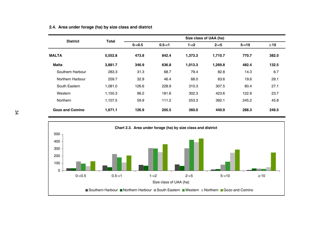| <b>District</b>  | Total   |           |           | Size class of UAA (ha) |         |          |           |
|------------------|---------|-----------|-----------|------------------------|---------|----------|-----------|
|                  |         | $0 - 0.5$ | $0.5 - 1$ | $1 - 2$                | $2 - 5$ | $5 - 10$ | $\geq 10$ |
| <b>MALTA</b>     | 5,552.8 | 473.8     | 842.4     | 1.373.3                | 1.710.7 | 770.7    | 382.0     |
| Malta            | 3.881.7 | 346.9     | 636.8     | 1,013.3                | 1.269.8 | 482.4    | 132.5     |
| Southern Harbour | 283.3   | 31.3      | 68.7      | 79.4                   | 82.8    | 14.3     | 6.7       |
| Northern Harbour | 259.7   | 32.9      | 46.4      | 68.0                   | 63.6    | 19.6     | 29.1      |
| South Eastern    | 1.081.0 | 126.6     | 228.9     | 310.3                  | 307.5   | 80.4     | 27.1      |
| Western          | 1.150.3 | 96.2      | 181.6     | 302.3                  | 423.6   | 122.9    | 23.7      |
| Northern         | 1.107.5 | 59.9      | 111.2     | 253.3                  | 392.1   | 245.2    | 45.8      |
| Gozo and Comino  | 1.671.1 | 126.9     | 205.5     | 360.0                  | 440.9   | 288.3    | 249.5     |

#### **2.4. Area under forage (ha) by size class and district**

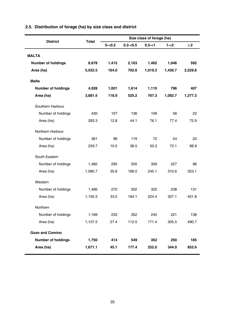| <b>District</b>           | <b>Total</b> |           |             | Size class of forage (ha) |         |          |
|---------------------------|--------------|-----------|-------------|---------------------------|---------|----------|
|                           |              | $0 - 0.2$ | $0.2 - 0.5$ | $0.5 - 1$                 | $1 - 2$ | $\geq$ 2 |
| <b>MALTA</b>              |              |           |             |                           |         |          |
| Number of holdings        | 6,678        | 1,415     | 2,163       | 1,462                     | 1,046   | 592      |
| Area (ha)                 | 5,552.5      | 164.0     | 702.6       | 1,019.3                   | 1,436.7 | 2,229.8  |
|                           |              |           |             |                           |         |          |
| Malta                     |              |           |             |                           |         |          |
| <b>Number of holdings</b> | 4,928        | 1,001     | 1,614       | 1,110                     | 796     | 407      |
| Area (ha)                 | 3,881.5      | 118.9     | 525.2       | 767.3                     | 1,092.7 | 1,377.3  |
| Southern Harbour          |              |           |             |                           |         |          |
| Number of holdings        | 430          | 107       | 136         | 109                       | 56      | 22       |
| Area (ha)                 | 283.3        | 12.8      | 44.1        | 76.1                      | 77.4    | 72.9     |
| Northern Harbour          |              |           |             |                           |         |          |
| Number of holdings        | 361          | 96        | 119         | 72                        | 54      | 20       |
| Area (ha)                 | 259.7        | 10.0      | 38.5        | 50.3                      | 72.1    | 88.9     |
| South Eastern             |              |           |             |                           |         |          |
| Number of holdings        | 1,482        | 295       | 505         | 359                       | 227     | 96       |
| Area (ha)                 | 1,080.7      | 35.8      | 166.0       | 245.1                     | 310.6   | 323.1    |
| Western                   |              |           |             |                           |         |          |
| Number of holdings        | 1,466        | 270       | 502         | 325                       | 238     | 131      |
| Area (ha)                 | 1,150.3      | 33.0      | 164.1       | 224.4                     | 327.1   | 401.8    |
| Northern                  |              |           |             |                           |         |          |
| Number of holdings        | 1,189        | 233       | 352         | 245                       | 221     | 138      |
| Area (ha)                 | 1,107.5      | 27.4      | 112.5       | 171.4                     | 305.5   | 490.7    |
| <b>Gozo and Comino</b>    |              |           |             |                           |         |          |
| <b>Number of holdings</b> | 1,750        | 414       | 549         | 352                       | 250     | 185      |
| Area (ha)                 | 1,671.1      | 45.1      | 177.4       | 252.0                     | 344.0   | 852.6    |

# **2.5. Distribution of forage (ha) by size class and district**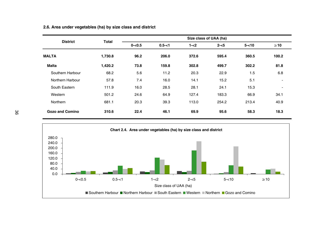| <b>District</b>        | <b>Total</b> |           |           |         | Size class of UAA (ha) |          |           |  |
|------------------------|--------------|-----------|-----------|---------|------------------------|----------|-----------|--|
|                        |              | $0 - 0.5$ | $0.5 - 1$ | $1 - 2$ | $2 - 5$                | $5 - 10$ | $\geq 10$ |  |
| <b>MALTA</b>           | 1,730.8      | 96.2      | 206.0     | 372.6   | 595.4                  | 360.5    | 100.2     |  |
| <b>Malta</b>           | 1,420.2      | 73.8      | 159.8     | 302.8   | 499.7                  | 302.2    | 81.8      |  |
| Southern Harbour       | 68.2         | 5.6       | 11.2      | 20.3    | 22.9                   | 1.5      | 6.8       |  |
| Northern Harbour       | 57.8         | 7.4       | 16.0      | 14.1    | 15.2                   | 5.1      | ٠         |  |
| South Eastern          | 111.9        | 16.0      | 28.5      | 28.1    | 24.1                   | 15.3     |           |  |
| Western                | 501.2        | 24.6      | 64.9      | 127.4   | 183.3                  | 66.9     | 34.1      |  |
| Northern               | 681.1        | 20.3      | 39.3      | 113.0   | 254.2                  | 213.4    | 40.9      |  |
| <b>Gozo and Comino</b> | 310.6        | 22.4      | 46.1      | 69.9    | 95.6                   | 58.3     | 18.3      |  |

**2.6. Area under vegetables (ha) by size class and district**

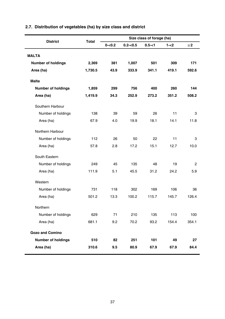| <b>District</b>           | <b>Total</b> |           |              | Size class of forage (ha) |         |             |
|---------------------------|--------------|-----------|--------------|---------------------------|---------|-------------|
|                           |              | $0 - 0.2$ | $0.2 - 0.5$  | $0.5 - 1$                 | $1 - 2$ | $\geq$ 2    |
| <b>MALTA</b>              |              |           |              |                           |         |             |
| <b>Number of holdings</b> | 2,369        | 381       | 1,007        | 501                       | 309     | 171         |
| Area (ha)                 | 1,730.5      | 43.9      | 333.9        | 341.1                     | 419.1   | 592.6       |
|                           |              |           |              |                           |         |             |
| Malta                     |              |           |              |                           |         |             |
| <b>Number of holdings</b> | 1,859        | 299       | 756          | 400                       | 260     | 144         |
| Area (ha)                 | 1,419.9      | 34.3      | 252.9        | 273.2                     | 351.2   | 508.2       |
| Southern Harbour          |              |           |              |                           |         |             |
| Number of holdings        | 138          | 39        | 59           | 26                        | 11      | 3           |
| Area (ha)                 | 67.9         | 4.0       | 19.9         | 18.1                      | 14.1    | 11.8        |
| Northern Harbour          |              |           |              |                           |         |             |
|                           |              |           |              | 22                        | 11      |             |
| Number of holdings        | 112          | 26        | 50           |                           |         | 3           |
| Area (ha)                 | 57.8         | 2.8       | 17.2         | 15.1                      | 12.7    | 10.0        |
| South Eastern             |              |           |              |                           |         |             |
| Number of holdings        | 249          | 45        | 135          | 48                        | 19      | 2           |
| Area (ha)                 | 111.9        | 5.1       | 45.5         | 31.2                      | 24.2    | 5.9         |
| Western                   |              |           |              |                           |         |             |
|                           |              |           |              |                           |         |             |
| Number of holdings        | 731          | 118       | 302<br>100.2 | 169                       | 106     | 36<br>126.4 |
| Area (ha)                 | 501.2        | 13.3      |              | 115.7                     | 145.7   |             |
| Northern                  |              |           |              |                           |         |             |
| Number of holdings        | 629          | 71        | 210          | 135                       | 113     | 100         |
| Area (ha)                 | 681.1        | 9.2       | 70.2         | 93.2                      | 154.4   | 354.1       |
| <b>Gozo and Comino</b>    |              |           |              |                           |         |             |
| <b>Number of holdings</b> | 510          | 82        | 251          | 101                       | 49      | 27          |
| Area (ha)                 | 310.6        | 9.5       | 80.9         | 67.9                      | 67.9    | 84.4        |
|                           |              |           |              |                           |         |             |

# **2.7. Distribution of vegetables (ha) by size class and district**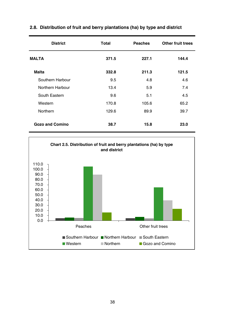| <b>District</b>        | Total | <b>Peaches</b> | Other fruit trees |
|------------------------|-------|----------------|-------------------|
| <b>MALTA</b>           | 371.5 | 227.1          | 144.4             |
| <b>Malta</b>           | 332.8 | 211.3          | 121.5             |
| Southern Harbour       | 9.5   | 4.8            | 4.6               |
| Northern Harbour       | 13.4  | 5.9            | 7.4               |
| South Eastern          | 9.6   | 5.1            | 4.5               |
| Western                | 170.8 | 105.6          | 65.2              |
| Northern               | 129.6 | 89.9           | 39.7              |
| <b>Gozo and Comino</b> | 38.7  | 15.8           | 23.0              |

## **2.8. Distribution of fruit and berry plantations (ha) by type and district**

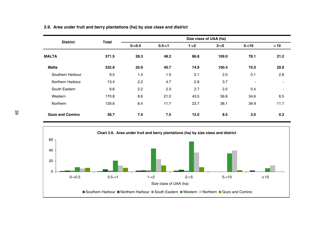| <b>District</b>        |              |           |           | Size class of UAA (ha) |         |                          |                                                                                               |  |  |
|------------------------|--------------|-----------|-----------|------------------------|---------|--------------------------|-----------------------------------------------------------------------------------------------|--|--|
|                        | <b>Total</b> | $0 - 0.5$ | $0.5 - 1$ | $1 - 2$                | $2 - 5$ | $5 - 10$                 | $\geq 10$<br>21.2<br>20.9<br>2.8<br>$\overline{\phantom{a}}$<br>$\blacksquare$<br>6.5<br>11.7 |  |  |
| <b>MALTA</b>           | 371.5        | 28.3      | 48.2      | 86.8                   | 109.0   | 78.1                     |                                                                                               |  |  |
| <b>Malta</b>           | 332.8        | 20.9      | 40.7      | 74.9                   | 100.4   | 75.0                     |                                                                                               |  |  |
| Southern Harbour       | 9.5          | 1.4       | 1.0       | 2.1                    | 2.0     | 0.1                      |                                                                                               |  |  |
| Northern Harbour       | 13.4         | 2.2       | 4.7       | 2.8                    | 3.7     | $\overline{\phantom{a}}$ |                                                                                               |  |  |
| South Eastern          | 9.6          | 2.2       | 2.3       | 2.7                    | 2.0     | 0.4                      |                                                                                               |  |  |
| Western                | 170.8        | 8.6       | 21.0      | 43.5                   | 56.6    | 34.6                     |                                                                                               |  |  |
| Northern               | 129.6        | 6.4       | 11.7      | 23.7                   | 36.1    | 39.9                     |                                                                                               |  |  |
| <b>Gozo and Comino</b> | 38.7         | 7.4       | 7.5       | 12.0                   | 8.5     | 3.0                      | 0.3                                                                                           |  |  |



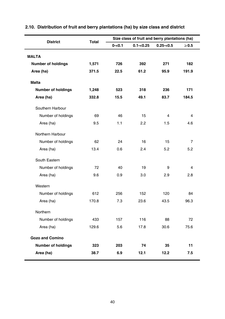| <b>District</b>           | Total |           |              | Size class of fruit and berry plantations (ha) |            |  |
|---------------------------|-------|-----------|--------------|------------------------------------------------|------------|--|
|                           |       | $0 - 0.1$ | $0.1 - 0.25$ | $0.25 - 0.5$                                   | $\geq 0.5$ |  |
| <b>MALTA</b>              |       |           |              |                                                |            |  |
| <b>Number of holdings</b> | 1,571 | 726       | 392          | 271                                            | 182        |  |
| Area (ha)                 | 371.5 | 22.5      | 61.2         | 95.9                                           | 191.9      |  |
| <b>Malta</b>              |       |           |              |                                                |            |  |
| <b>Number of holdings</b> | 1,248 | 523       | 318          | 236                                            | 171        |  |
| Area (ha)                 | 332.8 | 15.5      | 49.1         | 83.7                                           | 184.5      |  |
| Southern Harbour          |       |           |              |                                                |            |  |
| Number of holdings        | 69    | 46        | 15           | 4                                              | 4          |  |
| Area (ha)                 | 9.5   | 1.1       | 2.2          | 1.5                                            | 4.6        |  |
| Northern Harbour          |       |           |              |                                                |            |  |
| Number of holdings        | 62    | 24        | 16           | 15                                             | 7          |  |
| Area (ha)                 | 13.4  | 0.6       | 2.4          | 5.2                                            | 5.2        |  |
| South Eastern             |       |           |              |                                                |            |  |
| Number of holdings        | 72    | 40        | 19           | 9                                              | 4          |  |
| Area (ha)                 | 9.6   | 0.9       | 3.0          | 2.9                                            | 2.8        |  |
| Western                   |       |           |              |                                                |            |  |
| Number of holdings        | 612   | 256       | 152          | 120                                            | 84         |  |
| Area (ha)                 | 170.8 | 7.3       | 23.6         | 43.5                                           | 96.3       |  |
| Northern                  |       |           |              |                                                |            |  |
| Number of holdings        | 433   | 157       | 116          | 88                                             | 72         |  |
| Area (ha)                 | 129.6 | 5.6       | 17.8         | 30.6                                           | 75.6       |  |
| <b>Gozo and Comino</b>    |       |           |              |                                                |            |  |
| <b>Number of holdings</b> | 323   | 203       | 74           | 35                                             | 11         |  |
| Area (ha)                 | 38.7  | 6.9       | 12.1         | 12.2                                           | 7.5        |  |

# **2.10. Distribution of fruit and berry plantations (ha) by size class and district**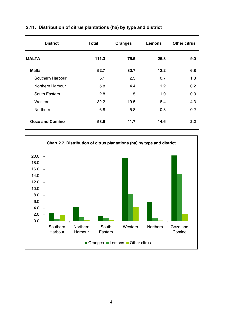| <b>District</b>        | <b>Total</b> | Oranges | <b>Lemons</b>    | Other citrus |
|------------------------|--------------|---------|------------------|--------------|
| <b>MALTA</b>           | 111.3        | 75.5    | 26.8             | 9.0          |
| <b>Malta</b>           | 52.7         | 33.7    | 12.2             | 6.8          |
| Southern Harbour       | 5.1          | 2.5     | 0.7              | 1.8          |
| Northern Harbour       | 5.8          | 4.4     | 1.2 <sub>2</sub> | 0.2          |
| South Eastern          | 2.8          | 1.5     | 1.0              | 0.3          |
| Western                | 32.2         | 19.5    | 8.4              | 4.3          |
| Northern               | 6.8          | 5.8     | 0.8              | 0.2          |
| <b>Gozo and Comino</b> | 58.6         | 41.7    | 14.6             | 2.2          |

## **2.11. Distribution of citrus plantations (ha) by type and district**

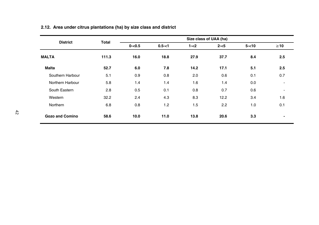| <b>District</b>        | <b>Total</b> |           |           | Size class of UAA (ha) |         |          |                          |
|------------------------|--------------|-----------|-----------|------------------------|---------|----------|--------------------------|
|                        |              | $0 - 0.5$ | $0.5 - 1$ | $1 - 2$                | $2 - 5$ | $5 - 10$ | $\geq 10$                |
| <b>MALTA</b>           | 111.3        | 16.0      | 18.8      | 27.9                   | 37.7    | 8.4      | 2.5                      |
| <b>Malta</b>           | 52.7         | 6.0       | 7.8       | 14.2                   | 17.1    | 5.1      | 2.5                      |
| Southern Harbour       | 5.1          | 0.9       | 0.8       | 2.0                    | 0.6     | 0.1      | 0.7                      |
| Northern Harbour       | 5.8          | 1.4       | 1.4       | 1.6                    | 1.4     | 0.0      | $\blacksquare$           |
| South Eastern          | 2.8          | 0.5       | 0.1       | 0.8                    | 0.7     | 0.6      | $\overline{\phantom{a}}$ |
| Western                | 32.2         | 2.4       | 4.3       | 8.3                    | 12.2    | 3.4      | 1.6                      |
| Northern               | 6.8          | 0.8       | 1.2       | 1.5                    | 2.2     | 1.0      | 0.1                      |
| <b>Gozo and Comino</b> | 58.6         | 10.0      | 11.0      | 13.8                   | 20.6    | 3.3      | ٠                        |

# **2.12. Area under citrus plantations (ha) by size class and district**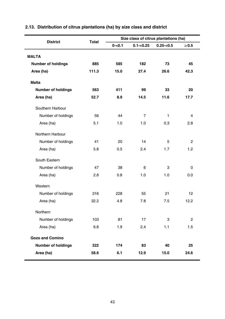| <b>District</b>           | Total |           |                | Size class of citrus plantations (ha) |                |
|---------------------------|-------|-----------|----------------|---------------------------------------|----------------|
|                           |       | $0 - 0.1$ | $0.1 - 0.25$   | $0.25 - 0.5$                          | $\geq 0.5$     |
| <b>MALTA</b>              |       |           |                |                                       |                |
| <b>Number of holdings</b> | 885   | 585       | 182            | 73                                    | 45             |
| Area (ha)                 | 111.3 | 15.0      | 27.4           | 26.6                                  | 42.3           |
| <b>Malta</b>              |       |           |                |                                       |                |
| <b>Number of holdings</b> | 563   | 411       | 99             | 33                                    | 20             |
| Area (ha)                 | 52.7  | 8.9       | 14.5           | 11.6                                  | 17.7           |
|                           |       |           |                |                                       |                |
| Southern Harbour          |       |           |                |                                       |                |
| Number of holdings        | 56    | 44        | $\overline{7}$ | $\mathbf{1}$                          | $\overline{4}$ |
| Area (ha)                 | 5.1   | 1.0       | 1.0            | 0.3                                   | 2.8            |
| Northern Harbour          |       |           |                |                                       |                |
| Number of holdings        | 41    | 20        | 14             | 5                                     | 2              |
| Area (ha)                 | 5.8   | 0.5       | 2.4            | 1.7                                   | 1.2            |
| South Eastern             |       |           |                |                                       |                |
| Number of holdings        | 47    | 38        | 6              | 3                                     | 0              |
| Area (ha)                 | 2.8   | 0.8       | 1.0            | 1.0                                   | 0.0            |
| Western                   |       |           |                |                                       |                |
| Number of holdings        | 316   | 228       | 55             | 21                                    | 12             |
| Area (ha)                 | 32.2  | 4.8       | 7.8            | 7.5                                   | 12.2           |
| Northern                  |       |           |                |                                       |                |
| Number of holdings        | 103   | 81        | 17             | 3                                     | 2              |
| Area (ha)                 | 6.8   | 1.9       | 2.4            | 1.1                                   | 1.5            |
| <b>Gozo and Comino</b>    |       |           |                |                                       |                |
| <b>Number of holdings</b> | 322   | 174       | 83             | 40                                    | 25             |
| Area (ha)                 | 58.6  | 6.1       | 12.9           | 15.0                                  | 24.6           |

# **2.13. Distribution of citrus plantations (ha) by size class and district**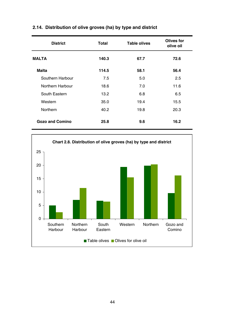| <b>District</b>        | Total | <b>Table olives</b> | Olives for<br>olive oil |
|------------------------|-------|---------------------|-------------------------|
| <b>MALTA</b>           | 140.3 | 67.7                | 72.6                    |
| <b>Malta</b>           | 114.5 | 58.1                | 56.4                    |
| Southern Harbour       | 7.5   | 5.0                 | 2.5                     |
| Northern Harbour       | 18.6  | 7.0                 | 11.6                    |
| South Eastern          | 13.2  | 6.8                 | 6.5                     |
| Western                | 35.0  | 19.4                | 15.5                    |
| Northern               | 40.2  | 19.8                | 20.3                    |
| <b>Gozo and Comino</b> | 25.8  | 9.6                 | 16.2                    |

# **2.14. Distribution of olive groves (ha) by type and district**

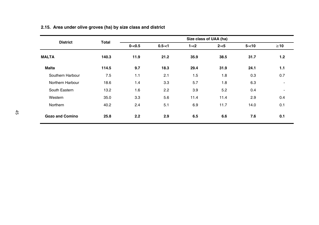| <b>District</b>        | Total |           |           |         | Size class of UAA (ha) |          |                          |
|------------------------|-------|-----------|-----------|---------|------------------------|----------|--------------------------|
|                        |       | $0 - 0.5$ | $0.5 - 1$ | $1 - 2$ | $2 - 5$                | $5 - 10$ | $\geq 10$                |
| <b>MALTA</b>           | 140.3 | 11.9      | 21.2      | 35.9    | 38.5                   | 31.7     | 1.2                      |
| <b>Malta</b>           | 114.5 | 9.7       | 18.3      | 29.4    | 31.9                   | 24.1     | 1.1                      |
| Southern Harbour       | 7.5   | 1.1       | 2.1       | 1.5     | 1.8                    | 0.3      | 0.7                      |
| Northern Harbour       | 18.6  | 1.4       | 3.3       | 5.7     | 1.8                    | 6.3      | $\blacksquare$           |
| South Eastern          | 13.2  | 1.6       | 2.2       | 3.9     | 5.2                    | 0.4      | $\overline{\phantom{a}}$ |
| Western                | 35.0  | 3.3       | 5.6       | 11.4    | 11.4                   | 2.9      | 0.4                      |
| Northern               | 40.2  | 2.4       | 5.1       | 6.9     | 11.7                   | 14.0     | 0.1                      |
| <b>Gozo and Comino</b> | 25.8  | 2.2       | 2.9       | 6.5     | 6.6                    | 7.6      | 0.1                      |

# **2.15. Area under olive groves (ha) by size class and district**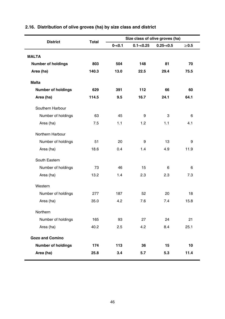| <b>District</b>           | Total |           |              | Size class of olive groves (ha) |            |
|---------------------------|-------|-----------|--------------|---------------------------------|------------|
|                           |       | $0 - 0.1$ | $0.1 - 0.25$ | $0.25 - 0.5$                    | $\geq 0.5$ |
| <b>MALTA</b>              |       |           |              |                                 |            |
| <b>Number of holdings</b> | 803   | 504       | 148          | 81                              | 70         |
| Area (ha)                 | 140.3 | 13.0      | 22.5         | 29.4                            | 75.5       |
| <b>Malta</b>              |       |           |              |                                 |            |
| <b>Number of holdings</b> | 629   | 391       | 112          | 66                              | 60         |
|                           | 114.5 | 9.5       | 16.7         | 24.1                            | 64.1       |
| Area (ha)                 |       |           |              |                                 |            |
| Southern Harbour          |       |           |              |                                 |            |
| Number of holdings        | 63    | 45        | 9            | 3                               | 6          |
| Area (ha)                 | 7.5   | 1.1       | 1.2          | 1.1                             | 4.1        |
| Northern Harbour          |       |           |              |                                 |            |
| Number of holdings        | 51    | 20        | 9            | 13                              | 9          |
| Area (ha)                 | 18.6  | 0.4       | 1.4          | 4.9                             | 11.9       |
| South Eastern             |       |           |              |                                 |            |
| Number of holdings        | 73    | 46        | 15           | 6                               | 6          |
| Area (ha)                 | 13.2  | 1.4       | 2.3          | 2.3                             | 7.3        |
| Western                   |       |           |              |                                 |            |
| Number of holdings        | 277   | 187       | 52           | 20                              | 18         |
| Area (ha)                 | 35.0  | 4.2       | 7.6          | 7.4                             | 15.8       |
| Northern                  |       |           |              |                                 |            |
| Number of holdings        | 165   | 93        | 27           | 24                              | 21         |
| Area (ha)                 | 40.2  | 2.5       | 4.2          | 8.4                             | 25.1       |
| <b>Gozo and Comino</b>    |       |           |              |                                 |            |
| <b>Number of holdings</b> | 174   | 113       | 36           | 15                              | 10         |
| Area (ha)                 | 25.8  | 3.4       | 5.7          | 5.3                             | 11.4       |

# **2.16. Distribution of olive groves (ha) by size class and district**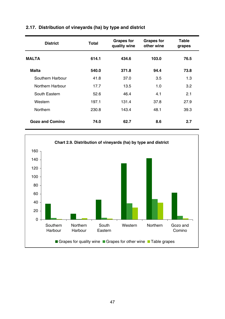| <b>District</b>  | Total | <b>Grapes for</b><br>quality wine | <b>Grapes for</b><br>other wine | Table<br>grapes |
|------------------|-------|-----------------------------------|---------------------------------|-----------------|
| <b>MALTA</b>     | 614.1 | 434.6                             | 103.0                           | 76.5            |
| Malta            | 540.0 | 371.8                             | 94.4                            | 73.8            |
| Southern Harbour | 41.8  | 37.0                              | 3.5                             | 1.3             |
| Northern Harbour | 17.7  | 13.5                              | 1.0                             | 3.2             |
| South Eastern    | 52.6  | 46.4                              | 4.1                             | 2.1             |
| Western          | 197.1 | 131.4                             | 37.8                            | 27.9            |
| Northern         | 230.8 | 143.4                             | 48.1                            | 39.3            |
| Gozo and Comino  | 74.0  | 62.7                              | 8.6                             | 2.7             |

## **2.17. Distribution of vineyards (ha) by type and district**

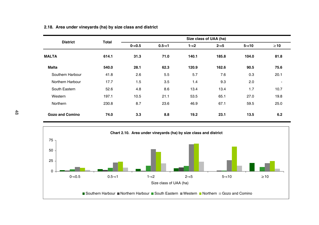|                  | <b>Total</b> |           |           |         | Size class of UAA (ha) |          |                |
|------------------|--------------|-----------|-----------|---------|------------------------|----------|----------------|
| <b>District</b>  |              | $0 - 0.5$ | $0.5 - 1$ | $1 - 2$ | $2 - 5$                | $5 - 10$ | $\geq 10$      |
| <b>MALTA</b>     | 614.1        | 31.3      | 71.0      | 140.1   | 185.8                  | 104.0    | 81.8           |
| <b>Malta</b>     | 540.0        | 28.1      | 62.3      | 120.9   | 162.6                  | 90.5     | 75.6           |
| Southern Harbour | 41.8         | 2.6       | 5.5       | 5.7     | 7.6                    | 0.3      | 20.1           |
| Northern Harbour | 17.7         | 1.5       | 3.5       | 1.4     | 9.3                    | 2.0      | $\blacksquare$ |
| South Eastern    | 52.6         | 4.8       | 8.6       | 13.4    | 13.4                   | 1.7      | 10.7           |
| Western          | 197.1        | 10.5      | 21.1      | 53.5    | 65.1                   | 27.0     | 19.8           |
| Northern         | 230.8        | 8.7       | 23.6      | 46.9    | 67.1                   | 59.5     | 25.0           |
| Gozo and Comino  | 74.0         | 3.3       | 8.8       | 19.2    | 23.1                   | 13.5     | 6.2            |

### **2.18. Area under vineyards (ha) by size class and district**

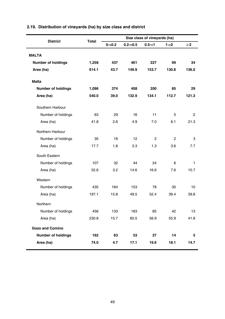| <b>District</b>           | <b>Total</b> |           |             | Size class of vineyards (ha) |                |          |
|---------------------------|--------------|-----------|-------------|------------------------------|----------------|----------|
|                           |              | $0 - 0.2$ | $0.2 - 0.5$ | $0.5 - 1$                    | $1 - 2$        | $\geq$ 2 |
| <b>MALTA</b>              |              |           |             |                              |                |          |
| Number of holdings        | 1,258        | 437       | 461         | 227                          | 99             | 34       |
| Area (ha)                 | 614.1        | 43.7      | 149.9       | 153.7                        | 130.8          | 136.0    |
|                           |              |           |             |                              |                |          |
| <b>Malta</b>              |              |           |             |                              |                |          |
| <b>Number of holdings</b> | 1,096        | 374       | 408         | 200                          | 85             | 29       |
| Area (ha)                 | 540.0        | 39.0      | 132.9       | 134.1                        | 112.7          | 121.3    |
| Southern Harbour          |              |           |             |                              |                |          |
| Number of holdings        | 63           | 29        | 16          | 11                           | 5              | 2        |
| Area (ha)                 | 41.8         | 2.6       | 4.9         | 7.0                          | 6.1            | 21.3     |
| Northern Harbour          |              |           |             |                              |                |          |
|                           | 35           | 16        | 12          | $\overline{2}$               | $\overline{2}$ | 3        |
| Area (ha)                 | 17.7         | 1.8       | 3.3         | 1.3                          | 3.6            | 7.7      |
| South Eastern             |              |           |             |                              |                |          |
| Number of holdings        | 107          | 32        | 44          | 24                           | 6              | 1        |
| Area (ha)                 | 52.6         | 3.2       | 14.6        | 16.6                         | 7.6            | 10.7     |
| Western                   |              |           |             |                              |                |          |
| Number of holdings        | 435          | 164       | 153         | 78                           | 30             | 10       |
| Area (ha)                 | 197.1        | 15.8      | 49.5        | 52.4                         | 39.4           | 39.8     |
| Northern                  |              |           |             |                              |                |          |
| Number of holdings        | 456          | 133       | 183         | 85                           | 42             | 13       |
| Area (ha)                 | 230.8        | 15.7      | 60.5        | 56.9                         | 55.9           | 41.8     |
| <b>Gozo and Comino</b>    |              |           |             |                              |                |          |
| <b>Number of holdings</b> | 162          | 63        | 53          | 27                           | 14             | 5        |
| Area (ha)                 | 74.0         | 4.7       | 17.1        | 19.6                         | 18.1           | 14.7     |
| Number of holdings        |              |           |             |                              |                |          |

## **2.19. Distribution of vineyards (ha) by size class and district**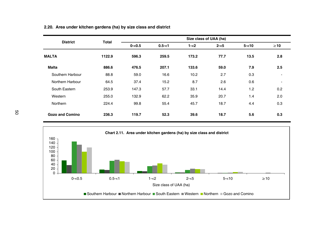| <b>District</b>        | <b>Total</b> |           |           | Size class of UAA (ha) |         |          |           |  |
|------------------------|--------------|-----------|-----------|------------------------|---------|----------|-----------|--|
|                        |              | $0 - 0.5$ | $0.5 - 1$ | $1 - 2$                | $2 - 5$ | $5 - 10$ | $\geq 10$ |  |
| <b>MALTA</b>           | 1122.9       | 596.3     | 259.5     | 173.2                  | 77.7    | 13.5     | 2.8       |  |
| <b>Malta</b>           | 886.6        | 476.5     | 207.1     | 133.6                  | 59.0    | 7.9      | 2.5       |  |
| Southern Harbour       | 88.8         | 59.0      | 16.6      | 10.2                   | 2.7     | 0.3      |           |  |
| Northern Harbour       | 64.5         | 37.4      | 15.2      | 8.7                    | 2.6     | 0.6      |           |  |
| South Eastern          | 253.9        | 147.3     | 57.7      | 33.1                   | 14.4    | 1.2      | 0.2       |  |
| Western                | 255.0        | 132.9     | 62.2      | 35.9                   | 20.7    | 1.4      | 2.0       |  |
| Northern               | 224.4        | 99.8      | 55.4      | 45.7                   | 18.7    | 4.4      | 0.3       |  |
| <b>Gozo and Comino</b> | 236.3        | 119.7     | 52.3      | 39.6                   | 18.7    | 5.6      | 0.3       |  |



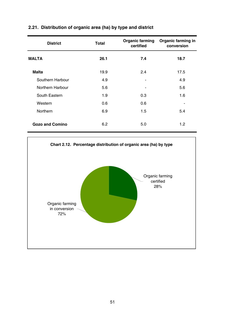| <b>District</b>        | Total | <b>Organic farming</b><br>certified | Organic farming in<br>conversion |
|------------------------|-------|-------------------------------------|----------------------------------|
| <b>MALTA</b>           | 26.1  | 7.4                                 | 18.7                             |
| <b>Malta</b>           | 19.9  | 2.4                                 | 17.5                             |
| Southern Harbour       | 4.9   |                                     | 4.9                              |
| Northern Harbour       | 5.6   | ٠                                   | 5.6                              |
| South Eastern          | 1.9   | 0.3                                 | 1.6                              |
| Western                | 0.6   | 0.6                                 | -                                |
| Northern               | 6.9   | 1.5                                 | 5.4                              |
| <b>Gozo and Comino</b> | 6.2   | 5.0                                 | 1.2                              |

## **2.21. Distribution of organic area (ha) by type and district**

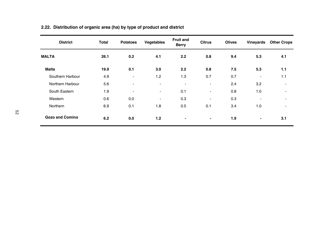| <b>District</b>        | <b>Total</b> | <b>Potatoes</b>          | Vegetables               | <b>Fruit and</b><br><b>Berry</b> | <b>Citrus</b>            | <b>Olives</b> | Vineyards                | <b>Other Crops</b>       |
|------------------------|--------------|--------------------------|--------------------------|----------------------------------|--------------------------|---------------|--------------------------|--------------------------|
| <b>MALTA</b>           | 26.1         | 0.2                      | 4.1                      | 2.2                              | 0.8                      | 9.4           | 5.3                      | 4.1                      |
| <b>Malta</b>           | 19.9         | 0.1                      | 3.0                      | 2.2                              | 0.8                      | 7.5           | 5.3                      | 1.1                      |
| Southern Harbour       | 4.9          | $\overline{\phantom{a}}$ | 1.2                      | 1.3                              | 0.7                      | 0.7           | $\overline{\phantom{a}}$ | 1.1                      |
| Northern Harbour       | 5.6          | $\overline{\phantom{a}}$ | $\overline{\phantom{a}}$ | $\blacksquare$                   | $\blacksquare$           | 2.4           | 3.2                      | $\blacksquare$           |
| South Eastern          | 1.9          | $\overline{\phantom{a}}$ | $\overline{\phantom{a}}$ | 0.1                              | $\blacksquare$           | 0.8           | 1.0                      | $\overline{\phantom{a}}$ |
| Western                | 0.6          | 0.0                      | $\blacksquare$           | 0.3                              | $\overline{\phantom{a}}$ | 0.3           | $\overline{\phantom{a}}$ | $\blacksquare$           |
| <b>Northern</b>        | 6.9          | 0.1                      | 1.8                      | 0.5                              | 0.1                      | 3.4           | 1.0                      | $\overline{\phantom{a}}$ |
| <b>Gozo and Comino</b> | 6.2          | 0.0                      | 1.2                      | ٠                                |                          | 1.9           | ٠                        | 3.1                      |

# **2.22. Distribution of organic area (ha) by type of product and district**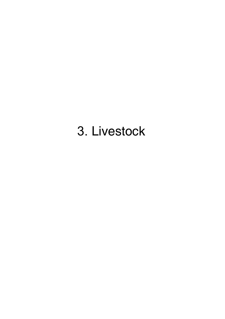# 3. Livestock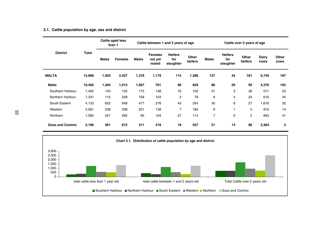#### **3.1. Cattle population by age, sex and district**

|                        |        |              | Cattle aged less<br>than 1 |              | Cattle between 1 and 2 years of age |                                    |                  |              | Cattle over 2 years of age         |                  |               |               |
|------------------------|--------|--------------|----------------------------|--------------|-------------------------------------|------------------------------------|------------------|--------------|------------------------------------|------------------|---------------|---------------|
| <b>District</b>        | Total  | <b>Males</b> | <b>Females</b>             | <b>Males</b> | <b>Females</b><br>not yet<br>mated  | <b>Heifers</b><br>for<br>slaughter | Other<br>heifers | <b>Males</b> | <b>Heifers</b><br>for<br>slaughter | Other<br>heifers | Dairy<br>cows | Other<br>cows |
| <b>MALTA</b>           | 15,688 | 1,925        | 2,427                      | 1,378        | 1,179                               | 114                                | 1,386            | 137          | 34                                 | 181              | 6,740         | 187           |
| <b>Malta</b>           | 10,492 | 1,364        | 1,615                      | 1,067        | 761                                 | 96                                 | 829              | 86           | 20                                 | 95               | 4,376         | 183           |
| Southern Harbour       | 1,402  | 143          | 135                        | 175          | 138                                 | 16                                 | 102              | 31           | 3                                  | 36               | 571           | 52            |
| Northern Harbour       | 1,331  | 110          | 229                        | 109          | 103                                 | 3                                  | 79               | 9            | 4                                  | 25               | 616           | 44            |
| South Eastern          | 4,133  | 622          | 648                        | 477          | 278                                 | 43                                 | 354              | 30           | 6                                  | 27               | 1,616         | 32            |
| Western                | 2.061  | 238          | 338                        | 221          | 138                                 | $\overline{7}$                     | 180              | 9            |                                    | 5                | 910           | 14            |
| Northern               | 1,565  | 251          | 265                        | 85           | 104                                 | 27                                 | 114              | 7            | 6                                  | $\overline{2}$   | 663           | 41            |
| <b>Gozo and Comino</b> | 5,196  | 561          | 812                        | 311          | 418                                 | 18                                 | 557              | 51           | 14                                 | 86               | 2,364         | 4             |

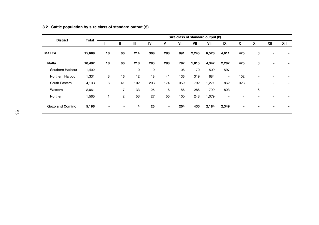| <b>District</b>        | Total  | Size class of standard output $(E)$ |                |     |     |        |     |       |       |                          |                          |                          |     |      |
|------------------------|--------|-------------------------------------|----------------|-----|-----|--------|-----|-------|-------|--------------------------|--------------------------|--------------------------|-----|------|
|                        |        |                                     | $\mathbf{u}$   | Ш   | IV  | v      | VI  | VII   | VIII  | IX                       | x                        | XI                       | XII | XIII |
| <b>MALTA</b>           | 15,688 | 10                                  | 66             | 214 | 308 | 286    | 991 | 2,245 | 6,526 | 4,611                    | 425                      | 6                        |     |      |
| <b>Malta</b>           | 10,492 | 10                                  | 66             | 210 | 283 | 286    | 787 | 1,815 | 4,342 | 2,262                    | 425                      | 6                        |     |      |
| Southern Harbour       | 1,402  | $\overline{\phantom{a}}$            | ٠.             | 10  | 10  | $\sim$ | 106 | 170   | 509   | 597                      | $\overline{\phantom{a}}$ |                          |     |      |
| Northern Harbour       | 1,331  | 3                                   | 16             | 12  | 18  | 41     | 136 | 319   | 684   | $\overline{\phantom{a}}$ | 102                      | $\overline{\phantom{a}}$ |     | ۰    |
| South Eastern          | 4,133  | 6                                   | 41             | 102 | 203 | 174    | 359 | 792   | 1,271 | 862                      | 323                      | $\overline{\phantom{a}}$ |     |      |
| Western                | 2,061  | ٠                                   | 7              | 33  | 25  | 16     | 86  | 286   | 799   | 803                      | $\overline{\phantom{a}}$ | 6                        |     |      |
| Northern               | 1,565  |                                     | $\overline{2}$ | 53  | 27  | 55     | 100 | 248   | 1,079 | $\blacksquare$           |                          |                          |     |      |
| <b>Gozo and Comino</b> | 5,196  | $\blacksquare$                      | ٠              | 4   | 25  | ٠      | 204 | 430   | 2,184 | 2,349                    | $\overline{\phantom{0}}$ | $\overline{\phantom{a}}$ |     |      |

### **3.2. Cattle population by size class of standard output (€)**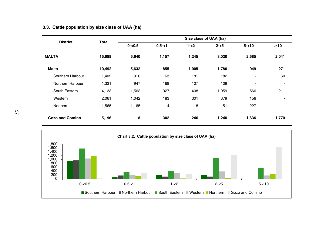| <b>District</b>  | <b>Total</b> |           |           | Size class of UAA (ha) |         |                          |                          |
|------------------|--------------|-----------|-----------|------------------------|---------|--------------------------|--------------------------|
|                  |              | $0 - 0.5$ | $0.5 - 1$ | $1 - 2$                | $2 - 5$ | $5 - 10$                 | $\geq 10$                |
| <b>MALTA</b>     | 15,688       | 5,640     | 1,157     | 1,245                  | 3,020   | 2,585                    | 2,041                    |
| <b>Malta</b>     | 10,492       | 5,632     | 855       | 1,005                  | 1,780   | 949                      | 271                      |
| Southern Harbour | 1,402        | 916       | 63        | 181                    | 182     | $\overline{\phantom{a}}$ | 60                       |
| Northern Harbour | 1,331        | 947       | 168       | 107                    | 109     | ٠                        | $\overline{\phantom{a}}$ |
| South Eastern    | 4,133        | 1,562     | 327       | 408                    | 1,059   | 566                      | 211                      |
| Western          | 2,061        | 1,042     | 183       | 301                    | 379     | 156                      | $\blacksquare$           |
| Northern         | 1,565        | 1,165     | 114       | 8                      | 51      | 227                      | $\overline{\phantom{a}}$ |
| Gozo and Comino  | 5,196        | 8         | 302       | 240                    | 1,240   | 1,636                    | 1,770                    |

## **3.3. Cattle population by size class of UAA (ha)**

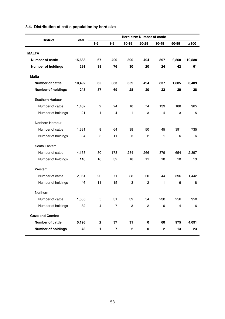| <b>District</b>           | Total  |       |                |                | Herd size: Number of cattle |                |                |            |
|---------------------------|--------|-------|----------------|----------------|-----------------------------|----------------|----------------|------------|
|                           |        | $1-2$ | $3-9$          | $10 - 19$      | 20-29                       | 30-49          | 50-99          | $\geq 100$ |
| <b>MALTA</b>              |        |       |                |                |                             |                |                |            |
| <b>Number of cattle</b>   | 15,688 | 67    | 400            | 390            | 494                         | 897            | 2,860          | 10,580     |
| Number of holdings        | 291    | 38    | 76             | 30             | 20                          | 24             | 42             | 61         |
| <b>Malta</b>              |        |       |                |                |                             |                |                |            |
| <b>Number of cattle</b>   | 10,492 | 65    | 363            | 359            | 494                         | 837            | 1,885          | 6,489      |
| Number of holdings        | 243    | 37    | 69             | 28             | 20                          | 22             | 29             | 38         |
|                           |        |       |                |                |                             |                |                |            |
| Southern Harbour          |        |       |                |                |                             |                |                |            |
| Number of cattle          | 1,402  | 2     | 24             | 10             | 74                          | 139            | 188            | 965        |
| Number of holdings        | 21     | 1     | 4              | 1              | 3                           | 4              | 3              | 5          |
| Northern Harbour          |        |       |                |                |                             |                |                |            |
| Number of cattle          | 1,331  | 8     | 64             | 38             | 50                          | 45             | 391            | 735        |
| Number of holdings        | 34     | 5     | 11             | 3              | $\overline{2}$              | 1              | 6              | 6          |
| South Eastern             |        |       |                |                |                             |                |                |            |
| Number of cattle          | 4,133  | 30    | 173            | 234            | 266                         | 379            | 654            | 2,397      |
| Number of holdings        | 110    | 16    | 32             | 18             | 11                          | 10             | 10             | 13         |
| Western                   |        |       |                |                |                             |                |                |            |
| Number of cattle          | 2,061  | 20    | 71             | 38             | 50                          | 44             | 396            | 1,442      |
| Number of holdings        | 46     | 11    | 15             | 3              | $\overline{2}$              | 1              | 6              | 8          |
| Northern                  |        |       |                |                |                             |                |                |            |
| Number of cattle          | 1,565  | 5     | 31             | 39             | 54                          | 230            | 256            | 950        |
| Number of holdings        | 32     | 4     | $\overline{7}$ | 3              | $\overline{2}$              | 6              | $\overline{4}$ | 6          |
| <b>Gozo and Comino</b>    |        |       |                |                |                             |                |                |            |
| <b>Number of cattle</b>   | 5,196  | 2     | 37             | 31             | 0                           | 60             | 975            | 4,091      |
| <b>Number of holdings</b> | 48     | 1     | 7              | $\overline{2}$ | 0                           | $\overline{2}$ | 13             | 23         |

### **3.4. Distribution of cattle population by herd size**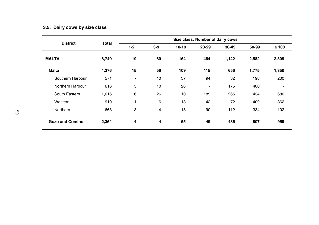# **3.5. Dairy cows by size class**

| <b>District</b>        | <b>Total</b> |         |                |         | Size class: Number of dairy cows |       |       |            |
|------------------------|--------------|---------|----------------|---------|----------------------------------|-------|-------|------------|
|                        |              | $1 - 2$ | $3-9$          | $10-19$ | 20-29                            | 30-49 | 50-99 | $\geq 100$ |
| <b>MALTA</b>           | 6,740        | 19      | 60             | 164     | 464                              | 1,142 | 2,582 | 2,309      |
| <b>Malta</b>           | 4,376        | 15      | 56             | 109     | 415                              | 656   | 1,775 | 1,350      |
| Southern Harbour       | 571          | ۰       | 10             | 37      | 94                               | 32    | 198   | 200        |
| Northern Harbour       | 616          | 5       | 10             | 26      | ٠                                | 175   | 400   | ٠          |
| South Eastern          | 1,616        | 6       | 26             | 10      | 189                              | 265   | 434   | 686        |
| Western                | 910          | 1       | 6              | 18      | 42                               | 72    | 409   | 362        |
| Northern               | 663          | 3       | $\overline{4}$ | 18      | 90                               | 112   | 334   | 102        |
| <b>Gozo and Comino</b> | 2,364        | 4       | 4              | 55      | 49                               | 486   | 807   | 959        |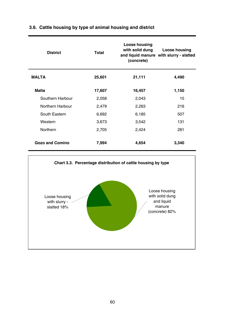| <b>District</b>        | Total  | Loose housing<br>with solid dung<br>(concrete) | Loose housing<br>and liquid manure with slurry - slatted |
|------------------------|--------|------------------------------------------------|----------------------------------------------------------|
| <b>MALTA</b>           | 25,601 | 21,111                                         | 4,490                                                    |
| <b>Malta</b>           | 17,607 | 16,457                                         | 1,150                                                    |
| Southern Harbour       | 2,058  | 2,043                                          | 15                                                       |
| Northern Harbour       | 2,479  | 2,263                                          | 216                                                      |
| South Eastern          | 6,692  | 6,185                                          | 507                                                      |
| Western                | 3,673  | 3,542                                          | 131                                                      |
| Northern               | 2,705  | 2,424                                          | 281                                                      |
| <b>Gozo and Comino</b> | 7,994  | 4,654                                          | 3,340                                                    |

## **3.6. Cattle housing by type of animal housing and district**

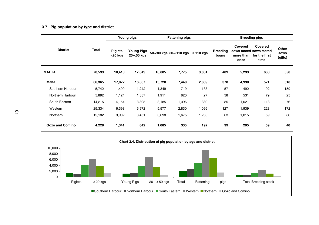### **3.7. Pig population by type and district**

|                        |        |                              | Young pigs                      |        | <b>Fattening pigs</b>  |                |                          |                              | <b>Breeding pigs</b>                                      |                          |
|------------------------|--------|------------------------------|---------------------------------|--------|------------------------|----------------|--------------------------|------------------------------|-----------------------------------------------------------|--------------------------|
| <b>District</b>        | Total  | <b>Piglets</b><br>$<$ 20 kgs | <b>Young Pigs</b><br>20-<50 kgs |        | 50-<80 kgs 80-<110 kgs | $\geq$ 110 kgs | <b>Breeding</b><br>boars | Covered<br>more than<br>once | Covered<br>sows mated sows mated<br>for the first<br>time | Other<br>sows<br>(gilts) |
| <b>MALTA</b>           | 70,593 | 18,413                       | 17,649                          | 16,805 | 7,775                  | 3,061          | 409                      | 5,293                        | 630                                                       | 558                      |
| Malta                  | 66,365 | 17,072                       | 16,807                          | 15,720 | 7,440                  | 2,869          | 370                      | 4,998                        | 571                                                       | 518                      |
| Southern Harbour       | 5,742  | 1,499                        | 1,242                           | 1,349  | 719                    | 133            | 57                       | 492                          | 92                                                        | 159                      |
| Northern Harbour       | 5,892  | 1,124                        | 1,337                           | 1,911  | 820                    | 27             | 38                       | 531                          | 79                                                        | 25                       |
| South Eastern          | 14,215 | 4,154                        | 3,805                           | 3,185  | 1,396                  | 380            | 85                       | 1,021                        | 113                                                       | 76                       |
| Western                | 25,334 | 6,393                        | 6,972                           | 5,577  | 2,830                  | 1,096          | 127                      | 1,939                        | 228                                                       | 172                      |
| Northern               | 15,182 | 3,902                        | 3,451                           | 3,698  | 1,675                  | 1,233          | 63                       | 1,015                        | 59                                                        | 86                       |
| <b>Gozo and Comino</b> | 4,228  | 1,341                        | 842                             | 1,085  | 335                    | 192            | 39                       | 295                          | 59                                                        | 40                       |

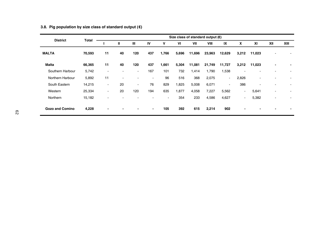| <b>District</b>  | Total  |    |                          |                          |      |        |       |        | Size class of standard output $(\epsilon)$ |                          |                          |        |                          |      |
|------------------|--------|----|--------------------------|--------------------------|------|--------|-------|--------|--------------------------------------------|--------------------------|--------------------------|--------|--------------------------|------|
|                  |        |    | Ш                        | $\mathbf{m}$             | IV   | v      | VI    | VII    | VIII                                       | IX                       | x                        | XI     | XII                      | XIII |
| <b>MALTA</b>     | 70,593 | 11 | 40                       | 120                      | 437  | 1,766  | 5,696 | 11,696 | 23,963                                     | 12,629                   | 3,212                    | 11,023 |                          |      |
| <b>Malta</b>     | 66,365 | 11 | 40                       | 120                      | 437  | 1,661  | 5,304 | 11,081 | 21,749                                     | 11,727                   | 3,212                    | 11,023 | $\overline{\phantom{0}}$ | -    |
| Southern Harbour | 5,742  | ۰  | ٠                        | $\overline{\phantom{a}}$ | 167  | 101    | 732   | 1,414  | 1,790                                      | 1,538                    | ٠                        | ۰      |                          |      |
| Northern Harbour | 5,892  | 11 | $\overline{\phantom{a}}$ |                          | ٠    | 96     | 516   | 368    | 2,075                                      | $\overline{\phantom{a}}$ | 2,826                    | ٠      |                          |      |
| South Eastern    | 14,215 | ۰  | 20                       | $\sim$                   | 76   | 829    | 1,825 | 5,008  | 6,071                                      | $\overline{\phantom{a}}$ | 386                      | ٠      |                          |      |
| Western          | 25,334 | ۰  | 20                       | 120                      | 194  | 635    | 1.877 | 4.058  | 7.227                                      | 5,562                    | $\overline{\phantom{0}}$ | 5,641  |                          |      |
| Northern         | 15,182 | ۰  | ٠                        |                          |      | $\sim$ | 354   | 233    | 4.586                                      | 4,627                    | ۰.                       | 5,382  |                          |      |
| Gozo and Comino  | 4,228  | ٠  | $\blacksquare$           |                          | $\,$ | 105    | 392   | 615    | 2,214                                      | 902                      | -                        | -      |                          |      |

### **3.8. Pig population by size class of standard output (€)**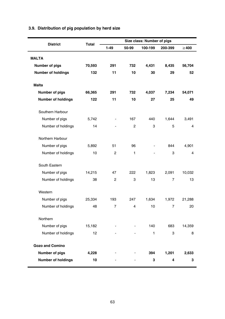|                           |        |                |                | Size class: Number of pigs |                |            |
|---------------------------|--------|----------------|----------------|----------------------------|----------------|------------|
| <b>District</b>           | Total  | $1 - 49$       | 50-99          | 100-199                    | 200-399        | $\geq 400$ |
| <b>MALTA</b>              |        |                |                |                            |                |            |
| Number of pigs            | 70,593 | 291            | 732            | 4,431                      | 8,435          | 56,704     |
| <b>Number of holdings</b> | 132    | 11             | 10             | 30                         | 29             | 52         |
| <b>Malta</b>              |        |                |                |                            |                |            |
| Number of pigs            | 66,365 | 291            | 732            | 4,037                      | 7,234          | 54,071     |
| <b>Number of holdings</b> | 122    | 11             | 10             | 27                         | 25             | 49         |
| Southern Harbour          |        |                |                |                            |                |            |
| Number of pigs            | 5,742  |                | 167            | 440                        | 1,644          | 3,491      |
| Number of holdings        | 14     |                | $\overline{2}$ | 3                          | 5              | 4          |
| Northern Harbour          |        |                |                |                            |                |            |
| Number of pigs            | 5,892  | 51             | 96             |                            | 844            | 4,901      |
| Number of holdings        | 10     | 2              | 1              |                            | 3              | 4          |
| South Eastern             |        |                |                |                            |                |            |
| Number of pigs            | 14,215 | 47             | 222            | 1,823                      | 2,091          | 10,032     |
| Number of holdings        | 38     | $\overline{2}$ | 3              | 13                         | $\overline{7}$ | 13         |
| Western                   |        |                |                |                            |                |            |
| Number of pigs            | 25,334 | 193            | 247            | 1,634                      | 1,972          | 21,288     |
| Number of holdings        | 48     | $\overline{7}$ | $\overline{4}$ | 10                         | $\overline{7}$ | 20         |
| Northern                  |        |                |                |                            |                |            |
| Number of pigs            | 15,182 |                |                | 140                        | 683            | 14,359     |
| Number of holdings        | 12     |                |                | 1                          | 3              | 8          |
| Gozo and Comino           |        |                |                |                            |                |            |
| Number of pigs            | 4,228  |                |                | 394                        | 1,201          | 2,633      |
| <b>Number of holdings</b> | 10     |                |                | 3                          | 4              | 3          |

# **3.9. Distribution of pig population by herd size**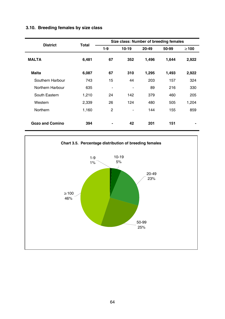## **3.10. Breeding females by size class**

| <b>District</b>  | Total |                |                          |       | Size class: Number of breeding females |            |
|------------------|-------|----------------|--------------------------|-------|----------------------------------------|------------|
|                  |       | 1-9            | $10-19$                  | 20-49 | 50-99                                  | $\geq 100$ |
| <b>MALTA</b>     | 6,481 | 67             | 352                      | 1,496 | 1,644                                  | 2,922      |
| <b>Malta</b>     | 6,087 | 67             | 310                      | 1,295 | 1,493                                  | 2,922      |
| Southern Harbour | 743   | 15             | 44                       | 203   | 157                                    | 324        |
| Northern Harbour | 635   | $\blacksquare$ | $\overline{\phantom{a}}$ | 89    | 216                                    | 330        |
| South Eastern    | 1,210 | 24             | 142                      | 379   | 460                                    | 205        |
| Western          | 2,339 | 26             | 124                      | 480   | 505                                    | 1.204      |
| Northern         | 1.160 | $\overline{2}$ | $\overline{\phantom{a}}$ | 144   | 155                                    | 859        |
| Gozo and Comino  | 394   | ۰              | 42                       | 201   | 151                                    | ۰          |

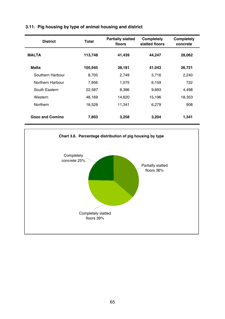| <b>District</b>        | Total   | <b>Partially slatted</b><br>floors | Completely<br>slatted floors | Completely<br>concrete |
|------------------------|---------|------------------------------------|------------------------------|------------------------|
| <b>MALTA</b>           | 113,748 | 41,439                             | 44,247                       | 28,062                 |
| <b>Malta</b>           | 105,945 | 38,181                             | 41,043                       | 26,721                 |
| Southern Harbour       | 8.705   | 2,749                              | 3.716                        | 2,240                  |
| Northern Harbour       | 7.956   | 1.075                              | 6,159                        | 722                    |
| South Eastern          | 22,587  | 8,396                              | 9,693                        | 4,498                  |
| Western                | 48.169  | 14,620                             | 15.196                       | 18,353                 |
| <b>Northern</b>        | 18,528  | 11,341                             | 6,279                        | 908                    |
| <b>Gozo and Comino</b> | 7,803   | 3,258                              | 3,204                        | 1,341                  |

## **3.11. Pig housing by type of animal housing and district**

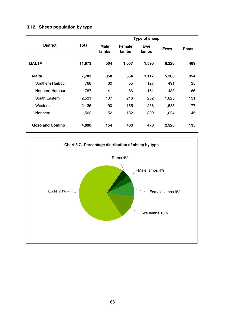## **3.12. Sheep population by type**

|                        |        |               |                 | Type of sheep |             |      |
|------------------------|--------|---------------|-----------------|---------------|-------------|------|
| <b>District</b>        | Total  | Male<br>lambs | Female<br>lambs | Ewe<br>lambs  | <b>Ewes</b> | Rams |
| <b>MALTA</b>           | 11,873 | 504           | 1,057           | 1,595         | 8,228       | 489  |
| <b>Malta</b>           | 7,783  | 350           | 654             | 1,117         | 5,308       | 354  |
| Southern Harbour       | 768    | 60            | 55              | 127           | 491         | 35   |
| Northern Harbour       | 787    | 41            | 86              | 161           | 433         | 66   |
| South Eastern          | 2,531  | 107           | 216             | 252           | 1,825       | 131  |
| Western                | 2,135  | 90            | 165             | 268           | 1,535       | 77   |
| Northern               | 1,562  | 52            | 132             | 309           | 1,024       | 45   |
| <b>Gozo and Comino</b> | 4,090  | 154           | 403             | 478           | 2,920       | 135  |

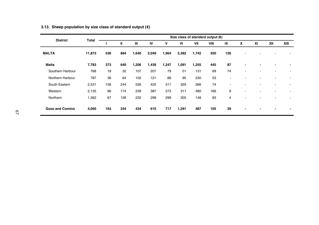| <b>District</b>        | Total  |     |     |       |       |       |       | Size class of standard output $(\epsilon)$ |      |     |   |    |     |                          |
|------------------------|--------|-----|-----|-------|-------|-------|-------|--------------------------------------------|------|-----|---|----|-----|--------------------------|
|                        |        |     | Ш   | Ш     | IV    | ٧     | VI    | VII                                        | VIII | IX  | x | XI | XII | XIII                     |
| <b>MALTA</b>           | 11,873 | 536 | 884 | 1,640 | 2,049 | 1,964 | 2,382 | 1,742                                      | 550  | 126 |   |    |     |                          |
| <b>Malta</b>           | 7,783  | 373 | 640 | 1,206 | 1,439 | 1,247 | 1,091 | 1,255                                      | 445  | 87  |   |    |     | $\overline{\phantom{0}}$ |
| Southern Harbour       | 768    | 18  | 32  | 107   | 207   | 79    | 51    | 131                                        | 69   | 74  |   |    |     |                          |
| Northern Harbour       | 787    | 36  | 64  | 102   | 121   | 86    | 95    | 230                                        | 53   | ۰   |   |    |     | ٠                        |
| South Eastern          | 2,531  | 156 | 244 | 526   | 425   | 511   | 329   | 266                                        | 74   | ٠   |   |    |     | ٠                        |
| Western                | 2,135  | 96  | 174 | 239   | 387   | 273   | 311   | 480                                        | 166  | 9   |   |    |     | $\overline{\phantom{a}}$ |
| Northern               | 1,562  | 67  | 126 | 232   | 299   | 298   | 305   | 148                                        | 83   | 4   |   |    |     |                          |
| <b>Gozo and Comino</b> | 4,090  | 163 | 244 | 434   | 610   | 717   | 1,291 | 487                                        | 105  | 39  |   |    |     | ٠                        |

### **3.13. Sheep population by size class of standard output (€)**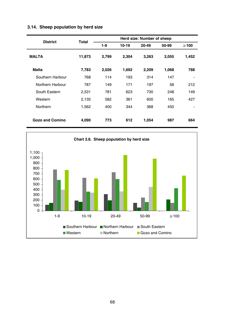| <b>District</b>        | Total  |       |       | Herd size: Number of sheep |       |                          |
|------------------------|--------|-------|-------|----------------------------|-------|--------------------------|
|                        |        | 1-9   | 10-19 | 20-49                      | 50-99 | $\geq 100$               |
| <b>MALTA</b>           | 11,873 | 2,799 | 2,304 | 3,263                      | 2,055 | 1,452                    |
| Malta                  | 7,783  | 2,026 | 1,692 | 2,209                      | 1,068 | 788                      |
| Southern Harbour       | 768    | 114   | 193   | 314                        | 147   | $\blacksquare$           |
| Northern Harbour       | 787    | 149   | 171   | 197                        | 58    | 212                      |
| South Eastern          | 2,531  | 781   | 623   | 730                        | 248   | 149                      |
| Western                | 2,135  | 582   | 361   | 600                        | 165   | 427                      |
| Northern               | 1,562  | 400   | 344   | 368                        | 450   | $\overline{\phantom{0}}$ |
| <b>Gozo and Comino</b> | 4,090  | 773   | 612   | 1,054                      | 987   | 664                      |

## **3.14. Sheep population by herd size**

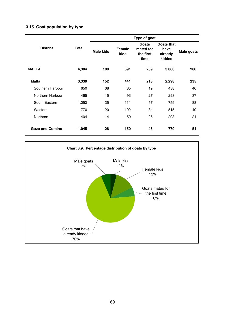## **3.15. Goat population by type**

|                  |       |                  |                | Type of goat                            |                                         |            |
|------------------|-------|------------------|----------------|-----------------------------------------|-----------------------------------------|------------|
| <b>District</b>  | Total | <b>Male kids</b> | Female<br>kids | Goats<br>mated for<br>the first<br>time | Goats that<br>have<br>already<br>kidded | Male goats |
| <b>MALTA</b>     | 4,384 | 180              | 591            | 259                                     | 3,068                                   | 286        |
| <b>Malta</b>     | 3,339 | 152              | 441            | 213                                     | 2,298                                   | 235        |
| Southern Harbour | 650   | 68               | 85             | 19                                      | 438                                     | 40         |
| Northern Harbour | 465   | 15               | 93             | 27                                      | 293                                     | 37         |
| South Eastern    | 1,050 | 35               | 111            | 57                                      | 759                                     | 88         |
| Western          | 770   | 20               | 102            | 84                                      | 515                                     | 49         |
| Northern         | 404   | 14               | 50             | 26                                      | 293                                     | 21         |
| Gozo and Comino  | 1,045 | 28               | 150            | 46                                      | 770                                     | 51         |

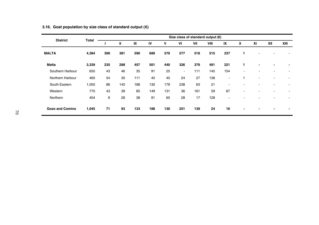| <b>District</b>        | <b>Total</b> |     |     |                |     |     |                          |     | Size class of standard output $(E)$ |     |                          |                |                          |      |
|------------------------|--------------|-----|-----|----------------|-----|-----|--------------------------|-----|-------------------------------------|-----|--------------------------|----------------|--------------------------|------|
|                        |              |     | Ш   | $\mathbf{III}$ | IV  | v   | VI                       | VII | VIII                                | IX  | X                        | XI             | XII                      | XIII |
| <b>MALTA</b>           | 4,384        | 306 | 381 | 590            | 689 | 570 | 577                      | 518 | 515                                 | 237 | 1                        |                |                          |      |
| <b>Malta</b>           | 3,339        | 235 | 288 | 457            | 501 | 440 | 326                      | 379 | 491                                 | 221 | 1                        | $\blacksquare$ | $\blacksquare$           |      |
| Southern Harbour       | 650          | 43  | 46  | 35             | 91  | 25  | $\overline{\phantom{a}}$ | 111 | 145                                 | 154 | ٠                        |                |                          |      |
| Northern Harbour       | 465          | 54  | 30  | 111            | 40  | 40  | 24                       | 27  | 138                                 | ٠   |                          | ۰              | ۰                        |      |
| South Eastern          | 1,050        | 86  | 145 | 188            | 130 | 179 | 238                      | 63  | 21                                  | ۰   |                          |                |                          |      |
| Western                | 770          | 43  | 39  | 85             | 149 | 131 | 36                       | 161 | 59                                  | 67  | ۰                        |                |                          |      |
| Northern               | 404          | 9   | 28  | 38             | 91  | 65  | 28                       | 17  | 128                                 | ۰.  |                          |                |                          |      |
| <b>Gozo and Comino</b> | 1,045        | 71  | 93  | 133            | 188 | 130 | 251                      | 139 | 24                                  | 16  | $\overline{\phantom{a}}$ | -              | $\overline{\phantom{a}}$ |      |

### **3.16. Goat population by size class of standard output (€)**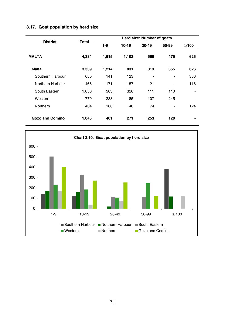|                  |       | Herd size: Number of goats |       |                |                |                              |  |  |  |  |  |
|------------------|-------|----------------------------|-------|----------------|----------------|------------------------------|--|--|--|--|--|
| <b>District</b>  | Total | $1-9$                      | 10-19 | 20-49          | 50-99          | $\geq 100$                   |  |  |  |  |  |
| <b>MALTA</b>     | 4,384 | 1,615                      | 1,102 | 566            | 475            | 626                          |  |  |  |  |  |
| Malta            | 3,339 | 1,214                      | 831   | 313            | 355            | 626                          |  |  |  |  |  |
| Southern Harbour | 650   | 141                        | 123   | $\blacksquare$ | $\blacksquare$ | 386                          |  |  |  |  |  |
| Northern Harbour | 465   | 171                        | 157   | 21             | $\blacksquare$ | 116                          |  |  |  |  |  |
| South Eastern    | 1,050 | 503                        | 326   | 111            | 110            | $\blacksquare$               |  |  |  |  |  |
| Western          | 770   | 233                        | 185   | 107            | 245            | $\qquad \qquad \blacksquare$ |  |  |  |  |  |
| Northern         | 404   | 166                        | 40    | 74             | $\blacksquare$ | 124                          |  |  |  |  |  |
| Gozo and Comino  | 1,045 | 401                        | 271   | 253            | 120            | ۰                            |  |  |  |  |  |

## **3.17. Goat population by herd size**

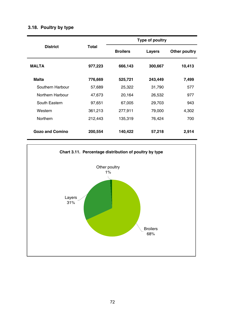|                        |         | Type of poultry |         |               |  |  |  |  |
|------------------------|---------|-----------------|---------|---------------|--|--|--|--|
| <b>District</b>        | Total   | <b>Broilers</b> | Lavers  | Other poultry |  |  |  |  |
| <b>MALTA</b>           | 977,223 | 666,143         | 300,667 | 10,413        |  |  |  |  |
| Malta                  | 776,669 | 525,721         | 243,449 | 7,499         |  |  |  |  |
| Southern Harbour       | 57,689  | 25,322          | 31,790  | 577           |  |  |  |  |
| Northern Harbour       | 47,673  | 20,164          | 26,532  | 977           |  |  |  |  |
| South Eastern          | 97,651  | 67,005          | 29,703  | 943           |  |  |  |  |
| Western                | 361,213 | 277,911         | 79,000  | 4,302         |  |  |  |  |
| Northern               | 212,443 | 135,319         | 76,424  | 700           |  |  |  |  |
| <b>Gozo and Comino</b> | 200,554 | 140,422         | 57,218  | 2,914         |  |  |  |  |

# **3.18. Poultry by type**

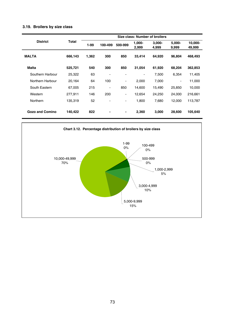#### **3.19. Broilers by size class**

|                        |         | Size class: Number of broilers |                              |                          |                          |                    |                 |                   |  |  |  |
|------------------------|---------|--------------------------------|------------------------------|--------------------------|--------------------------|--------------------|-----------------|-------------------|--|--|--|
| <b>District</b>        | Total   | $1-99$                         | 100-499                      | 500-999                  | 1,000-<br>2,999          | $3.000 -$<br>4,999 | 5.000-<br>9,999 | 10,000-<br>49,999 |  |  |  |
| <b>MALTA</b>           | 666,143 | 1,362                          | 300                          | 850                      | 33,414                   | 64,920             | 96.804          | 468,493           |  |  |  |
| Malta                  | 525.721 | 540                            | 300                          | 850                      | 31.054                   | 61,920             | 68.204          | 362,853           |  |  |  |
| Southern Harbour       | 25,322  | 63                             | $\qquad \qquad \blacksquare$ | ٠                        | $\overline{\phantom{m}}$ | 7.500              | 6,354           | 11,405            |  |  |  |
| Northern Harbour       | 20,164  | 64                             | 100                          | $\overline{\phantom{a}}$ | 2,000                    | 7,000              | ۰               | 11,000            |  |  |  |
| South Eastern          | 67,005  | 215                            | $\overline{\phantom{a}}$     | 850                      | 14,600                   | 15,490             | 25,850          | 10,000            |  |  |  |
| Western                | 277.911 | 146                            | 200                          | ٠                        | 12,654                   | 24,250             | 24,000          | 216,661           |  |  |  |
| Northern               | 135.319 | 52                             |                              | $\overline{\phantom{a}}$ | 1.800                    | 7.680              | 12.000          | 113.787           |  |  |  |
| <b>Gozo and Comino</b> | 140,422 | 822                            |                              | ٠                        | 2,360                    | 3,000              | 28,600          | 105,640           |  |  |  |

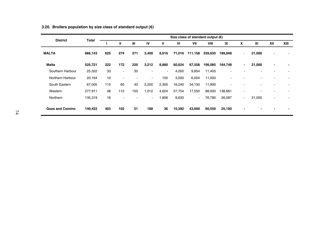| <b>District</b><br>Total | Size class of standard output $(\epsilon)$ |     |        |     |                          |                          |        |         |         |         |                |        |      |  |
|--------------------------|--------------------------------------------|-----|--------|-----|--------------------------|--------------------------|--------|---------|---------|---------|----------------|--------|------|--|
|                          |                                            | Ш   | Ш      | IV  | v                        | VI                       | VII    | VIII    | IX      | x       | XI             | XII    | XIII |  |
| <b>MALTA</b>             | 666,143                                    | 625 | 274    | 271 | 3,400                    | 8,916                    | 71,016 | 111,158 | 259,635 | 189,848 | ۰.             | 21,000 |      |  |
| <b>Malta</b>             | 525,721                                    | 222 | 172    | 220 | 3,212                    | 8,880                    | 60,624 | 67,558  | 199,085 | 164,748 | $\blacksquare$ | 21,000 | ۰    |  |
| Southern Harbour         | 25,322                                     | 33  | ٠.     | 30  | $\overline{\phantom{a}}$ | $\overline{\phantom{a}}$ | 4,000  | 9,854   | 11,405  |         |                |        |      |  |
| Northern Harbour         | 20,164                                     | 10  | $\sim$ | ٠   | $\overline{\phantom{a}}$ | 150                      | 3,000  | 6,004   | 11,000  |         |                |        |      |  |
| South Eastern            | 67,005                                     | 115 | 60     | 40  | 2,200                    | 2,300                    | 16,240 | 34,150  | 11,900  | ٠       |                |        |      |  |
| Western                  | 277,911                                    | 48  | 112    | 150 | 1,012                    | 4,624                    | 27,754 | 17,550  | 88,000  | 138,661 | ٠              |        |      |  |
| Northern                 | 135,319                                    | 16  | ٠      | ٠   | $\sim$                   | 1,806                    | 9,630  | $\sim$  | 76,780  | 26,087  | $\blacksquare$ | 21,000 | ٠    |  |
| <b>Gozo and Comino</b>   | 140,422                                    | 403 | 102    | 51  | 188                      | 36                       | 10,392 | 43,600  | 60,550  | 25,100  | $\blacksquare$ |        |      |  |

### **3.20. Broilers population by size class of standard output (€)**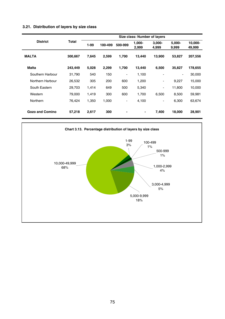#### **3.21. Distribution of layers by size class**

|                  |         | Size class: Number of layers |         |                          |                 |                          |                 |                   |  |  |  |
|------------------|---------|------------------------------|---------|--------------------------|-----------------|--------------------------|-----------------|-------------------|--|--|--|
| <b>District</b>  | Total   | 1-99                         | 100-499 | 500-999                  | 1,000-<br>2,999 | $3.000 -$<br>4,999       | 5.000-<br>9,999 | 10.000-<br>49,999 |  |  |  |
| <b>MALTA</b>     | 300.667 | 7.645                        | 2,599   | 1,700                    | 13.440          | 13.900                   | 53.827          | 207,556           |  |  |  |
| <b>Malta</b>     | 243.449 | 5,028                        | 2,299   | 1,700                    | 13,440          | 6,500                    | 35,827          | 178,655           |  |  |  |
| Southern Harbour | 31.790  | 540                          | 150     | $\overline{\phantom{a}}$ | 1,100           | ٠                        | -               | 30,000            |  |  |  |
| Northern Harbour | 26,532  | 305                          | 200     | 600                      | 1,200           | $\overline{\phantom{a}}$ | 9,227           | 15,000            |  |  |  |
| South Eastern    | 29,703  | 1.414                        | 649     | 500                      | 5,340           | $\overline{\phantom{a}}$ | 11,800          | 10,000            |  |  |  |
| Western          | 79.000  | 1.419                        | 300     | 600                      | 1,700           | 6.500                    | 8.500           | 59,981            |  |  |  |
| Northern         | 76,424  | 1,350                        | 1.000   | $\overline{\phantom{a}}$ | 4,100           | $\overline{\phantom{a}}$ | 6,300           | 63,674            |  |  |  |
| Gozo and Comino  | 57.218  | 2.617                        | 300     | -                        | ۰               | 7.400                    | 18,000          | 28,901            |  |  |  |

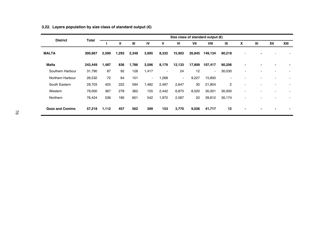| <b>District</b>  | Size class of standard output $(\epsilon)$<br>Total |       |       |       |       |       |        |        |         |                          |                |    |     |      |
|------------------|-----------------------------------------------------|-------|-------|-------|-------|-------|--------|--------|---------|--------------------------|----------------|----|-----|------|
|                  |                                                     |       | Ш     | Ш     | IV    | v     | VI     | VII    | VIII    | IX                       | x              | XI | XII | XIII |
| <b>MALTA</b>     | 300,667                                             | 2,599 | 1,293 | 2,348 | 3,995 | 8,332 | 15,903 | 26,845 | 149,134 | 90,218                   |                |    |     |      |
| <b>Malta</b>     | 243,449                                             | 1,487 | 836   | 1,786 | 3,596 | 8,179 | 12,133 | 17,809 | 107,417 | 90,206                   | $\blacksquare$ |    |     | ٠    |
| Southern Harbour | 31,790                                              | 87    | 92    | 128   | 1,417 | ٠     | 24     | 12     | ۰.      | 30,030                   | ٠              |    |     |      |
| Northern Harbour | 26,532                                              | 72    | 64    | 101   | ٠.    | 1,268 | $\sim$ | 9,227  | 15,800  | $\overline{\phantom{a}}$ |                |    |     |      |
| South Eastern    | 29,703                                              | 425   | 222   | 594   | 1,482 | 2,497 | 2,647  | 30     | 21,804  | $\overline{2}$           |                |    |     |      |
| Western          | 79,000                                              | 367   | 278   | 362   | 155   | 2.442 | 6,875  | 8,520  | 30,001  | 30,000                   | ۰              |    |     |      |
| Northern         | 76,424                                              | 536   | 180   | 601   | 542   | 1,972 | 2,587  | 20     | 39,812  | 30,174                   | ٠              |    |     |      |
| Gozo and Comino  | 57,218                                              | 1,112 | 457   | 562   | 399   | 153   | 3,770  | 9,036  | 41,717  | 12                       | -              |    |     |      |

### **3.22. Layers population by size class of standard output (€)**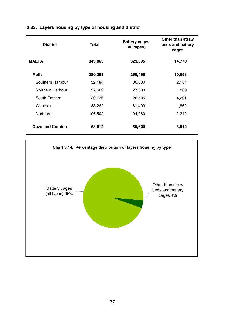| <b>District</b>        | Total   | <b>Battery cages</b><br>(all types) | Other than straw<br>beds and battery<br>cages |
|------------------------|---------|-------------------------------------|-----------------------------------------------|
| <b>MALTA</b>           | 343,865 | 329,095                             | 14,770                                        |
| Malta                  | 280,353 | 269,495                             | 10,858                                        |
| Southern Harbour       | 32,184  | 30,000                              | 2,184                                         |
| Northern Harbour       | 27,669  | 27,300                              | 369                                           |
| South Eastern          | 30,736  | 26,535                              | 4,201                                         |
| Western                | 83,262  | 81,400                              | 1,862                                         |
| Northern               | 106,502 | 104,260                             | 2,242                                         |
| <b>Gozo and Comino</b> | 63,512  | 59,600                              | 3,912                                         |

# **3.23. Layers housing by type of housing and district**

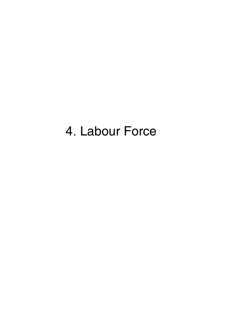# 4. Labour Force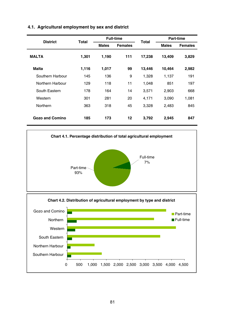| <b>District</b>        | Total |              | <b>Full-time</b> | Total  |              | Part-time      |
|------------------------|-------|--------------|------------------|--------|--------------|----------------|
|                        |       | <b>Males</b> | <b>Females</b>   |        | <b>Males</b> | <b>Females</b> |
| <b>MALTA</b>           | 1.301 | 1,190        | 111              | 17,238 | 13,409       | 3,829          |
| <b>Malta</b>           | 1,116 | 1,017        | 99               | 13,446 | 10,464       | 2,982          |
| Southern Harbour       | 145   | 136          | 9                | 1,328  | 1,137        | 191            |
| Northern Harbour       | 129   | 118          | 11               | 1,048  | 851          | 197            |
| South Eastern          | 178   | 164          | 14               | 3.571  | 2,903        | 668            |
| Western                | 301   | 281          | 20               | 4,171  | 3,090        | 1,081          |
| Northern               | 363   | 318          | 45               | 3,328  | 2,483        | 845            |
| <b>Gozo and Comino</b> | 185   | 173          | 12               | 3,792  | 2,945        | 847            |

## **4.1. Agricultural employment by sex and district**

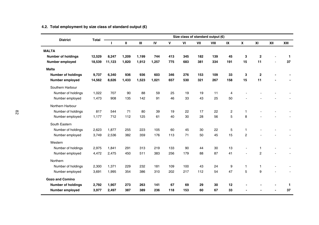|                           |        | Size class of standard output $(E)$<br>Total |       |       |       |     |     |     |      |                |                |                |     |      |
|---------------------------|--------|----------------------------------------------|-------|-------|-------|-----|-----|-----|------|----------------|----------------|----------------|-----|------|
| <b>District</b>           |        | п                                            | Ш     | Ш     | IV    | v   | VI  | VII | VIII | IX             | x              | <b>XI</b>      | XII | XIII |
| <b>MALTA</b>              |        |                                              |       |       |       |     |     |     |      |                |                |                |     |      |
| <b>Number of holdings</b> | 12,529 | 8,247                                        | 1,209 | 1,199 | 744   | 413 | 345 | 182 | 139  | 45             | 3              | $\overline{2}$ |     | 1    |
| Number employed           | 18,539 | 11,123                                       | 1,820 | 1,912 | 1,257 | 775 | 683 | 381 | 334  | 191            | 15             | 11             |     | 37   |
| <b>Malta</b>              |        |                                              |       |       |       |     |     |     |      |                |                |                |     |      |
| Number of holdings        | 9,737  | 6,340                                        | 936   | 936   | 603   | 346 | 276 | 153 | 109  | 33             | 3              | $\overline{2}$ |     |      |
| Number employed           | 14,562 | 8,626                                        | 1,433 | 1.523 | 1.021 | 657 | 530 | 321 | 267  | 158            | 15             | 11             |     |      |
| Southern Harbour          |        |                                              |       |       |       |     |     |     |      |                |                |                |     |      |
| Number of holdings        | 1,022  | 707                                          | 90    | 88    | 59    | 25  | 19  | 19  | 11   | 4              |                |                |     |      |
| Number employed           | 1,473  | 908                                          | 135   | 142   | 91    | 46  | 33  | 43  | 25   | 50             |                |                |     |      |
| Northern Harbour          |        |                                              |       |       |       |     |     |     |      |                |                |                |     |      |
| Number of holdings        | 817    | 544                                          | 71    | 80    | 39    | 19  | 22  | 17  | 22   | $\overline{2}$ | 1              |                |     |      |
| Number employed           | 1,177  | 712                                          | 112   | 125   | 61    | 40  | 30  | 28  | 56   | 5              | 8              |                |     |      |
| South Eastern             |        |                                              |       |       |       |     |     |     |      |                |                |                |     |      |
| Number of holdings        | 2,623  | 1,877                                        | 255   | 223   | 105   | 60  | 45  | 30  | 22   | 5              | 1              |                |     |      |
| Number employed           | 3,749  | 2,536                                        | 382   | 359   | 176   | 113 | 71  | 50  | 45   | 15             | $\overline{c}$ |                |     |      |
| Western                   |        |                                              |       |       |       |     |     |     |      |                |                |                |     |      |
| Number of holdings        | 2,975  | 1,841                                        | 291   | 313   | 219   | 133 | 90  | 44  | 30   | 13             |                | 1              |     |      |
| Number employed           | 4,472  | 2.475                                        | 450   | 511   | 383   | 256 | 179 | 88  | 87   | 41             |                | $\overline{2}$ |     |      |
| Northern                  |        |                                              |       |       |       |     |     |     |      |                |                |                |     |      |
| Number of holdings        | 2,300  | 1,371                                        | 229   | 232   | 181   | 109 | 100 | 43  | 24   | 9              | 1              | 1              |     |      |
| Number employed           | 3,691  | 1.995                                        | 354   | 386   | 310   | 202 | 217 | 112 | 54   | 47             | 5              | 9              |     |      |
| <b>Gozo and Comino</b>    |        |                                              |       |       |       |     |     |     |      |                |                |                |     |      |
| Number of holdings        | 2,792  | 1,907                                        | 273   | 263   | 141   | 67  | 69  | 29  | 30   | 12             |                |                |     | 1    |
| Number employed           | 3,977  | 2,497                                        | 387   | 389   | 236   | 118 | 153 | 60  | 67   | 33             |                |                |     | 37   |

#### **4.2. Total employment by size class of standard output (€)**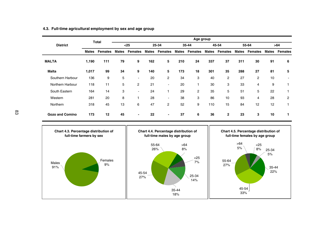|                        |              | Total          | Age group    |                |              |                          |              |                |              |                |              |                |              |                          |
|------------------------|--------------|----------------|--------------|----------------|--------------|--------------------------|--------------|----------------|--------------|----------------|--------------|----------------|--------------|--------------------------|
| <b>District</b>        |              |                |              | $25$           |              | 25-34                    |              | 35-44          |              | 45-54          |              | 55-64          |              | >64                      |
|                        | <b>Males</b> | <b>Females</b> | <b>Males</b> | <b>Females</b> | <b>Males</b> | <b>Females</b>           | <b>Males</b> | <b>Females</b> | <b>Males</b> | <b>Females</b> | <b>Males</b> | <b>Females</b> | <b>Males</b> | <b>Females</b>           |
| <b>MALTA</b>           | 1,190        | 111            | 79           | 9              | 162          | 5                        | 210          | 24             | 337          | 37             | 311          | 30             | 91           | 6                        |
| <b>Malta</b>           | 1,017        | 99             | 34           | 9              | 140          | 5                        | 173          | 18             | 301          | 35             | 288          | 27             | 81           | 5                        |
| Southern Harbour       | 136          | 9              | 5            | ۰              | 20           | $\overline{2}$           | 34           | 3              | 40           | 2              | 27           | $\overline{2}$ | 10           | $\overline{\phantom{a}}$ |
| Northern Harbour       | 118          | 11             | 5            | $\overline{2}$ | 21           | ۰                        | 20           | 1              | 30           | 3              | 33           | 4              | 9            |                          |
| South Eastern          | 164          | 14             | 3            | ۰              | 24           |                          | 29           | $\overline{2}$ | 35           | 5              | 51           | 5              | 22           |                          |
| Western                | 281          | 20             | 8            |                | 28           | $\overline{\phantom{a}}$ | 38           | 3              | 86           | 10             | 93           | $\overline{4}$ | 28           | $\overline{2}$           |
| Northern               | 318          | 45             | 13           | 6              | 47           | $\overline{2}$           | 52           | 9              | 110          | 15             | 84           | 12             | 12           |                          |
| <b>Gozo and Comino</b> | 173          | 12             | 45           | $\blacksquare$ | 22           | $\overline{\phantom{a}}$ | 37           | 6              | 36           | $\mathbf{2}$   | 23           | 3              | 10           |                          |

#### **4.3. Full-time agricultural employment by sex and age group**

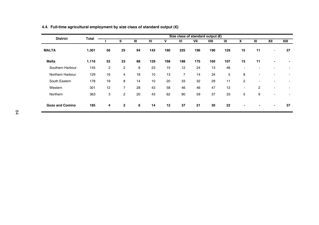| <b>District</b>  |       | Size class of standard output $(E)$<br>Total |                |    |     |     |                |     |      |     |                          |    |     |                          |
|------------------|-------|----------------------------------------------|----------------|----|-----|-----|----------------|-----|------|-----|--------------------------|----|-----|--------------------------|
|                  |       |                                              | Ш              | Ш  | IV  | v   | VI             | VII | VIII | IX  | x                        | XI | XII | XIII                     |
| <b>MALTA</b>     | 1,301 | 56                                           | 25             | 94 | 143 | 180 | 225            | 196 | 190  | 129 | 15                       | 11 | ۰   | 37                       |
| <b>Malta</b>     | 1,116 | 52                                           | 23             | 88 | 129 | 168 | 188            | 175 | 160  | 107 | 15                       | 11 |     | $\overline{\phantom{a}}$ |
| Southern Harbour | 145   | 2                                            | $\overline{2}$ | 8  | 23  | 15  | 12             | 24  | 13   | 46  | $\overline{\phantom{a}}$ |    |     |                          |
| Northern Harbour | 129   | 16                                           | $\overline{4}$ | 18 | 10  | 13  | $\overline{7}$ | 14  | 34   | 5   | 8                        |    |     |                          |
| South Eastern    | 178   | 19                                           | 8              | 14 | 10  | 20  | 33             | 32  | 29   | 11  | $\overline{2}$           |    |     |                          |
| Western          | 301   | 12                                           | $\overline{7}$ | 28 | 43  | 58  | 46             | 46  | 47   | 12  | ٠                        | 2  | ۰   | $\overline{\phantom{a}}$ |
| Northern         | 363   | 3                                            | $\overline{2}$ | 20 | 43  | 62  | 90             | 59  | 37   | 33  | 5                        | 9  | ۰   |                          |
| Gozo and Comino  | 185   | 4                                            | $\overline{2}$ | 6  | 14  | 12  | 37             | 21  | 30   | 22  |                          |    | ٠   | 37                       |

#### **4.4. Full-time agricultural employment by size class of standard output (€)**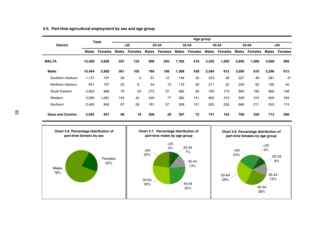|                  |              | Total          | Age group |                |              |                |              |                |              |                |              |                |              |                |
|------------------|--------------|----------------|-----------|----------------|--------------|----------------|--------------|----------------|--------------|----------------|--------------|----------------|--------------|----------------|
| <b>District</b>  |              |                |           | $25$           |              | 25-34          |              | 35-44          |              | 45-54          | 55-64        |                |              | >64            |
|                  | <b>Males</b> | <b>Females</b> | Males     | <b>Females</b> | <b>Males</b> | <b>Females</b> | <b>Males</b> | <b>Females</b> | <b>Males</b> | <b>Females</b> | <b>Males</b> | <b>Females</b> | <b>Males</b> | <b>Females</b> |
| <b>MALTA</b>     | 13,409       | 3,829          | 457       | 123            | 998          | 226            | 1,765        | 510            | 3,335        | 1,005          | 3,845        | 1,066          | 3.009        | 899            |
| <b>Malta</b>     | 10.464       | 2,982          | 361       | 105            | 789          | 198            | 1.368        | 438            | 2,594        | 812            | 3.056        | 816            | 2,296        | 613            |
| Southern Harbour | 1,137        | 191            | 36        | 5              | 91           | 12             | 149          | 32             | 253          | 49             | 327          | 46             | 281          | 47             |
| Northern Harbour | 851          | 197            | 25        | 8              | 54           | 15             | 116          | 20             | 211          | 52             | 250          | 62             | 195          | 40             |
| South Eastern    | 2.903        | 668            | 79        | 24             | 213          | 37             | 362          | 94             | 705          | 173            | 884          | 182            | 660          | 158            |
| Western          | 3.090        | 1,081          | 134       | 42             | 240          | 77             | 382          | 141            | 800          | 312            | 929          | 315            | 605          | 194            |
| Northern         | 2.483        | 845            | 87        | 26             | 191          | 57             | 359          | 151            | 625          | 226            | 666          | 211            | 555          | 174            |
| Gozo and Comino  | 2,945        | 847            | 96        | 18             | 209          | 28             | 397          | 72             | 741          | 193            | 789          | 250            | 713          | 286            |

#### **4.5. Part-time agricultural employment by sex and age group**

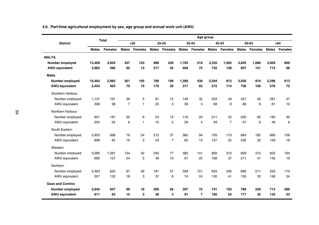|                       |              | Total          |                |                |              |                |              | Age group      |              |                |              |                |              |                |
|-----------------------|--------------|----------------|----------------|----------------|--------------|----------------|--------------|----------------|--------------|----------------|--------------|----------------|--------------|----------------|
| <b>District</b>       |              |                |                | $25$           |              | 25-34          |              | 35-44          |              | 45-54          |              | 55-64          |              | >64            |
|                       | <b>Males</b> | <b>Females</b> | <b>Males</b>   | <b>Females</b> | <b>Males</b> | <b>Females</b> | <b>Males</b> | Females        | <b>Males</b> | <b>Females</b> | <b>Males</b> | <b>Females</b> | <b>Males</b> | <b>Females</b> |
| <b>MALTA</b>          |              |                |                |                |              |                |              |                |              |                |              |                |              |                |
| Number employed       | 13.409       | 3.829          | 457            | 123            | 998          | 226            | 1.765        | 510            | 3.335        | 1.005          | 3.845        | 1.066          | 3.009        | 899            |
| <b>AWU equivalent</b> | 3,065        | 496            | 85             | 13             | 217          | 34             | 409          | 72             | 732          | 138            | 907          | 141            | 715          | 98             |
| <b>Malta</b>          |              |                |                |                |              |                |              |                |              |                |              |                |              |                |
| Number employed       | 10.464       | 2.982          | 361            | 105            | 789          | 198            | 1.368        | 438            | 2.594        | 812            | 3.056        | 816            | 2.296        | 613            |
| <b>AWU equivalent</b> | 2,454        | 403            | 70             | 10             | 179          | 30             | 317          | 65             | 572          | 114            | 736          | 109            | 579          | 75             |
| Southern Harbour      |              |                |                |                |              |                |              |                |              |                |              |                |              |                |
| Number employed       | 1.137        | 191            | 36             | 5              | 91           | 12             | 149          | 32             | 253          | 49             | 327          | 46             | 281          | 47             |
| AWU equivalent        | 308          | 36             | $\overline{7}$ | $\mathbf{1}$   | 25           | 3              | 39           | 5              | 68           | 8              | 88           | 8              | 81           | 10             |
| Northern Harbour      |              |                |                |                |              |                |              |                |              |                |              |                |              |                |
| Number employed       | 851          | 197            | 25             | 8              | 54           | 15             | 116          | 20             | 211          | 52             | 250          | 62             | 195          | 40             |
| AWU equivalent        | 204          | 24             | 6              | $\mathbf{1}$   | 15           | 2              | 29           | $\overline{4}$ | 49           | $\overline{7}$ | 57           | 6              | 49           | 6              |
| South Eastern         |              |                |                |                |              |                |              |                |              |                |              |                |              |                |
| Number employed       | 2,903        | 668            | 79             | 24             | 213          | 37             | 362          | 94             | 705          | 173            | 884          | 182            | 660          | 158            |
| AWU equivalent        | 699          | 84             | 15             | 3              | 53           | $\overline{7}$ | 85           | 13             | 157          | 22             | 230          | 22             | 159          | 18             |
| Western               |              |                |                |                |              |                |              |                |              |                |              |                |              |                |
| Number employed       | 3,090        | 1,081          | 134            | 42             | 240          | 77             | 382          | 141            | 800          | 312            | 929          | 315            | 605          | 194            |
| AWU equivalent        | 685          | 127            | 24             | 3              | 49           | 10             | 91           | 20             | 168          | 37             | 211          | 41             | 142          | 18             |
| Northern              |              |                |                |                |              |                |              |                |              |                |              |                |              |                |
| Number employed       | 2,483        | 845            | 87             | 26             | 191          | 57             | 359          | 151            | 625          | 226            | 666          | 211            | 555          | 174            |
| AWU equivalent        | 557          | 132            | 18             | 3              | 37           | 8              | 74           | 24             | 130          | 41             | 150          | 33             | 148          | 24             |
| Gozo and Comino       |              |                |                |                |              |                |              |                |              |                |              |                |              |                |
| Number employed       | 2.945        | 847            | 96             | 18             | 209          | 28             | 397          | 72             | 741          | 193            | 789          | 250            | 713          | 286            |
| <b>AWU equivalent</b> | 611          | 93             | 15             | 3              | 38           | 3              | 91           | $\overline{7}$ | 160          | 24             | 171          | 32             | 135          | 23             |

#### **4.6. Part-time agricultural employment by sex, age group and annual work unit (AWU)**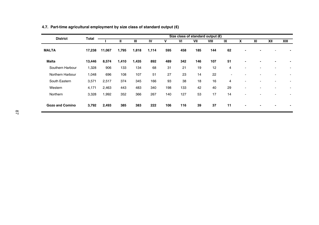| <b>District</b>  |        | Size class of standard output $(E)$<br>Total |              |       |       |     |     |     |      |    |                          |    |     |      |
|------------------|--------|----------------------------------------------|--------------|-------|-------|-----|-----|-----|------|----|--------------------------|----|-----|------|
|                  |        |                                              | $\mathbf{I}$ | Ш     | IV    | v   | VI  | VII | VIII | IX | X                        | XI | XII | XIII |
| <b>MALTA</b>     | 17,238 | 11,067                                       | 1,795        | 1,818 | 1,114 | 595 | 458 | 185 | 144  | 62 | $\overline{\phantom{0}}$ |    |     |      |
| <b>Malta</b>     | 13,446 | 8,574                                        | 1,410        | 1,435 | 892   | 489 | 342 | 146 | 107  | 51 | $\blacksquare$           |    | ۰   |      |
| Southern Harbour | 1,328  | 906                                          | 133          | 134   | 68    | 31  | 21  | 19  | 12   | 4  |                          |    | ۰   |      |
| Northern Harbour | 1,048  | 696                                          | 108          | 107   | 51    | 27  | 23  | 14  | 22   | ٠  |                          |    | ۰   |      |
| South Eastern    | 3,571  | 2,517                                        | 374          | 345   | 166   | 93  | 38  | 18  | 16   | 4  | ۰                        |    | ۰   |      |
| Western          | 4,171  | 2,463                                        | 443          | 483   | 340   | 198 | 133 | 42  | 40   | 29 | $\overline{\phantom{a}}$ |    | ٠   |      |
| Northern         | 3,328  | 1,992                                        | 352          | 366   | 267   | 140 | 127 | 53  | 17   | 14 |                          |    |     |      |
| Gozo and Comino  | 3,792  | 2,493                                        | 385          | 383   | 222   | 106 | 116 | 39  | 37   | 11 | $\blacksquare$           |    | ٠   |      |

#### **4.7. Part-time agricultural employment by size class of standard output (€)**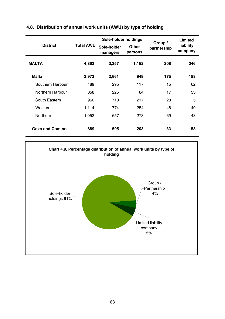|                        |                  | Sole-holder holdings    |                  | Group /     | Limited              |
|------------------------|------------------|-------------------------|------------------|-------------|----------------------|
| <b>District</b>        | <b>Total AWU</b> | Sole-holder<br>managers | Other<br>persons | partnership | liability<br>company |
| <b>MALTA</b>           | 4,862            | 3,257                   | 1,152            | 208         | 246                  |
| Malta                  | 3,973            | 2,661                   | 949              | 175         | 188                  |
| Southern Harbour       | 489              | 295                     | 117              | 15          | 62                   |
| Northern Harbour       | 358              | 225                     | 84               | 17          | 33                   |
| South Eastern          | 960              | 710                     | 217              | 28          | 5                    |
| Western                | 1,114            | 774                     | 254              | 46          | 40                   |
| Northern               | 1,052            | 657                     | 278              | 69          | 48                   |
| <b>Gozo and Comino</b> | 889              | 595                     | 203              | 33          | 58                   |

## **4.8. Distribution of annual work units (AWU) by type of holding**

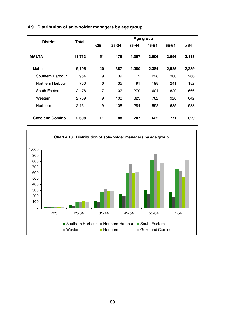| <b>District</b>        | Total  |      |       | Age group |       |       |       |
|------------------------|--------|------|-------|-----------|-------|-------|-------|
|                        |        | $25$ | 25-34 | 35-44     | 45-54 | 55-64 | >64   |
| <b>MALTA</b>           | 11,713 | 51   | 475   | 1,367     | 3,006 | 3,696 | 3,118 |
| <b>Malta</b>           | 9,105  | 40   | 387   | 1,080     | 2,384 | 2,925 | 2,289 |
| Southern Harbour       | 954    | 9    | 39    | 112       | 228   | 300   | 266   |
| Northern Harbour       | 753    | 6    | 35    | 91        | 198   | 241   | 182   |
| South Eastern          | 2,478  | 7    | 102   | 270       | 604   | 829   | 666   |
| Western                | 2,759  | 9    | 103   | 323       | 762   | 920   | 642   |
| Northern               | 2,161  | 9    | 108   | 284       | 592   | 635   | 533   |
| <b>Gozo and Comino</b> | 2,608  | 11   | 88    | 287       | 622   | 771   | 829   |

## **4.9. Distribution of sole-holder managers by age group**

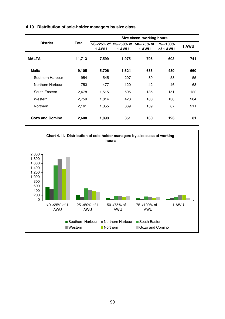| <b>District</b>        | Total  | 1 AWU | 1 AWU | >0-<25% of 25-<50% of 50-<75% of 75-<100%<br>1 AWU | of 1 AWU | 1 AWU |
|------------------------|--------|-------|-------|----------------------------------------------------|----------|-------|
| <b>MALTA</b>           | 11,713 | 7,599 | 1,975 | 795                                                | 603      | 741   |
| Malta                  | 9,105  | 5,706 | 1,624 | 635                                                | 480      | 660   |
| Southern Harbour       | 954    | 545   | 207   | 89                                                 | 58       | 55    |
| Northern Harbour       | 753    | 477   | 120   | 42                                                 | 46       | 68    |
| South Eastern          | 2,478  | 1.515 | 505   | 185                                                | 151      | 122   |
| Western                | 2,759  | 1,814 | 423   | 180                                                | 138      | 204   |
| Northern               | 2,161  | 1,355 | 369   | 139                                                | 87       | 211   |
| <b>Gozo and Comino</b> | 2,608  | 1,893 | 351   | 160                                                | 123      | 81    |

#### **4.10. Distribution of sole-holder managers by size class**

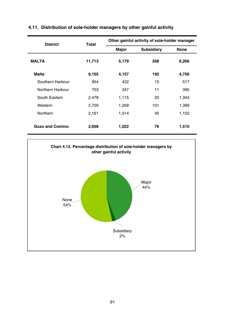| <b>District</b>        | Total  |       | Other gainful activity of sole-holder manager |       |
|------------------------|--------|-------|-----------------------------------------------|-------|
|                        |        | Major | Subsidiary                                    | None  |
| <b>MALTA</b>           | 11,713 | 5,179 | 268                                           | 6,266 |
| Malta                  | 9,105  | 4,157 | 192                                           | 4,756 |
| Southern Harbour       | 954    | 422   | 15                                            | 517   |
| Northern Harbour       | 753    | 347   | 11                                            | 395   |
| South Eastern          | 2,478  | 1,115 | 20                                            | 1,343 |
| Western                | 2,759  | 1,259 | 101                                           | 1,399 |
| Northern               | 2,161  | 1,014 | 45                                            | 1,102 |
| <b>Gozo and Comino</b> | 2,608  | 1,022 | 76                                            | 1,510 |

## **4.11. Distribution of sole-holder managers by other gainful activity**

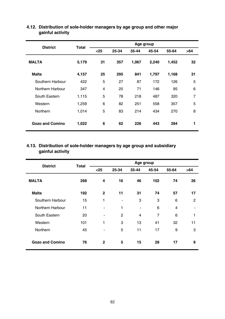| <b>District</b>        | Total | Age group               |       |       |       |       |                |  |  |
|------------------------|-------|-------------------------|-------|-------|-------|-------|----------------|--|--|
|                        |       | $25$                    | 25-34 | 35-44 | 45-54 | 55-64 | >64            |  |  |
| <b>MALTA</b>           | 5,179 | 31                      | 357   | 1,067 | 2,240 | 1,452 | 32             |  |  |
| Malta                  | 4,157 | 25                      | 295   | 841   | 1,797 | 1,168 | 31             |  |  |
| Southern Harbour       | 422   | 5                       | 27    | 87    | 172   | 126   | 5              |  |  |
| Northern Harbour       | 347   | $\overline{\mathbf{4}}$ | 25    | 71    | 146   | 95    | 6              |  |  |
| South Eastern          | 1,115 | 5                       | 78    | 218   | 487   | 320   | $\overline{7}$ |  |  |
| Western                | 1,259 | 6                       | 82    | 251   | 558   | 357   | 5              |  |  |
| Northern               | 1,014 | 5                       | 83    | 214   | 434   | 270   | 8              |  |  |
| <b>Gozo and Comino</b> | 1,022 | 6                       | 62    | 226   | 443   | 284   | 1              |  |  |

#### **4.12. Distribution of sole-holder managers by age group and other major gainful activity**

## **4.13. Distribution of sole-holder managers by age group and subsidiary gainful activity**

| <b>District</b>        | Total | Age group                |                |                |       |       |                |  |
|------------------------|-------|--------------------------|----------------|----------------|-------|-------|----------------|--|
|                        |       | $25$                     | 25-34          | 35-44          | 45-54 | 55-64 | >64            |  |
| <b>MALTA</b>           | 268   | 4                        | 16             | 46             | 102   | 74    | 26             |  |
| Malta                  | 192   | $\mathbf{2}$             | 11             | 31             | 74    | 57    | 17             |  |
| Southern Harbour       | 15    | 1                        | $\blacksquare$ | 3              | 3     | 6     | $\overline{2}$ |  |
| Northern Harbour       | 11    | -                        | 1              | $\blacksquare$ | 6     | 4     | $\blacksquare$ |  |
| South Eastern          | 20    | $\overline{\phantom{0}}$ | $\overline{2}$ | $\overline{4}$ | 7     | 6     | 1              |  |
| Western                | 101   | 1                        | 3              | 13             | 41    | 32    | 11             |  |
| Northern               | 45    |                          | 5              | 11             | 17    | 9     | 3              |  |
| <b>Gozo and Comino</b> | 76    | 2                        | 5              | 15             | 28    | 17    | 9              |  |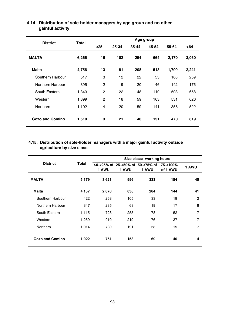| <b>District</b>        | Total | Age group      |       |       |       |       |       |  |
|------------------------|-------|----------------|-------|-------|-------|-------|-------|--|
|                        |       | $25$           | 25-34 | 35-44 | 45-54 | 55-64 | >64   |  |
| <b>MALTA</b>           | 6,266 | 16             | 102   | 254   | 664   | 2,170 | 3,060 |  |
| <b>Malta</b>           | 4,756 | 13             | 81    | 208   | 513   | 1,700 | 2,241 |  |
| Southern Harbour       | 517   | 3              | 12    | 22    | 53    | 168   | 259   |  |
| Northern Harbour       | 395   | $\overline{2}$ | 9     | 20    | 46    | 142   | 176   |  |
| South Eastern          | 1,343 | $\overline{2}$ | 22    | 48    | 110   | 503   | 658   |  |
| Western                | 1,399 | $\overline{2}$ | 18    | 59    | 163   | 531   | 626   |  |
| Northern               | 1,102 | $\overline{4}$ | 20    | 59    | 141   | 356   | 522   |  |
| <b>Gozo and Comino</b> | 1,510 | 3              | 21    | 46    | 151   | 470   | 819   |  |

## **4.14. Distribution of sole-holder managers by age group and no other gainful activity**

#### **4.15. Distribution of sole-holder managers with a major gainful activity outside agriculture by size class**

|                  |       | Size class: working hours |       |                                                    |          |                |  |  |  |  |
|------------------|-------|---------------------------|-------|----------------------------------------------------|----------|----------------|--|--|--|--|
| <b>District</b>  | Total | 1 AWU                     | 1 AWU | >0-<25% of 25-<50% of 50-<75% of 75-<100%<br>1 AWU | of 1 AWU | 1 AWU          |  |  |  |  |
| <b>MALTA</b>     | 5,179 | 3,621                     | 996   | 333                                                | 184      | 45             |  |  |  |  |
| Malta            | 4,157 | 2,870                     | 838   | 264                                                | 144      | 41             |  |  |  |  |
| Southern Harbour | 422   | 263                       | 105   | 33                                                 | 19       | 2              |  |  |  |  |
| Northern Harbour | 347   | 235                       | 68    | 19                                                 | 17       | 8              |  |  |  |  |
| South Eastern    | 1,115 | 723                       | 255   | 78                                                 | 52       | $\overline{7}$ |  |  |  |  |
| Western          | 1,259 | 910                       | 219   | 76                                                 | 37       | 17             |  |  |  |  |
| Northern         | 1.014 | 739                       | 191   | 58                                                 | 19       | 7              |  |  |  |  |
| Gozo and Comino  | 1,022 | 751                       | 158   | 69                                                 | 40       | 4              |  |  |  |  |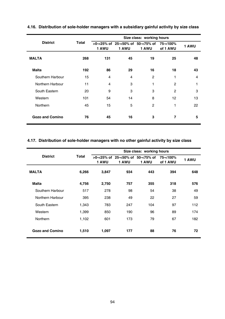|                        |       |                |                | Size class: working hours                             |                |       |
|------------------------|-------|----------------|----------------|-------------------------------------------------------|----------------|-------|
| <b>District</b>        | Total | 1 AWU          | 1 AWU          | $>0$ -<25% of 25-<50% of 50-<75% of 75-<100%<br>1 AWU | of 1 AWU       | 1 AWU |
| <b>MALTA</b>           | 268   | 131            | 45             | 19                                                    | 25             | 48    |
| <b>Malta</b>           | 192   | 86             | 29             | 16                                                    | 18             | 43    |
| Southern Harbour       | 15    | $\overline{4}$ | $\overline{4}$ | $\overline{2}$                                        | 1              | 4     |
| Northern Harbour       | 11    | $\overline{4}$ | 3              | 1                                                     | $\overline{2}$ | 1     |
| South Eastern          | 20    | 9              | 3              | 3                                                     | $\overline{2}$ | 3     |
| Western                | 101   | 54             | 14             | 8                                                     | 12             | 13    |
| Northern               | 45    | 15             | 5              | $\overline{2}$                                        | 1              | 22    |
| <b>Gozo and Comino</b> | 76    | 45             | 16             | 3                                                     | 7              | 5     |

## **4.16. Distribution of sole-holder managers with a subsidiary gainful activity by size class**

### **4.17. Distribution of sole-holder managers with no other gainful activity by size class**

|                  |       |       |                                              |       | Size class: working hours |       |  |
|------------------|-------|-------|----------------------------------------------|-------|---------------------------|-------|--|
| <b>District</b>  | Total | 1 AWU | $>0$ -<25% of 25-<50% of 50-<75% of<br>1 AWU | 1 AWU | 75-<100%<br>of 1 AWU      | 1 AWU |  |
| <b>MALTA</b>     | 6,266 | 3,847 | 934                                          | 443   | 394                       | 648   |  |
| Malta            | 4,756 | 2,750 | 757                                          | 355   | 318                       | 576   |  |
| Southern Harbour | 517   | 278   | 98                                           | 54    | 38                        | 49    |  |
| Northern Harbour | 395   | 238   | 49                                           | 22    | 27                        | 59    |  |
| South Eastern    | 1,343 | 783   | 247                                          | 104   | 97                        | 112   |  |
| Western          | 1.399 | 850   | 190                                          | 96    | 89                        | 174   |  |
| Northern         | 1.102 | 601   | 173                                          | 79    | 67                        | 182   |  |
| Gozo and Comino  | 1,510 | 1,097 | 177                                          | 88    | 76                        | 72    |  |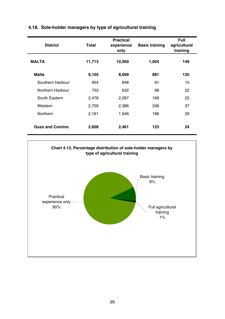| <b>District</b>  | Total  | <b>Practical</b><br>experience<br>only | <b>Basic training</b> | Full<br>agricultural<br>training |
|------------------|--------|----------------------------------------|-----------------------|----------------------------------|
| <b>MALTA</b>     | 11,713 | 10,560                                 | 1,004                 | 149                              |
| Malta            | 9,105  | 8,099                                  | 881                   | 125                              |
| Southern Harbour | 954    | 848                                    | 91                    | 15                               |
| Northern Harbour | 753    | 632                                    | 99                    | 22                               |
| South Eastern    | 2,478  | 2,287                                  | 169                   | 22                               |
| Western          | 2,759  | 2,386                                  | 336                   | 37                               |
| Northern         | 2.161  | 1,946                                  | 186                   | 29                               |
| Gozo and Comino  | 2,608  | 2,461                                  | 123                   | 24                               |

## **4.18. Sole-holder managers by type of agricultural training**

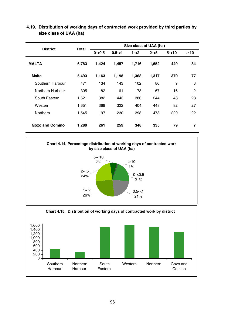| <b>District</b>        | Total | Size class of UAA (ha) |           |         |         |          |                |  |  |
|------------------------|-------|------------------------|-----------|---------|---------|----------|----------------|--|--|
|                        |       | $0 - 0.5$              | $0.5 - 1$ | $1 - 2$ | $2 - 5$ | $5 - 10$ | $\geq 10$      |  |  |
| <b>MALTA</b>           | 6,783 | 1,424                  | 1,457     | 1,716   | 1,652   | 449      | 84             |  |  |
| <b>Malta</b>           | 5,493 | 1,163                  | 1,198     | 1,368   | 1,317   | 370      | 77             |  |  |
| Southern Harbour       | 471   | 134                    | 143       | 102     | 80      | 9        | 3              |  |  |
| Northern Harbour       | 305   | 82                     | 61        | 78      | 67      | 16       | $\overline{2}$ |  |  |
| South Eastern          | 1,521 | 382                    | 443       | 386     | 244     | 43       | 23             |  |  |
| Western                | 1.651 | 368                    | 322       | 404     | 448     | 82       | 27             |  |  |
| Northern               | 1,545 | 197                    | 230       | 398     | 478     | 220      | 22             |  |  |
| <b>Gozo and Comino</b> | 1,289 | 261                    | 259       | 348     | 335     | 79       | 7              |  |  |

**4.19. Distribution of working days of contracted work provided by third parties by size class of UAA (ha)**

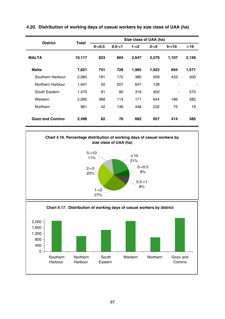| <b>District</b>  | Total  | Size class of UAA (ha) |           |         |         |                          |           |  |  |
|------------------|--------|------------------------|-----------|---------|---------|--------------------------|-----------|--|--|
|                  |        | $0 - 0.5$              | $0.5 - 1$ | $1 - 2$ | $2 - 5$ | $5 - 10$                 | $\geq 10$ |  |  |
| <b>MALTA</b>     | 10,117 | 823                    | 804       | 2,647   | 2,579   | 1,107                    | 2,156     |  |  |
| Malta            | 7,621  | 741                    | 728       | 1,965   | 1,922   | 694                      | 1,571     |  |  |
| Southern Harbour | 2,084  | 191                    | 172       | 380     | 509     | 433                      | 400       |  |  |
| Northern Harbour | 1.041  | 50                     | 207       | 647     | 138     | $\overline{\phantom{a}}$ |           |  |  |
| South Eastern    | 1.470  | 91                     | 90        | 319     | 400     | -                        | 570       |  |  |
| Western          | 2,065  | 368                    | 114       | 171     | 644     | 186                      | 582       |  |  |
| Northern         | 961    | 42                     | 146       | 448     | 232     | 75                       | 19        |  |  |
| Gozo and Comino  | 2,496  | 82                     | 76        | 682     | 657     | 414                      | 585       |  |  |

**4.20. Distribution of working days of casual workers by size class of UAA (ha)**





**Chart 4.17. Distribution of working days of casual workers by district**  $0 -$ 400 800 1,200 1,600 2,000 Southern Harbour Northern Harbour South Eastern Western Northern Gozo and Comino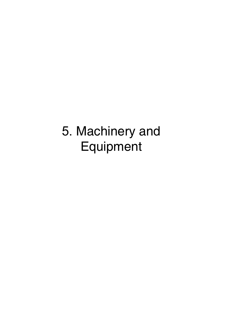## 5. Machinery and Equipment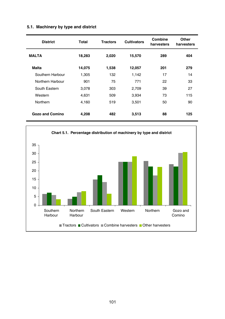| <b>District</b>        | Total  | <b>Tractors</b> | <b>Cultivators</b> | Combine<br>harvesters | Other<br>harvesters |
|------------------------|--------|-----------------|--------------------|-----------------------|---------------------|
| <b>MALTA</b>           | 18,283 | 2,020           | 15,570             | 289                   | 404                 |
| Malta                  | 14,075 | 1,538           | 12,057             | 201                   | 279                 |
| Southern Harbour       | 1,305  | 132             | 1,142              | 17                    | 14                  |
| Northern Harbour       | 901    | 75              | 771                | 22                    | 33                  |
| South Eastern          | 3,078  | 303             | 2,709              | 39                    | 27                  |
| Western                | 4,631  | 509             | 3,934              | 73                    | 115                 |
| Northern               | 4,160  | 519             | 3,501              | 50                    | 90                  |
| <b>Gozo and Comino</b> | 4,208  | 482             | 3,513              | 88                    | 125                 |

## **5.1. Machinery by type and district**

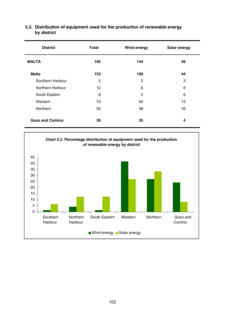| <b>District</b>  | Total | Wind energy | Solar energy |
|------------------|-------|-------------|--------------|
| <b>MALTA</b>     | 192   | 144         | 48           |
| <b>Malta</b>     | 153   | 109         | 44           |
| Southern Harbour | 5     | 2           | 3            |
| Northern Harbour | 12    | 6           | 6            |
| South Eastern    | 8     | 2           | 6            |
| Western          | 73    | 60          | 13           |
| Northern         | 55    | 39          | 16           |
| Gozo and Comino  | 39    | 35          | 4            |

#### **5.2. Distribution of equipment used for the production of renewable energy by district**

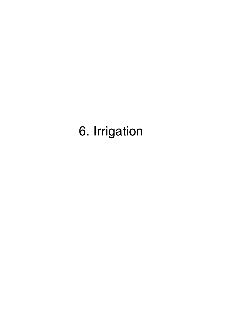# 6. Irrigation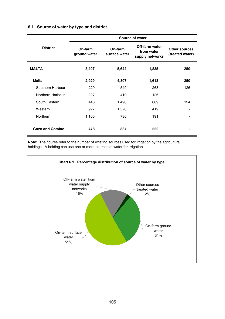#### **6.1. Source of water by type and district**

|                        |                         |                          | Source of water                                 |                                  |
|------------------------|-------------------------|--------------------------|-------------------------------------------------|----------------------------------|
| <b>District</b>        | On-farm<br>ground water | On-farm<br>surface water | Off-farm water<br>from water<br>supply networks | Other sources<br>(treated water) |
| <b>MALTA</b>           | 3,407                   | 5,644                    | 1,835                                           | 250                              |
| Malta                  | 2,929                   | 4,807                    | 1,613                                           | 250                              |
| Southern Harbour       | 229                     | 549                      | 268                                             | 126                              |
| Northern Harbour       | 227                     | 410                      | 126                                             |                                  |
| South Eastern          | 446                     | 1,490                    | 609                                             | 124                              |
| Western                | 927                     | 1,578                    | 419                                             |                                  |
| Northern               | 1,100                   | 780                      | 191                                             |                                  |
| <b>Gozo and Comino</b> | 478                     | 837                      | 222                                             |                                  |

**Note:** The figures refer to the number of existing sources used for irrigation by the agricultural holdings. A holding can use one or more sources of water for irrigation

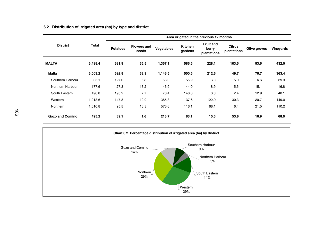#### **6.2. Distribution of irrigated area (ha) by type and district**

|                  |         | Area irrigated in the previous 12 months |                             |            |                    |                                          |                       |              |           |  |  |
|------------------|---------|------------------------------------------|-----------------------------|------------|--------------------|------------------------------------------|-----------------------|--------------|-----------|--|--|
| <b>District</b>  | Total   | <b>Potatoes</b>                          | <b>Flowers and</b><br>seeds | Vegetables | Kitchen<br>gardens | <b>Fruit and</b><br>berry<br>plantations | Citrus<br>plantations | Olive groves | Vineyards |  |  |
| <b>MALTA</b>     | 3,498.4 | 631.9                                    | 65.5                        | 1,357.1    | 586.5              | 228.1                                    | 103.5                 | 93.6         | 432.0     |  |  |
| Malta            | 3,003.2 | 592.8                                    | 63.9                        | 1,143.5    | 500.5              | 212.6                                    | 49.7                  | 76.7         | 363.4     |  |  |
| Southern Harbour | 305.1   | 127.0                                    | 6.8                         | 58.3       | 55.9               | 6.3                                      | 5.0                   | 6.6          | 39.3      |  |  |
| Northern Harbour | 177.6   | 27.3                                     | 13.2                        | 46.9       | 44.0               | 8.9                                      | 5.5                   | 15.1         | 16.8      |  |  |
| South Eastern    | 496.0   | 195.2                                    | 7.7                         | 76.4       | 146.8              | 6.6                                      | 2.4                   | 12.9         | 48.1      |  |  |
| Western          | 1.013.6 | 147.8                                    | 19.9                        | 385.3      | 137.6              | 122.9                                    | 30.3                  | 20.7         | 149.0     |  |  |
| Northern         | 1,010.8 | 95.5                                     | 16.3                        | 576.6      | 116.1              | 68.1                                     | 6.4                   | 21.5         | 110.2     |  |  |
| Gozo and Comino  | 495.2   | 39.1                                     | 1.6                         | 213.7      | 86.1               | 15.5                                     | 53.8                  | 16.9         | 68.6      |  |  |

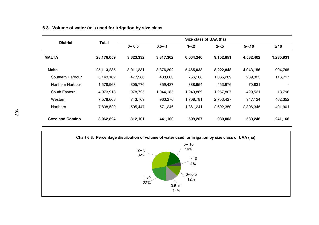| <b>District</b>        | Total      | Size class of UAA (ha) |           |           |           |           |           |  |  |  |  |  |  |  |
|------------------------|------------|------------------------|-----------|-----------|-----------|-----------|-----------|--|--|--|--|--|--|--|
|                        |            | $0 - 0.5$              | $0.5 - 1$ | 1-<2      | $2 - 5$   | $5 - 10$  | $\geq 10$ |  |  |  |  |  |  |  |
| <b>MALTA</b>           | 28.176.059 | 3,323,332              | 3,817,302 | 6.064.240 | 9,152,851 | 4.582.402 | 1,235,931 |  |  |  |  |  |  |  |
| Malta                  | 25,113,235 | 3,011,231              | 3,376,202 | 5,465,033 | 8,222,848 | 4.043.156 | 994,765   |  |  |  |  |  |  |  |
| Southern Harbour       | 3,143,162  | 477.580                | 438.063   | 756.188   | 1,065,289 | 289.325   | 116,717   |  |  |  |  |  |  |  |
| Northern Harbour       | 1,578,968  | 305,770                | 359.437   | 388,954   | 453.976   | 70.831    |           |  |  |  |  |  |  |  |
| South Eastern          | 4,973,913  | 978,725                | 1,044,185 | 1,249,869 | 1,257,807 | 429.531   | 13,796    |  |  |  |  |  |  |  |
| Western                | 7,578,663  | 743,709                | 963.270   | 1,708,781 | 2,753,427 | 947,124   | 462,352   |  |  |  |  |  |  |  |
| Northern               | 7,838,529  | 505,447                | 571.246   | 1,361,241 | 2,692,350 | 2,306,345 | 401,901   |  |  |  |  |  |  |  |
| <b>Gozo and Comino</b> | 3,062,824  | 312,101                | 441,100   | 599,207   | 930.003   | 539.246   | 241,166   |  |  |  |  |  |  |  |

## **6.3. Volume of water (m3) used for irrigation by size class**

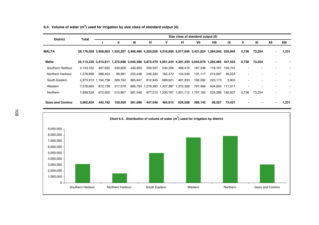**6.4. Volume of water (m3) used for irrigation by size class of standard output (€)**

| <b>District</b>        |                                                                                                    | Size class of standard output $(\epsilon)$<br>Total |         |              |                                       |         |         |                                       |         |         |       |        |     |       |
|------------------------|----------------------------------------------------------------------------------------------------|-----------------------------------------------------|---------|--------------|---------------------------------------|---------|---------|---------------------------------------|---------|---------|-------|--------|-----|-------|
|                        |                                                                                                    |                                                     | Ш       | $\mathbf{m}$ | IV                                    | ٧       | VI      | VII                                   | VIII    | IX      | X     | XI     | XII | XIII  |
| <b>MALTA</b>           | 28,176,059 3,958,003 1,532,207 3,406,486 4,320,028 4,516,859 5,017,846 3,431,824 1,394,642 520,944 |                                                     |         |              |                                       |         |         |                                       |         |         | 2,736 | 73,254 |     | 1,231 |
| <b>Malta</b>           | 25,113,235 3,515,811 1,372,698 3,045,388 3,872,479 4,051,244 4,391,339 3,045,679 1,295,085 447,523 |                                                     |         |              |                                       |         |         |                                       |         |         | 2,736 | 73,254 |     |       |
| Southern Harbour       | 3.143.162                                                                                          | 487.932                                             | 230,658 | 446,950      | 559,597                               | 540,358 | 468,419 | 187,338                               | 118.161 | 103.747 |       |        |     |       |
| Northern Harbour       | 1,578,968                                                                                          | 288,403                                             | 99,991  | 255,248      | 246,330                               | 162,472 | 134,546 | 131,117                               | 214,607 | 46,254  |       |        |     |       |
| South Eastern          |                                                                                                    | 4.973.913 1.194.736                                 | 509.162 | 865.847      | 812.945                               | 689.621 | 481.933 | 192.592                               | 223.173 | 3.903   |       |        |     |       |
| Western                | 7.578.663                                                                                          | 872.739                                             | 317.079 |              | 895.794 1.276.393 1.427.997 1.375.328 |         |         | 797.466                               | 504.855 | 111.011 |       |        |     |       |
| Northern               | 7.838.529                                                                                          | 672.000                                             | 215.807 | 581.548      |                                       |         |         | 977.215 1.230.797 1.931.112 1.737.165 | 234.288 | 182.607 | 2.736 | 73.254 |     |       |
| <b>Gozo and Comino</b> | 3.062.824                                                                                          | 442.192                                             | 159,509 | 361.098      | 447,548                               | 465.615 | 626.508 | 386.145                               | 99.557  | 73,421  |       |        |     | 1,231 |

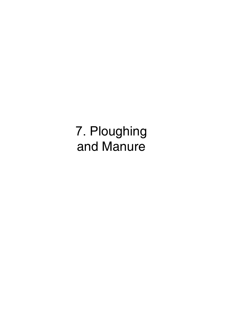7. Ploughing and Manure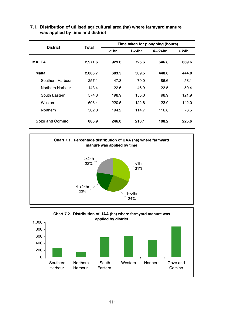| <b>District</b>  | Total   | Time taken for ploughing (hours) |        |         |            |  |  |  |  |  |  |
|------------------|---------|----------------------------------|--------|---------|------------|--|--|--|--|--|--|
|                  |         | $1hr$                            | 1-<4hr | 4-<24hr | $\geq$ 24h |  |  |  |  |  |  |
| <b>MALTA</b>     | 2,971.6 | 929.6                            | 725.6  | 646.8   | 669.6      |  |  |  |  |  |  |
| Malta            | 2,085.7 | 683.5                            | 509.5  | 448.6   | 444.0      |  |  |  |  |  |  |
| Southern Harbour | 257.1   | 47.3                             | 70.0   | 86.6    | 53.1       |  |  |  |  |  |  |
| Northern Harbour | 143.4   | 22.6                             | 46.9   | 23.5    | 50.4       |  |  |  |  |  |  |
| South Eastern    | 574.8   | 198.9                            | 155.0  | 98.9    | 121.9      |  |  |  |  |  |  |
| Western          | 608.4   | 220.5                            | 122.8  | 123.0   | 142.0      |  |  |  |  |  |  |
| Northern         | 502.0   | 194.2                            | 114.7  | 116.6   | 76.5       |  |  |  |  |  |  |
| Gozo and Comino  | 885.9   | 246.0                            | 216.1  | 198.2   | 225.6      |  |  |  |  |  |  |

#### **7.1. Distribution of utilised agricultural area (ha) where farmyard manure was applied by time and district**



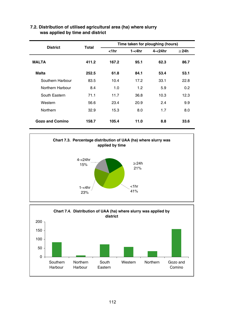| <b>District</b>  | Total |            |        | Time taken for ploughing (hours) |            |
|------------------|-------|------------|--------|----------------------------------|------------|
|                  |       | $<$ 1 $hr$ | 1-<4hr | 4-<24hr                          | $\geq$ 24h |
| <b>MALTA</b>     | 411.2 | 167.2      | 95.1   | 62.3                             | 86.7       |
| <b>Malta</b>     | 252.5 | 61.8       | 84.1   | 53.4                             | 53.1       |
| Southern Harbour | 83.5  | 10.4       | 17.2   | 33.1                             | 22.8       |
| Northern Harbour | 8.4   | 1.0        | 1.2    | 5.9                              | 0.2        |
| South Eastern    | 71.1  | 11.7       | 36.8   | 10.3                             | 12.3       |
| Western          | 56.6  | 23.4       | 20.9   | 2.4                              | 9.9        |
| Northern         | 32.9  | 15.3       | 8.0    | 1.7                              | 8.0        |
| Gozo and Comino  | 158.7 | 105.4      | 11.0   | 8.8                              | 33.6       |

#### **7.2. Distribution of utilised agricultural area (ha) where slurry was applied by time and district**



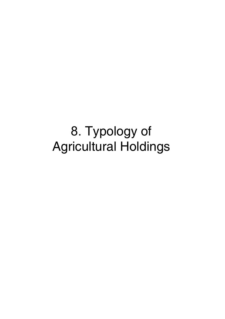8. Typology of Agricultural Holdings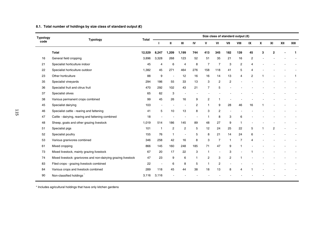#### **8.1. Total number of holdings by size class of standard output (€)**

| <b>Typology</b> |                                                                |        | Size class of standard output $(\mathbf{\epsilon})$ |                |                |                |                |                      |                |                |                         |              |                |     |      |
|-----------------|----------------------------------------------------------------|--------|-----------------------------------------------------|----------------|----------------|----------------|----------------|----------------------|----------------|----------------|-------------------------|--------------|----------------|-----|------|
| code            | Typology                                                       | Total  |                                                     | $\mathbf{u}$   | Ш              | IV             | v              | VI                   | VII            | VIII           | IX                      | $\mathbf{x}$ | XI             | XII | XIII |
|                 | Total                                                          | 12,529 | 8.247                                               | 1,209          | 1,199          | 744            | 413            | 345                  | 182            | 139            | 45                      | 3            | $\overline{2}$ |     | 1    |
| 16              | General field cropping                                         | 3,896  | 3,328                                               | 268            | 123            | 52             | 51             | 35                   | 21             | 16             | 2                       |              |                |     |      |
| 21              | Specialist horticulture indoor                                 | 45     | 4                                                   | 6              | $\overline{4}$ | 8              | $\overline{7}$ | $\overline{7}$       | 3              | $\overline{2}$ | $\overline{\mathbf{4}}$ |              |                |     |      |
| 22              | Specialist horticulture outdoor                                | 1.382  | 45                                                  | 271            | 464            | 276            | 158            | 118                  | 41             | 5              | 4                       |              |                |     |      |
| 23              | Other horticulture                                             | 88     | 9                                                   | ÷              | 12             | 16             | 16             | 14                   | 13             | $\overline{4}$ | $\overline{2}$          |              |                |     |      |
| 35              | Specialist vineyards                                           | 294    | 186                                                 | 55             | 33             | 13             | 3              | $\overline{c}$       | $\overline{2}$ |                |                         |              |                |     |      |
| 36              | Specialist fruit and citrus fruit                              | 470    | 292                                                 | 102            | 43             | 21             | $\overline{7}$ | 5                    |                |                |                         |              |                |     |      |
| 37              | Specialist olives                                              | 65     | 62                                                  | 3              | $\sim$         |                |                |                      |                |                |                         |              |                |     |      |
| 38              | Various permanent crops combined                               | 99     | 45                                                  | 26             | 16             | 9              | $\overline{c}$ | 1                    |                |                |                         |              |                |     |      |
| 45              | Specialist dairying                                            | 103    |                                                     |                |                | $\overline{c}$ | 1              | 9                    | 28             | 46             | 16                      |              |                |     |      |
| 46              | Specialist cattle - rearing and fattening                      | 41     | 5                                                   | 10             | 13             | 8              | 3              | $\overline{2}$       |                |                |                         |              |                |     |      |
| 47              | Cattle - dairying, rearing and fattening combined              | 18     |                                                     |                |                |                | $\mathbf{1}$   | 8                    | 3              | 6              |                         |              |                |     |      |
| 48              | Sheep, goats and other grazing livestock                       | 1,019  | 514                                                 | 186            | 145            | 89             | 48             | 27                   | 9              | $\overline{1}$ |                         |              |                |     |      |
| 51              | Specialist pigs                                                | 101    | $\overline{1}$                                      | $\overline{2}$ | $\overline{c}$ | 5              | 12             | 24                   | 25             | 22             | 5                       |              | $\overline{2}$ |     |      |
| 52              | Specialist poultry                                             | 155    | 76                                                  | $\overline{1}$ | $\sim$         | 5              | 8              | 21                   | 14             | 24             | 6                       |              |                |     |      |
| 53              | Various granivores combined                                    | 346    | 258                                                 | 42             | 16             | 8              | 3              | $\overline{7}$       | $\overline{1}$ | $\overline{7}$ | $\overline{\mathbf{4}}$ |              |                |     |      |
| 61              | Mixed cropping                                                 | 866    | 145                                                 | 160            | 248            | 185            | 71             | 47                   | 9              | -1             |                         |              |                |     |      |
| 73              | Mixed livestock, mainly grazing livestock                      | 67     | 20                                                  | 17             | 22             | 3              | $\mathbf{1}$   | $\ddot{\phantom{1}}$ | 3              |                |                         |              |                |     |      |
| 74              | Mixed livestock: granivores and non-dairying grazing livestock | 47     | 23                                                  | 9              | 6              | 1              | $\overline{c}$ | 3                    | $\overline{c}$ |                |                         |              |                |     |      |
| 83              | Filed crops - grazing livestock combined                       | 22     | ٠                                                   | 6              | 8              | 5              | $\overline{1}$ | $\overline{c}$       |                |                |                         |              |                |     |      |
| 84              | Various crops and livestock combined                           | 289    | 118                                                 | 45             | 44             | 38             | 18             | 13                   | 8              | $\overline{4}$ |                         |              |                |     |      |
| 90              | Non-classified holdings                                        | 3.116  | 3.116                                               |                |                |                |                |                      |                |                |                         |              |                |     |      |
|                 |                                                                |        |                                                     |                |                |                |                |                      |                |                |                         |              |                |     |      |

\* Includes agricultural holdings that have only kitchen gardens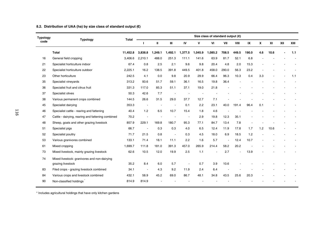#### **8.2. Distribution of UAA (ha) by size class of standard output (€)**

| <b>Typology</b> |                                                   |          |                          |         |         |                      |         |         |        |       |       |     |      |     |      |
|-----------------|---------------------------------------------------|----------|--------------------------|---------|---------|----------------------|---------|---------|--------|-------|-------|-----|------|-----|------|
| code            | <b>Typology</b>                                   | Total    |                          | Ш       | Ш       | IV                   | v       | VI      | VII    | VIII  | IX    | x   | XI   | XII | XIII |
|                 | Total                                             | 11,452.8 | 3,838.8                  | 1,249.1 | 1,492.1 | 1,377.5              | 1,045.9 | 1,085.2 | 708.5  | 449.5 | 190.0 | 4.6 | 10.6 |     | 1.1  |
| 16              | General field cropping                            | 3.406.6  | 2.210.1                  | 488.0   | 251.3   | 111.1                | 141.6   | 63.9    | 81.7   | 52.1  | 6.8   |     |      |     |      |
| 21              | Specialist horticulture indoor                    | 67.4     | 0.8                      | 2.5     | 2.1     | 9.6                  | 9.8     | 20.4    | 4.8    | 2.0   | 15.3  |     |      |     |      |
| 22              | Specialist horticulture outdoor                   | 2,225.1  | 16.2                     | 138.5   | 391.8   | 449.5                | 401.8   | 458.0   | 290.0  | 56.3  | 23.2  |     |      |     |      |
| 23              | Other horticulture                                | 242.5    | 4.1                      | 0.0     | 9.8     | 20.9                 | 29.9    | 66.4    | 96.3   | 10.3  | 0.4   | 3.3 |      |     | 1.1  |
| 35              | Specialist vineyards                              | 313.2    | 93.6                     | 51.7    | 59.1    | 36.1                 | 16.5    | 19.8    | 36.4   |       |       |     |      |     |      |
| 36              | Specialist fruit and citrus fruit                 | 331.3    | 117.0                    | 85.3    | 51.1    | 37.1                 | 19.0    | 21.8    |        |       |       |     |      |     |      |
| 37              | Specialist olives                                 | 50.3     | 42.6                     | 7.7     |         |                      |         |         |        |       |       |     |      |     |      |
| 38              | Various permanent crops combined                  | 144.5    | 26.6                     | 31.5    | 29.0    | 37.7                 | 12.7    | 7.1     |        |       |       |     |      |     |      |
| 45              | Specialist dairying                               | 353.3    |                          |         |         | 0.1                  | 2.2     | 23.1    | 40.0   | 191.4 | 96.4  | 0.1 |      |     |      |
| 46              | Specialist cattle - rearing and fattening         | 40.4     | 1.2                      | 6.5     | 10.7    | 15.4                 | 1.8     | 4.6     |        |       |       |     |      |     |      |
| 47              | Cattle - dairying, rearing and fattening combined | 70.2     |                          |         |         | $\ddot{\phantom{1}}$ | 2.9     | 19.8    | 12.3   | 35.1  |       |     |      |     |      |
| 48              | Sheep, goats and other grazing livestock          | 857.9    | 229.1                    | 169.8   | 180.7   | 95.3                 | 77.1    | 84.7    | 13.4   | 7.8   |       |     |      |     |      |
| 51              | Specialist pigs                                   | 66.7     | ٠.                       | 0.3     | 0.3     | 4.0                  | 6.5     | 12.4    | 11.9   | 17.8  | 1.7   | 1.2 | 10.6 |     |      |
| 52              | Specialist poultry                                | 71.7     | 21.5                     | 0.8     | $\sim$  | 0.3                  | 4.5     | 18.0    | 6.9    | 18.5  | 1.2   |     |      |     |      |
| 53              | Various granivores combined                       | 133.1    | 71.4                     | 18.1    | 11.1    | 2.2                  | 1.6     | 5.7     | $\sim$ | 12.4  | 10.7  |     |      |     |      |
| 61              | Mixed cropping                                    | 1,699.7  | 111.8                    | 181.0   | 391.3   | 457.0                | 265.9   | 214.4   | 58.2   | 20.2  |       |     |      |     |      |
| 73              | Mixed livestock, mainly grazing livestock         | 62.6     | 10.5                     | 12.0    | 19.9    | 2.5                  | 1.1     |         | 2.7    |       | 13.9  |     |      |     |      |
| 74              | Mixed livestock: granivores and non-dairying      |          |                          |         |         |                      |         |         |        |       |       |     |      |     |      |
|                 | grazing livestock                                 | 35.2     | 8.4                      | 6.0     | 5.7     |                      | 0.7     | 3.9     | 10.6   |       |       |     |      |     |      |
| 83              | Filed crops - grazing livestock combined          | 34.1     | $\overline{\phantom{a}}$ | 4.3     | 9.2     | 11.9                 | 2.4     | 6.4     |        |       |       |     |      |     |      |
| 84              | Various crops and livestock combined              | 432.1    | 58.9                     | 45.2    | 69.0    | 86.7                 | 48.1    | 34.8    | 43.5   | 25.6  | 20.3  |     |      |     |      |
| 90              | Non-classified holdings                           | 814.9    | 814.9                    |         |         |                      |         |         |        |       |       |     |      |     |      |

\* Includes agricultural holdings that have only kitchen gardens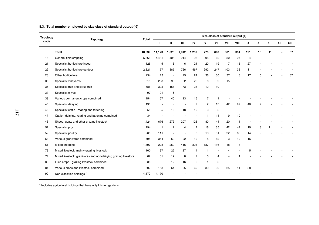## **8.3. Total number employed by size class of standard output ( €)**

| Typology | <b>Typology</b>                                                |        | Size class of standard output $(\mathbf{E})$<br>Total |                |                          |                |                |                         |                |                |                |                |    |     |      |
|----------|----------------------------------------------------------------|--------|-------------------------------------------------------|----------------|--------------------------|----------------|----------------|-------------------------|----------------|----------------|----------------|----------------|----|-----|------|
| code     |                                                                |        | п                                                     | Ш              | Ш                        | IV             | v              | VI                      | VII            | VIII           | IX             | x              | XI | XII | XIII |
|          | Total                                                          | 18.539 | 11,123                                                | 1.820          | 1,912                    | .257           | 775            | 683                     | 381            | 334            | 191            | 15             | 11 |     | 37   |
| 16       | General field cropping                                         | 5,366  | 4,431                                                 | 405            | 214                      | 98             | 95             | 62                      | 30             | 27             | $\overline{4}$ |                |    |     |      |
| 21       | Specialist horticulture indoor                                 | 126    | 5                                                     | 6              | 6                        | 21             | 20             | 19                      | $\overline{7}$ | 15             | 27             |                |    |     |      |
| 22       | Specialist horticulture outdoor                                | 2,321  | 57                                                    | 385            | 726                      | 467            | 292            | 247                     | 103            | 33             | 11             |                |    |     |      |
| 23       | Other horticulture                                             | 234    | 13                                                    | ×              | 25                       | 24             | 38             | 30                      | 37             | 8              | 17             | 5              |    |     | 37   |
| 35       | Specialist vineyards                                           | 515    | 298                                                   | 99             | 62                       | 26             | 6              | 9                       | 15             |                |                |                |    |     |      |
| 36       | Specialist fruit and citrus fruit                              | 686    | 395                                                   | 158            | 73                       | 38             | 12             | 10                      |                |                |                |                |    |     |      |
| 37       | Specialist olives                                              | 97     | 91                                                    | 6              | $\overline{\phantom{a}}$ |                |                |                         |                |                |                |                |    |     |      |
| 38       | Various permanent crops combined                               | 154    | 67                                                    | 40             | 23                       | 16             | 7              | $\overline{\mathbf{1}}$ |                |                |                |                |    |     |      |
| 45       | Specialist dairying                                            | 198    |                                                       |                | ×                        | $\overline{2}$ | $\overline{2}$ | 13                      | 42             | 97             | 40             | $\overline{2}$ |    |     |      |
| 46       | Specialist cattle - rearing and fattening                      | 55     | 5                                                     | 16             | 18                       | 10             | 3              | 3                       |                |                |                |                |    |     |      |
| 47       | Cattle - dairying, rearing and fattening combined              | 34     |                                                       |                |                          |                | $\mathbf{1}$   | 14                      | 9              | 10             |                |                |    |     |      |
| 48       | Sheep, goats and other grazing livestock                       | 1,424  | 676                                                   | 273            | 207                      | 123            | 80             | 44                      | 20             | $\overline{1}$ |                |                |    |     |      |
| 51       | Specialist pigs                                                | 194    | $\overline{1}$                                        | 2              | $\overline{4}$           | $\overline{7}$ | 18             | 35                      | 42             | 47             | 19             | 8              | 11 |     |      |
| 52       | Specialist poultry                                             | 266    | 111                                                   | $\overline{c}$ | ÷                        | 8              | 13             | 31                      | 22             | 65             | 14             |                |    |     |      |
| 53       | Various granivores combined                                    | 495    | 354                                                   | 59             | 22                       | 12             | 5              | 12                      | 3              | 12             | 16             |                |    |     |      |
| 61       | Mixed cropping                                                 | 1,497  | 223                                                   | 259            | 416                      | 324            | 137            | 116                     | 18             | 4              |                |                |    |     |      |
| 73       | Mixed livestock, mainly grazing livestock                      | 100    | 37                                                    | 22             | 27                       | 4              | $\overline{1}$ | ř.                      | $\overline{4}$ |                | 5              |                |    |     |      |
| 74       | Mixed livestock: granivores and non-dairying grazing livestock | 67     | 31                                                    | 12             | 8                        | 2              | 5              | $\overline{4}$          | $\overline{4}$ | 1              |                |                |    |     |      |
| 83       | Filed crops - grazing livestock combined                       | 38     | ٠                                                     | 12             | 16                       | 6              | $\overline{1}$ | 3                       |                |                |                |                |    |     |      |
| 84       | Various crops and livestock combined                           | 502    | 158                                                   | 64             | 65                       | 69             | 39             | 30                      | 25             | 14             | 38             |                |    |     |      |
| 90       | Non-classified holdings                                        | 4,170  | 4,170                                                 |                |                          |                |                |                         |                |                |                |                |    |     |      |

\* Includes agricultural holdings that have only kitchen gardens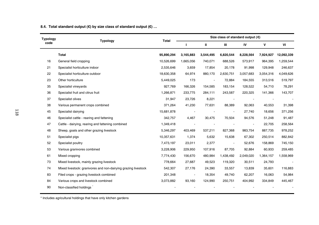## **8.4. Total standard output (€) by size class of standard output (€) …**

| <b>Typology</b> | <b>Typology</b>                                                | Total      | Size class of standard output $(\mathbf{\epsilon})$ |                          |           |           |           |            |  |  |
|-----------------|----------------------------------------------------------------|------------|-----------------------------------------------------|--------------------------|-----------|-----------|-----------|------------|--|--|
| code            |                                                                |            |                                                     | Ш                        | Ш         | IV        | v         | VI         |  |  |
|                 | Total                                                          | 95,890,294 | 3,165,883                                           | 3,544,495                | 6,820,544 | 8,228,564 | 7,924,927 | 12,092,339 |  |  |
| 16              | General field cropping                                         | 10,526,699 | 1,665,056                                           | 740,071                  | 688,526   | 573,917   | 964,395   | 1,259,544  |  |  |
| 21              | Specialist horticulture indoor                                 | 2,535,646  | 3,659                                               | 17,854                   | 20,178    | 91,998    | 129,948   | 246,637    |  |  |
| 22              | Specialist horticulture outdoor                                | 18,630,358 | 64,974                                              | 880,170                  | 2,630,751 | 3,057,683 | 3,054,316 | 4,049,626  |  |  |
| 23              | Other horticulture                                             | 5,449,025  | 173                                                 | $\overline{\phantom{a}}$ | 72,884    | 184,555   | 313,516   | 519,797    |  |  |
| 35              | Specialist vineyards                                           | 927,769    | 166,326                                             | 154,585                  | 183,154   | 128,522   | 54,710    | 78,291     |  |  |
| 36              | Specialist fruit and citrus fruit                              | 1,266,871  | 233,775                                             | 284,111                  | 243,587   | 220,325   | 141,366   | 143,707    |  |  |
| 37              | Specialist olives                                              | 31,947     | 23,726                                              | 8,221                    |           |           |           |            |  |  |
| 38              | Various permanent crops combined                               | 371,264    | 41,230                                              | 77,631                   | 88,389    | 92,063    | 40,553    | 31,398     |  |  |
| 45              | Specialist dairying                                            | 15,681,878 |                                                     |                          |           | 27,740    | 18,656    | 371,256    |  |  |
| 46              | Specialist cattle - rearing and fattening                      | 342,757    | 4,467                                               | 30,475                   | 70,504    | 94,576    | 51,248    | 91,487     |  |  |
| 47              | Cattle - dairying, rearing and fattening combined              | 1,349,418  |                                                     |                          |           |           | 22,705    | 258,564    |  |  |
| 48              | Sheep, goats and other grazing livestock                       | 5,346,297  | 403,469                                             | 537,211                  | 827,368   | 983,754   | 887,735   | 978,252    |  |  |
| 51              | Specialist pigs                                                | 10,357,631 | 1,374                                               | 5,632                    | 15,638    | 67,302    | 250,514   | 882,842    |  |  |
| 52              | Specialist poultry                                             | 7,473,197  | 23,011                                              | 2,377                    |           | 52,676    | 158,869   | 745,150    |  |  |
| 53              | Various granivores combined                                    | 3,228,906  | 229,950                                             | 107,916                  | 87,705    | 92,884    | 60,933    | 259,485    |  |  |
| 61              | Mixed cropping                                                 | 7,774,430  | 156,670                                             | 480,984                  | 1,438,492 | 2,049,020 | 1,364,157 | 1,558,969  |  |  |
| 73              | Mixed livestock, mainly grazing livestock                      | 778,664    | 27,687                                              | 49,523                   | 119,320   | 30,511    | 24,793    |            |  |  |
| 74              | Mixed livestock: granivores and non-dairying grazing livestock | 542,307    | 27,176                                              | 24,390                   | 33,557    | 13,839    | 35,601    | 116,883    |  |  |
| 83              | Filed crops - grazing livestock combined                       | 201,348    | $\overline{\phantom{a}}$                            | 18,354                   | 49,740    | 62,207    | 16,063    | 54,984     |  |  |
| 84              | Various crops and livestock combined                           | 3,073,882  | 93,160                                              | 124,990                  | 250,751   | 404,992   | 334,849   | 445,467    |  |  |
| 90              | Non-classified holdings                                        |            |                                                     |                          |           |           |           |            |  |  |

\* Includes agricultural holdings that have only kitchen gardens